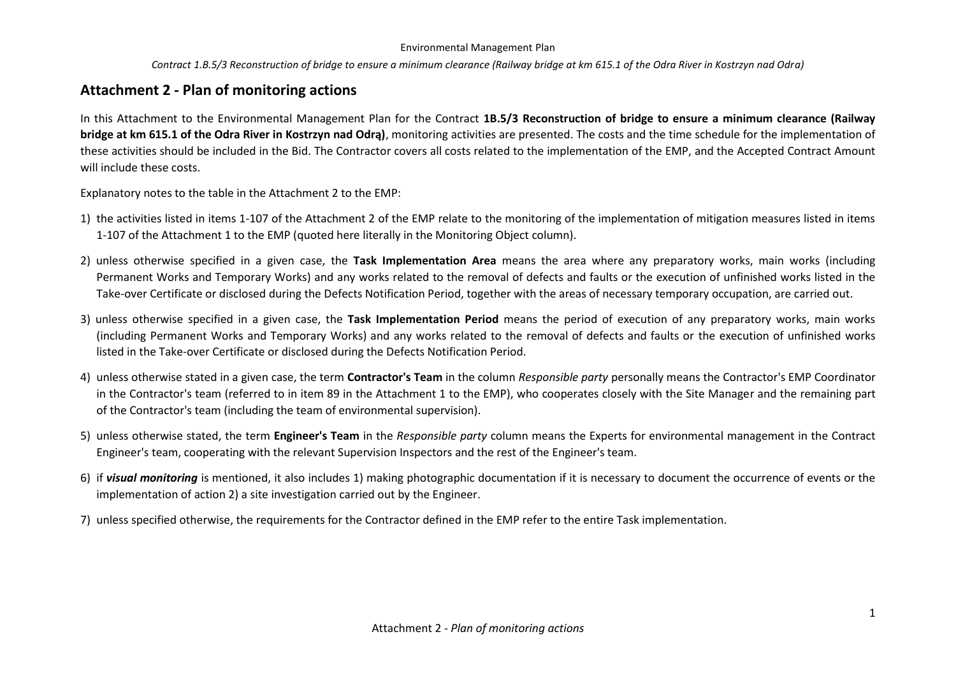*Contract 1.B.5/3 Reconstruction of bridge to ensure a minimum clearance (Railway bridge at km 615.1 of the Odra River in Kostrzyn nad Odra)*

# **Attachment 2 - Plan of monitoring actions**

In this Attachment to the Environmental Management Plan for the Contract **1B.5/3 Reconstruction of bridge to ensure a minimum clearance (Railway bridge at km 615.1 of the Odra River in Kostrzyn nad Odrą)**, monitoring activities are presented. The costs and the time schedule for the implementation of these activities should be included in the Bid. The Contractor covers all costs related to the implementation of the EMP, and the Accepted Contract Amount will include these costs.

Explanatory notes to the table in the Attachment 2 to the EMP:

- 1) the activities listed in items 1-107 of the Attachment 2 of the EMP relate to the monitoring of the implementation of mitigation measures listed in items 1-107 of the Attachment 1 to the EMP (quoted here literally in the Monitoring Object column).
- 2) unless otherwise specified in a given case, the **Task Implementation Area** means the area where any preparatory works, main works (including Permanent Works and Temporary Works) and any works related to the removal of defects and faults or the execution of unfinished works listed in the Take-over Certificate or disclosed during the Defects Notification Period, together with the areas of necessary temporary occupation, are carried out.
- 3) unless otherwise specified in a given case, the **Task Implementation Period** means the period of execution of any preparatory works, main works (including Permanent Works and Temporary Works) and any works related to the removal of defects and faults or the execution of unfinished works listed in the Take-over Certificate or disclosed during the Defects Notification Period.
- 4) unless otherwise stated in a given case, the term **Contractor's Team** in the column *Responsible party* personally means the Contractor's EMP Coordinator in the Contractor's team (referred to in item 89 in the Attachment 1 to the EMP), who cooperates closely with the Site Manager and the remaining part of the Contractor's team (including the team of environmental supervision).
- 5) unless otherwise stated, the term **Engineer's Team** in the *Responsible party* column means the Experts for environmental management in the Contract Engineer's team, cooperating with the relevant Supervision Inspectors and the rest of the Engineer's team.
- 6) if *visual monitoring* is mentioned, it also includes 1) making photographic documentation if it is necessary to document the occurrence of events or the implementation of action 2) a site investigation carried out by the Engineer.
- 7) unless specified otherwise, the requirements for the Contractor defined in the EMP refer to the entire Task implementation.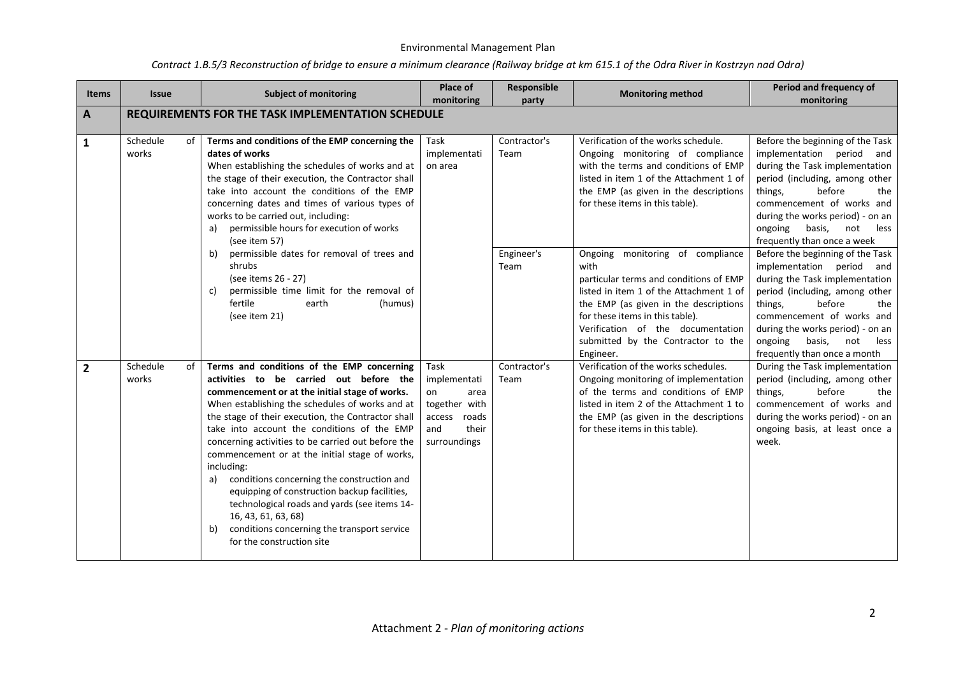| <b>Items</b> | <b>Issue</b>                                                                                                                                                                         | <b>Subject of monitoring</b>                                                                                                                                                                                                                                                                                                                                                                                                                                                                                                                                                                                                                                                       | Place of<br>monitoring                                                                              | Responsible<br>party | <b>Monitoring method</b>                                                                                                                                                                                                                                                                          | Period and frequency of<br>monitoring                                                                                                                                                                                                                                                           |
|--------------|--------------------------------------------------------------------------------------------------------------------------------------------------------------------------------------|------------------------------------------------------------------------------------------------------------------------------------------------------------------------------------------------------------------------------------------------------------------------------------------------------------------------------------------------------------------------------------------------------------------------------------------------------------------------------------------------------------------------------------------------------------------------------------------------------------------------------------------------------------------------------------|-----------------------------------------------------------------------------------------------------|----------------------|---------------------------------------------------------------------------------------------------------------------------------------------------------------------------------------------------------------------------------------------------------------------------------------------------|-------------------------------------------------------------------------------------------------------------------------------------------------------------------------------------------------------------------------------------------------------------------------------------------------|
| A            |                                                                                                                                                                                      | <b>REQUIREMENTS FOR THE TASK IMPLEMENTATION SCHEDULE</b>                                                                                                                                                                                                                                                                                                                                                                                                                                                                                                                                                                                                                           |                                                                                                     |                      |                                                                                                                                                                                                                                                                                                   |                                                                                                                                                                                                                                                                                                 |
| 1            | Schedule<br>of<br>works                                                                                                                                                              | Terms and conditions of the EMP concerning the<br>dates of works<br>When establishing the schedules of works and at<br>the stage of their execution, the Contractor shall<br>take into account the conditions of the EMP<br>concerning dates and times of various types of<br>works to be carried out, including:<br>permissible hours for execution of works<br>a)<br>(see item 57)                                                                                                                                                                                                                                                                                               | Task<br>implementati<br>on area                                                                     | Contractor's<br>Team | Verification of the works schedule.<br>Ongoing monitoring of compliance<br>with the terms and conditions of EMP<br>listed in item 1 of the Attachment 1 of<br>the EMP (as given in the descriptions<br>for these items in this table).                                                            | Before the beginning of the Task<br>implementation period and<br>during the Task implementation<br>period (including, among other<br>before<br>things,<br>the<br>commencement of works and<br>during the works period) - on an<br>basis, not<br>ongoing<br>less<br>frequently than once a week  |
|              | permissible dates for removal of trees and<br>b)<br>shrubs<br>(see items 26 - 27)<br>permissible time limit for the removal of<br>c)<br>fertile<br>earth<br>(humus)<br>(see item 21) |                                                                                                                                                                                                                                                                                                                                                                                                                                                                                                                                                                                                                                                                                    | Engineer's<br>Team                                                                                  |                      | Ongoing monitoring of compliance<br>with<br>particular terms and conditions of EMP<br>listed in item 1 of the Attachment 1 of<br>the EMP (as given in the descriptions<br>for these items in this table).<br>Verification of the documentation<br>submitted by the Contractor to the<br>Engineer. | Before the beginning of the Task<br>implementation period and<br>during the Task implementation<br>period (including, among other<br>things,<br>before<br>the<br>commencement of works and<br>during the works period) - on an<br>ongoing<br>basis, not<br>less<br>frequently than once a month |
| $\mathbf{2}$ | Schedule<br>of<br>works                                                                                                                                                              | Terms and conditions of the EMP concerning<br>activities to be carried out before the<br>commencement or at the initial stage of works.<br>When establishing the schedules of works and at<br>the stage of their execution, the Contractor shall<br>take into account the conditions of the EMP<br>concerning activities to be carried out before the<br>commencement or at the initial stage of works,<br>including:<br>conditions concerning the construction and<br>a)<br>equipping of construction backup facilities,<br>technological roads and yards (see items 14-<br>16, 43, 61, 63, 68)<br>conditions concerning the transport service<br>b)<br>for the construction site | Task<br>implementati<br>on<br>area<br>together with<br>access roads<br>their<br>and<br>surroundings | Contractor's<br>Team | Verification of the works schedules.<br>Ongoing monitoring of implementation<br>of the terms and conditions of EMP<br>listed in item 2 of the Attachment 1 to<br>the EMP (as given in the descriptions<br>for these items in this table).                                                         | During the Task implementation<br>period (including, among other<br>before<br>things,<br>the<br>commencement of works and<br>during the works period) - on an<br>ongoing basis, at least once a<br>week.                                                                                        |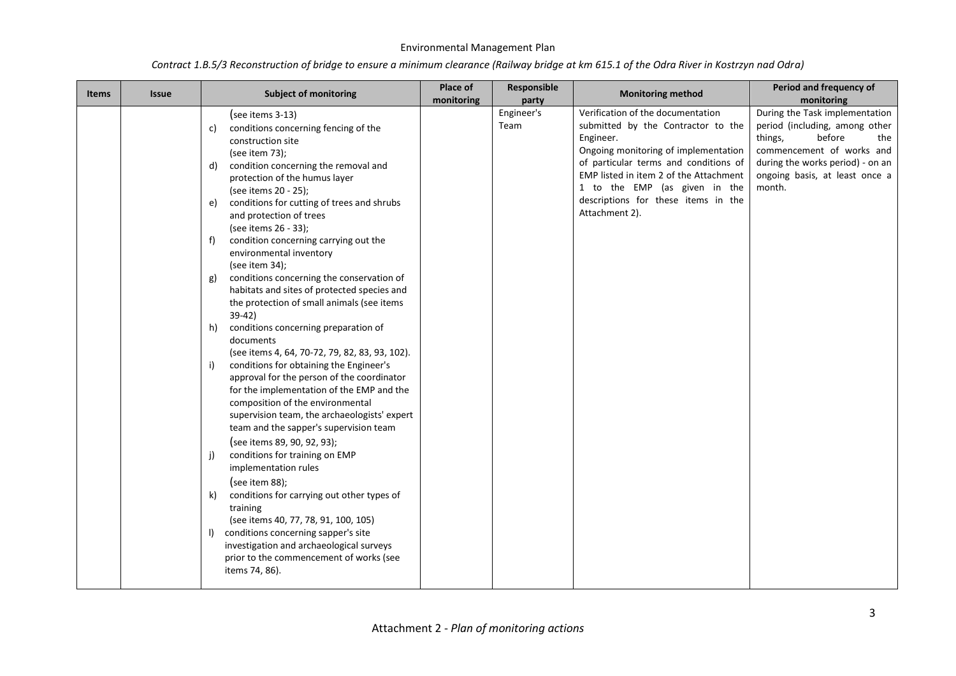| Contract 1.B.5/3 Reconstruction of bridge to ensure a minimum clearance (Railway bridge at km 615.1 of the Odra River in Kostrzyn nad Odra) |  |
|---------------------------------------------------------------------------------------------------------------------------------------------|--|
|---------------------------------------------------------------------------------------------------------------------------------------------|--|

| During the Task implementation<br>Engineer's<br>Verification of the documentation<br>(see items $3-13$ )<br>Team<br>submitted by the Contractor to the<br>period (including, among other<br>conditions concerning fencing of the<br>c)<br>before<br>Engineer.<br>things,<br>the<br>construction site<br>Ongoing monitoring of implementation<br>commencement of works and<br>(see item 73);<br>of particular terms and conditions of<br>during the works period) - on an<br>condition concerning the removal and<br>d)<br>EMP listed in item 2 of the Attachment<br>ongoing basis, at least once a<br>protection of the humus layer<br>1 to the EMP (as given in the<br>month.<br>(see items 20 - 25);<br>descriptions for these items in the<br>conditions for cutting of trees and shrubs<br>e)<br>Attachment 2).<br>and protection of trees<br>(see items 26 - 33);<br>condition concerning carrying out the<br>f)<br>environmental inventory<br>(see item 34);<br>conditions concerning the conservation of<br>g)<br>habitats and sites of protected species and<br>the protection of small animals (see items<br>$39-42)$<br>conditions concerning preparation of<br>h)<br>documents<br>(see items 4, 64, 70-72, 79, 82, 83, 93, 102).<br>conditions for obtaining the Engineer's<br>i)<br>approval for the person of the coordinator<br>for the implementation of the EMP and the<br>composition of the environmental<br>supervision team, the archaeologists' expert<br>team and the sapper's supervision team<br>(see items 89, 90, 92, 93);<br>conditions for training on EMP<br>j)<br>implementation rules<br>(see item $88$ );<br>conditions for carrying out other types of<br>k)<br>training<br>(see items 40, 77, 78, 91, 100, 105)<br>conditions concerning sapper's site<br>$\vert$<br>investigation and archaeological surveys<br>prior to the commencement of works (see<br>items 74, 86). | <b>Items</b> | <b>Issue</b> | <b>Subject of monitoring</b> | Place of   | Responsible | <b>Monitoring method</b> | Period and frequency of |
|--------------------------------------------------------------------------------------------------------------------------------------------------------------------------------------------------------------------------------------------------------------------------------------------------------------------------------------------------------------------------------------------------------------------------------------------------------------------------------------------------------------------------------------------------------------------------------------------------------------------------------------------------------------------------------------------------------------------------------------------------------------------------------------------------------------------------------------------------------------------------------------------------------------------------------------------------------------------------------------------------------------------------------------------------------------------------------------------------------------------------------------------------------------------------------------------------------------------------------------------------------------------------------------------------------------------------------------------------------------------------------------------------------------------------------------------------------------------------------------------------------------------------------------------------------------------------------------------------------------------------------------------------------------------------------------------------------------------------------------------------------------------------------------------------------------------------------------------------------------------------------------------------------------|--------------|--------------|------------------------------|------------|-------------|--------------------------|-------------------------|
|                                                                                                                                                                                                                                                                                                                                                                                                                                                                                                                                                                                                                                                                                                                                                                                                                                                                                                                                                                                                                                                                                                                                                                                                                                                                                                                                                                                                                                                                                                                                                                                                                                                                                                                                                                                                                                                                                                              |              |              |                              | monitoring | party       |                          | monitoring              |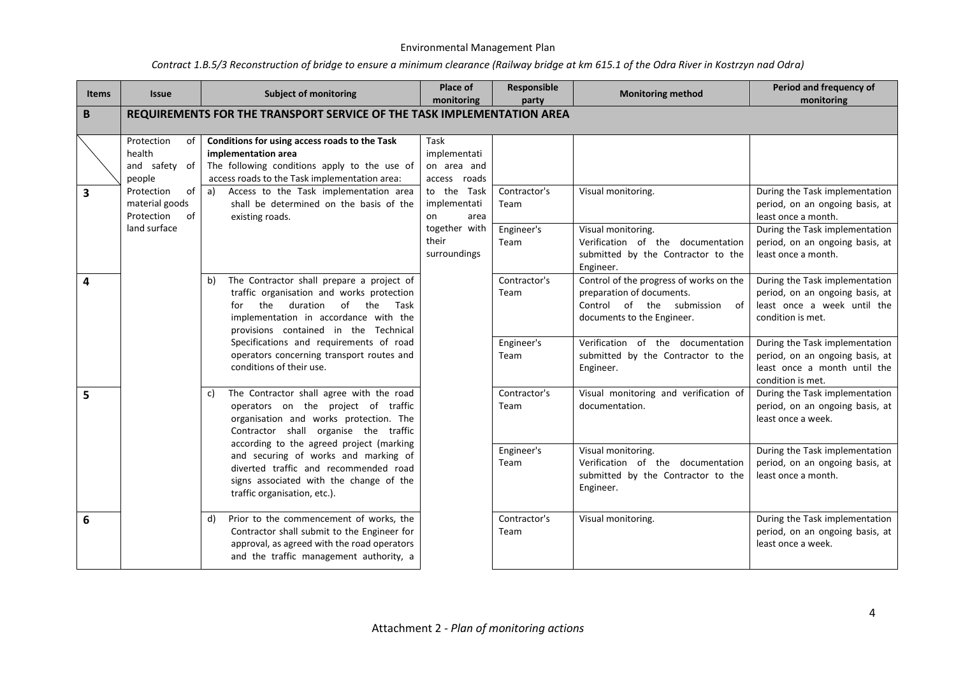| <b>Items</b> | <b>Subject of monitoring</b><br><b>Issue</b>                           |                                                                                                                                                                                                                               | Place of<br>monitoring                                                              | Responsible<br>party                       | <b>Monitoring method</b>                                                                                                                        | Period and frequency of<br>monitoring                                                                                                                                                |
|--------------|------------------------------------------------------------------------|-------------------------------------------------------------------------------------------------------------------------------------------------------------------------------------------------------------------------------|-------------------------------------------------------------------------------------|--------------------------------------------|-------------------------------------------------------------------------------------------------------------------------------------------------|--------------------------------------------------------------------------------------------------------------------------------------------------------------------------------------|
| B            |                                                                        | REQUIREMENTS FOR THE TRANSPORT SERVICE OF THE TASK IMPLEMENTATION AREA                                                                                                                                                        |                                                                                     |                                            |                                                                                                                                                 |                                                                                                                                                                                      |
|              | Protection<br>of<br>health<br>and safety of<br>people                  | Conditions for using access roads to the Task<br>implementation area<br>The following conditions apply to the use of<br>access roads to the Task implementation area:                                                         | Task<br>implementati<br>on area and<br>access roads                                 |                                            |                                                                                                                                                 |                                                                                                                                                                                      |
| 3            | Protection<br>0f<br>material goods<br>of<br>Protection<br>land surface | Access to the Task implementation area<br>a)<br>shall be determined on the basis of the<br>existing roads.                                                                                                                    | to the Task<br>implementati<br>area<br>on<br>together with<br>their<br>surroundings | Contractor's<br>Team<br>Engineer's<br>Team | Visual monitoring.<br>Visual monitoring.<br>Verification of the documentation<br>submitted by the Contractor to the                             | During the Task implementation<br>period, on an ongoing basis, at<br>least once a month.<br>During the Task implementation<br>period, on an ongoing basis, at<br>least once a month. |
| 4            |                                                                        | The Contractor shall prepare a project of<br>b)<br>traffic organisation and works protection<br>the<br>duration<br>of<br>the<br>Task<br>for<br>implementation in accordance with the<br>provisions contained in the Technical |                                                                                     | Contractor's<br>Team                       | Engineer.<br>Control of the progress of works on the<br>preparation of documents.<br>Control of the submission of<br>documents to the Engineer. | During the Task implementation<br>period, on an ongoing basis, at<br>least once a week until the<br>condition is met.                                                                |
|              |                                                                        | Specifications and requirements of road<br>operators concerning transport routes and<br>conditions of their use.                                                                                                              |                                                                                     | Engineer's<br>Team                         | Verification of the documentation<br>submitted by the Contractor to the<br>Engineer.                                                            | During the Task implementation<br>period, on an ongoing basis, at<br>least once a month until the<br>condition is met.                                                               |
| 5            |                                                                        | The Contractor shall agree with the road<br>c)<br>operators on the project of traffic<br>organisation and works protection. The<br>Contractor shall organise the traffic                                                      |                                                                                     | Contractor's<br>Team                       | Visual monitoring and verification of<br>documentation.                                                                                         | During the Task implementation<br>period, on an ongoing basis, at<br>least once a week.                                                                                              |
|              |                                                                        | according to the agreed project (marking<br>and securing of works and marking of<br>diverted traffic and recommended road<br>signs associated with the change of the<br>traffic organisation, etc.).                          |                                                                                     | Engineer's<br>Team                         | Visual monitoring.<br>Verification of the documentation<br>submitted by the Contractor to the<br>Engineer.                                      | During the Task implementation<br>period, on an ongoing basis, at<br>least once a month.                                                                                             |
| 6            |                                                                        | Prior to the commencement of works, the<br>d)<br>Contractor shall submit to the Engineer for<br>approval, as agreed with the road operators<br>and the traffic management authority, a                                        |                                                                                     | Contractor's<br>Team                       | Visual monitoring.                                                                                                                              | During the Task implementation<br>period, on an ongoing basis, at<br>least once a week.                                                                                              |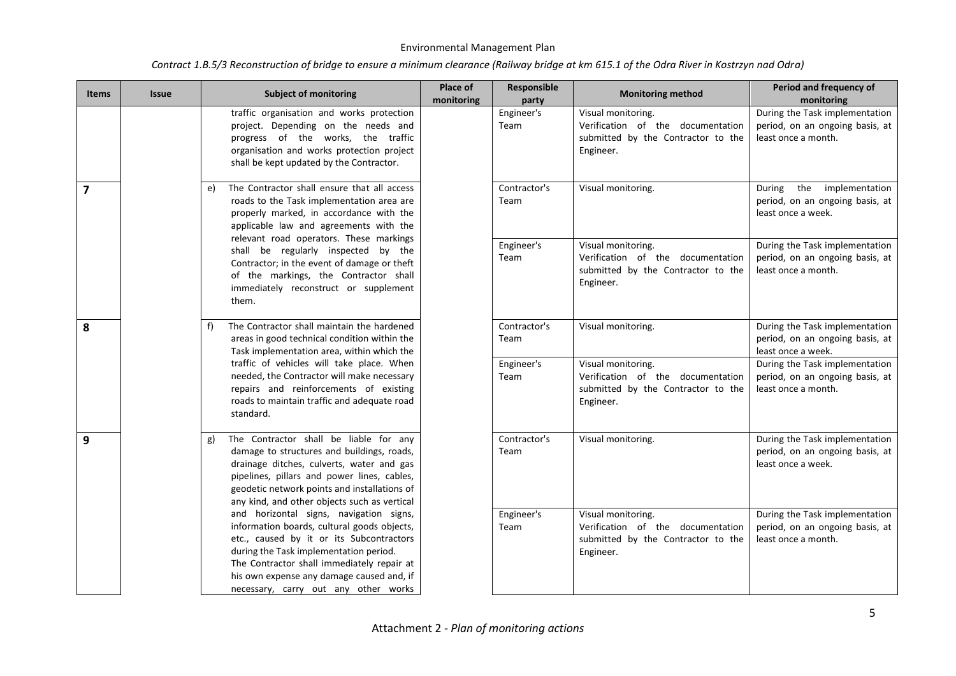| <b>Items</b>   | <b>Issue</b> | <b>Subject of monitoring</b>                                                                                                                                                                                                                                                                                    | Place of<br>monitoring | Responsible<br>party | <b>Monitoring method</b>                                                                                   | Period and frequency of<br>monitoring                                                    |
|----------------|--------------|-----------------------------------------------------------------------------------------------------------------------------------------------------------------------------------------------------------------------------------------------------------------------------------------------------------------|------------------------|----------------------|------------------------------------------------------------------------------------------------------------|------------------------------------------------------------------------------------------|
|                |              | traffic organisation and works protection<br>project. Depending on the needs and<br>progress of the works, the traffic<br>organisation and works protection project<br>shall be kept updated by the Contractor.                                                                                                 |                        | Engineer's<br>Team   | Visual monitoring.<br>Verification of the documentation<br>submitted by the Contractor to the<br>Engineer. | During the Task implementation<br>period, on an ongoing basis, at<br>least once a month. |
| $\overline{ }$ |              | The Contractor shall ensure that all access<br>e)<br>roads to the Task implementation area are<br>properly marked, in accordance with the<br>applicable law and agreements with the<br>relevant road operators. These markings                                                                                  |                        | Contractor's<br>Team | Visual monitoring.                                                                                         | During the implementation<br>period, on an ongoing basis, at<br>least once a week.       |
|                |              | shall be regularly inspected by the<br>Contractor; in the event of damage or theft<br>of the markings, the Contractor shall<br>immediately reconstruct or supplement<br>them.                                                                                                                                   |                        | Engineer's<br>Team   | Visual monitoring.<br>Verification of the documentation<br>submitted by the Contractor to the<br>Engineer. | During the Task implementation<br>period, on an ongoing basis, at<br>least once a month. |
| 8              |              | The Contractor shall maintain the hardened<br>f)<br>areas in good technical condition within the<br>Task implementation area, within which the                                                                                                                                                                  |                        | Contractor's<br>Team | Visual monitoring.                                                                                         | During the Task implementation<br>period, on an ongoing basis, at<br>least once a week.  |
|                |              | traffic of vehicles will take place. When<br>needed, the Contractor will make necessary<br>repairs and reinforcements of existing<br>roads to maintain traffic and adequate road<br>standard.                                                                                                                   |                        | Engineer's<br>Team   | Visual monitoring.<br>Verification of the documentation<br>submitted by the Contractor to the<br>Engineer. | During the Task implementation<br>period, on an ongoing basis, at<br>least once a month. |
| 9              |              | The Contractor shall be liable for any<br>g)<br>damage to structures and buildings, roads,<br>drainage ditches, culverts, water and gas<br>pipelines, pillars and power lines, cables,<br>geodetic network points and installations of<br>any kind, and other objects such as vertical                          |                        | Contractor's<br>Team | Visual monitoring.                                                                                         | During the Task implementation<br>period, on an ongoing basis, at<br>least once a week.  |
|                |              | and horizontal signs, navigation signs,<br>information boards, cultural goods objects,<br>etc., caused by it or its Subcontractors<br>during the Task implementation period.<br>The Contractor shall immediately repair at<br>his own expense any damage caused and, if<br>necessary, carry out any other works |                        | Engineer's<br>Team   | Visual monitoring.<br>Verification of the documentation<br>submitted by the Contractor to the<br>Engineer. | During the Task implementation<br>period, on an ongoing basis, at<br>least once a month. |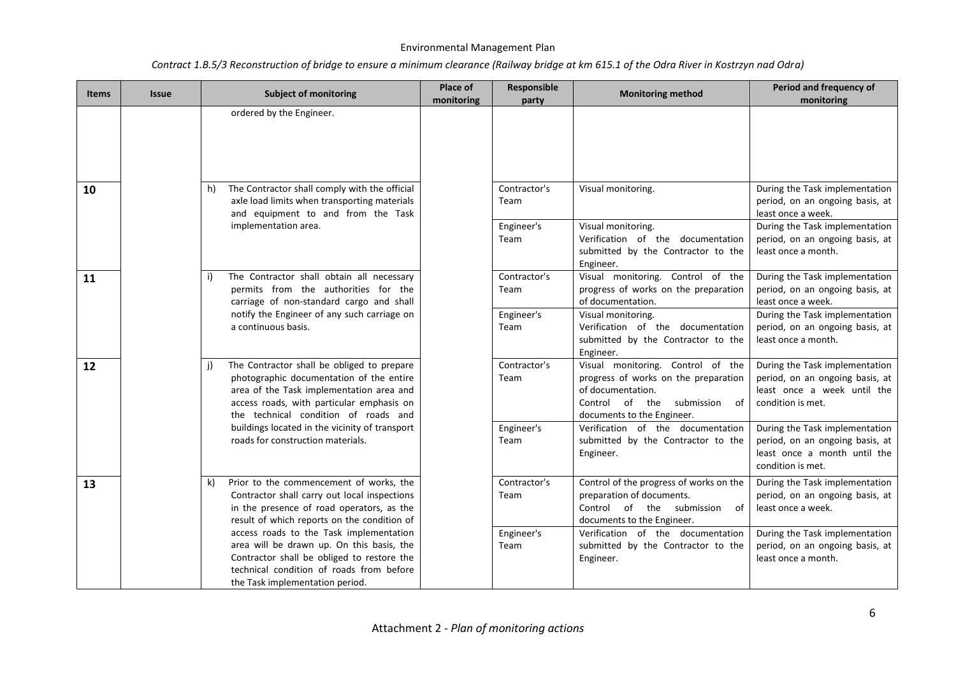| <b>Items</b> | <b>Issue</b> | <b>Subject of monitoring</b>                                                                                                                                                                                                  | Place of<br>monitoring | Responsible<br>party | <b>Monitoring method</b>                                                                                                                                     | Period and frequency of<br>monitoring                                                                                  |
|--------------|--------------|-------------------------------------------------------------------------------------------------------------------------------------------------------------------------------------------------------------------------------|------------------------|----------------------|--------------------------------------------------------------------------------------------------------------------------------------------------------------|------------------------------------------------------------------------------------------------------------------------|
|              |              | ordered by the Engineer.                                                                                                                                                                                                      |                        |                      |                                                                                                                                                              |                                                                                                                        |
|              |              |                                                                                                                                                                                                                               |                        |                      |                                                                                                                                                              |                                                                                                                        |
|              |              |                                                                                                                                                                                                                               |                        |                      |                                                                                                                                                              |                                                                                                                        |
| 10           |              | The Contractor shall comply with the official<br>h)<br>axle load limits when transporting materials<br>and equipment to and from the Task                                                                                     |                        | Contractor's<br>Team | Visual monitoring.                                                                                                                                           | During the Task implementation<br>period, on an ongoing basis, at<br>least once a week.                                |
|              |              | implementation area.                                                                                                                                                                                                          |                        | Engineer's<br>Team   | Visual monitoring.<br>Verification of the documentation<br>submitted by the Contractor to the<br>Engineer.                                                   | During the Task implementation<br>period, on an ongoing basis, at<br>least once a month.                               |
| 11           |              | The Contractor shall obtain all necessary<br>i)<br>permits from the authorities for the<br>carriage of non-standard cargo and shall                                                                                           |                        | Contractor's<br>Team | Visual monitoring. Control of the<br>progress of works on the preparation<br>of documentation.                                                               | During the Task implementation<br>period, on an ongoing basis, at<br>least once a week.                                |
|              |              | notify the Engineer of any such carriage on<br>a continuous basis.                                                                                                                                                            |                        | Engineer's<br>Team   | Visual monitoring.<br>Verification of the documentation<br>submitted by the Contractor to the<br>Engineer.                                                   | During the Task implementation<br>period, on an ongoing basis, at<br>least once a month.                               |
| 12           |              | The Contractor shall be obliged to prepare<br>j)<br>photographic documentation of the entire<br>area of the Task implementation area and<br>access roads, with particular emphasis on<br>the technical condition of roads and |                        | Contractor's<br>Team | Visual monitoring. Control of the<br>progress of works on the preparation<br>of documentation.<br>Control of the submission of<br>documents to the Engineer. | During the Task implementation<br>period, on an ongoing basis, at<br>least once a week until the<br>condition is met.  |
|              |              | buildings located in the vicinity of transport<br>roads for construction materials.                                                                                                                                           |                        | Engineer's<br>Team   | Verification of the documentation<br>submitted by the Contractor to the<br>Engineer.                                                                         | During the Task implementation<br>period, on an ongoing basis, at<br>least once a month until the<br>condition is met. |
| 13           |              | Prior to the commencement of works, the<br>k)<br>Contractor shall carry out local inspections<br>in the presence of road operators, as the<br>result of which reports on the condition of                                     |                        | Contractor's<br>Team | Control of the progress of works on the<br>preparation of documents.<br>Control of the submission of<br>documents to the Engineer.                           | During the Task implementation<br>period, on an ongoing basis, at<br>least once a week.                                |
|              |              | access roads to the Task implementation<br>area will be drawn up. On this basis, the<br>Contractor shall be obliged to restore the<br>technical condition of roads from before<br>the Task implementation period.             |                        | Engineer's<br>Team   | Verification of the documentation<br>submitted by the Contractor to the<br>Engineer.                                                                         | During the Task implementation<br>period, on an ongoing basis, at<br>least once a month.                               |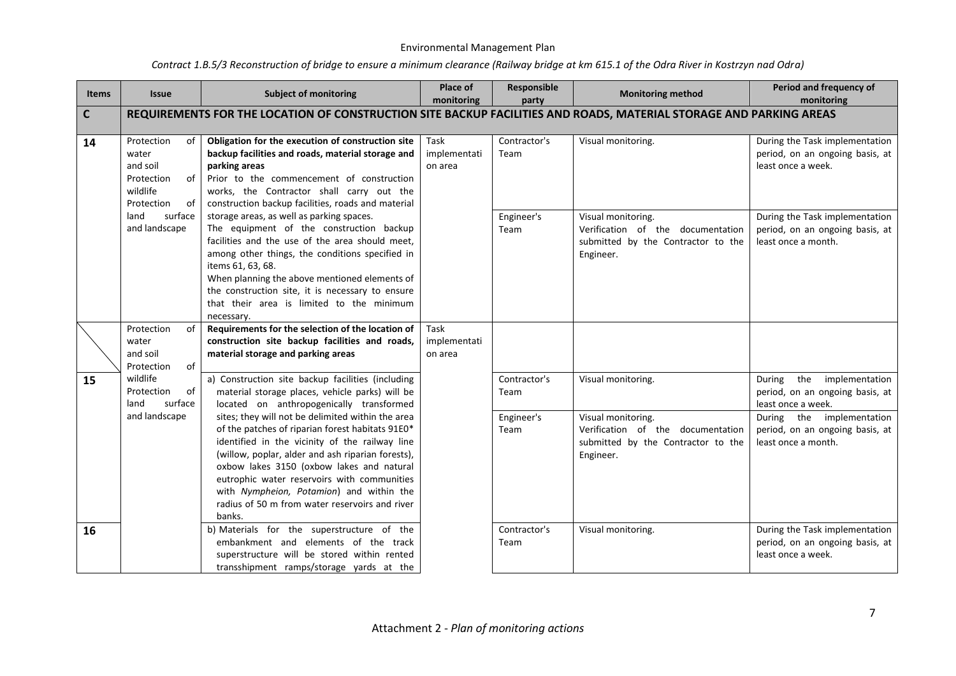| <b>Items</b> | <b>Issue</b>                                                                                                                                                                                                                                                                                                                                                                                                         | <b>Subject of monitoring</b>                                                                                                                                                                                                                                                                                                                                                                                                                                                                                                                                         | Place of<br>monitoring          | Responsible<br>party                       | <b>Monitoring method</b>                                                                                                         | Period and frequency of<br>monitoring                                                                                                                                        |
|--------------|----------------------------------------------------------------------------------------------------------------------------------------------------------------------------------------------------------------------------------------------------------------------------------------------------------------------------------------------------------------------------------------------------------------------|----------------------------------------------------------------------------------------------------------------------------------------------------------------------------------------------------------------------------------------------------------------------------------------------------------------------------------------------------------------------------------------------------------------------------------------------------------------------------------------------------------------------------------------------------------------------|---------------------------------|--------------------------------------------|----------------------------------------------------------------------------------------------------------------------------------|------------------------------------------------------------------------------------------------------------------------------------------------------------------------------|
| $\mathsf{C}$ |                                                                                                                                                                                                                                                                                                                                                                                                                      | REQUIREMENTS FOR THE LOCATION OF CONSTRUCTION SITE BACKUP FACILITIES AND ROADS, MATERIAL STORAGE AND PARKING AREAS                                                                                                                                                                                                                                                                                                                                                                                                                                                   |                                 |                                            |                                                                                                                                  |                                                                                                                                                                              |
| 14           | Protection<br>of<br>water<br>and soil<br>of<br>Protection<br>wildlife<br>Protection<br>of                                                                                                                                                                                                                                                                                                                            | Obligation for the execution of construction site<br>backup facilities and roads, material storage and<br>parking areas<br>Prior to the commencement of construction<br>works, the Contractor shall carry out the<br>construction backup facilities, roads and material                                                                                                                                                                                                                                                                                              | Task<br>implementati<br>on area | Contractor's<br>Team                       | Visual monitoring.                                                                                                               | During the Task implementation<br>period, on an ongoing basis, at<br>least once a week.                                                                                      |
|              | land<br>surface<br>storage areas, as well as parking spaces.<br>The equipment of the construction backup<br>and landscape<br>facilities and the use of the area should meet,<br>among other things, the conditions specified in<br>items 61, 63, 68.<br>When planning the above mentioned elements of<br>the construction site, it is necessary to ensure<br>that their area is limited to the minimum<br>necessary. |                                                                                                                                                                                                                                                                                                                                                                                                                                                                                                                                                                      |                                 | Engineer's<br>Team                         | Visual monitoring.<br>Verification of the documentation<br>submitted by the Contractor to the<br>Engineer.                       | During the Task implementation<br>period, on an ongoing basis, at<br>least once a month.                                                                                     |
|              | Protection<br>of<br>water<br>and soil<br>of<br>Protection                                                                                                                                                                                                                                                                                                                                                            | Requirements for the selection of the location of<br>construction site backup facilities and roads,<br>material storage and parking areas                                                                                                                                                                                                                                                                                                                                                                                                                            | Task<br>implementati<br>on area |                                            |                                                                                                                                  |                                                                                                                                                                              |
| 15           | wildlife<br>Protection<br>of<br>surface<br>land<br>and landscape                                                                                                                                                                                                                                                                                                                                                     | a) Construction site backup facilities (including<br>material storage places, vehicle parks) will be<br>located on anthropogenically transformed<br>sites; they will not be delimited within the area<br>of the patches of riparian forest habitats 91E0*<br>identified in the vicinity of the railway line<br>(willow, poplar, alder and ash riparian forests),<br>oxbow lakes 3150 (oxbow lakes and natural<br>eutrophic water reservoirs with communities<br>with Nympheion, Potamion) and within the<br>radius of 50 m from water reservoirs and river<br>banks. |                                 | Contractor's<br>Team<br>Engineer's<br>Team | Visual monitoring.<br>Visual monitoring.<br>Verification of the documentation<br>submitted by the Contractor to the<br>Engineer. | the implementation<br>During<br>period, on an ongoing basis, at<br>least once a week.<br>During the implementation<br>period, on an ongoing basis, at<br>least once a month. |
| 16           |                                                                                                                                                                                                                                                                                                                                                                                                                      | b) Materials for the superstructure of the<br>embankment and elements of the track<br>superstructure will be stored within rented<br>transshipment ramps/storage yards at the                                                                                                                                                                                                                                                                                                                                                                                        |                                 | Contractor's<br>Team                       | Visual monitoring.                                                                                                               | During the Task implementation<br>period, on an ongoing basis, at<br>least once a week.                                                                                      |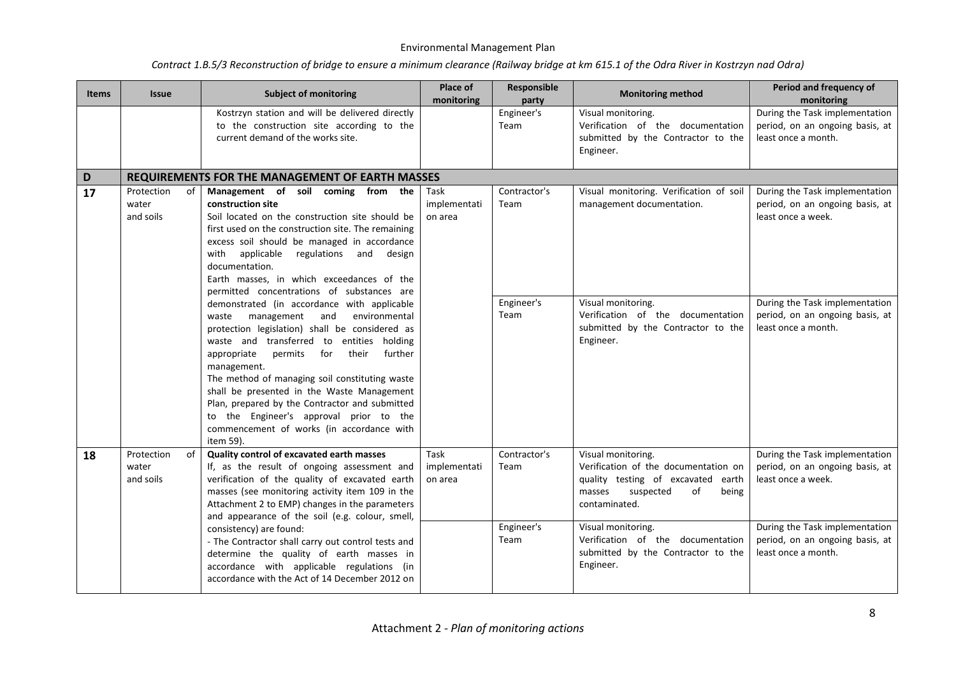| <b>Items</b> | <b>Issue</b>                           | <b>Subject of monitoring</b>                                                                                                                                                                                                                                                                                                                                                                                                                                                                                                                                        | Place of<br>monitoring          | Responsible<br>party                       | <b>Monitoring method</b>                                                                                                                                                           | Period and frequency of<br>monitoring                                                                                                                                               |
|--------------|----------------------------------------|---------------------------------------------------------------------------------------------------------------------------------------------------------------------------------------------------------------------------------------------------------------------------------------------------------------------------------------------------------------------------------------------------------------------------------------------------------------------------------------------------------------------------------------------------------------------|---------------------------------|--------------------------------------------|------------------------------------------------------------------------------------------------------------------------------------------------------------------------------------|-------------------------------------------------------------------------------------------------------------------------------------------------------------------------------------|
|              |                                        | Kostrzyn station and will be delivered directly<br>to the construction site according to the<br>current demand of the works site.                                                                                                                                                                                                                                                                                                                                                                                                                                   |                                 | Engineer's<br>Team                         | Visual monitoring.<br>Verification of the documentation<br>submitted by the Contractor to the<br>Engineer.                                                                         | During the Task implementation<br>period, on an ongoing basis, at<br>least once a month.                                                                                            |
| D            |                                        | <b>REQUIREMENTS FOR THE MANAGEMENT OF EARTH MASSES</b>                                                                                                                                                                                                                                                                                                                                                                                                                                                                                                              |                                 |                                            |                                                                                                                                                                                    |                                                                                                                                                                                     |
| 17           | Protection<br>of<br>water<br>and soils | Management of soil coming from the<br>construction site<br>Soil located on the construction site should be<br>first used on the construction site. The remaining<br>excess soil should be managed in accordance<br>with applicable regulations and design<br>documentation.<br>Earth masses, in which exceedances of the<br>permitted concentrations of substances are<br>demonstrated (in accordance with applicable<br>management<br>and<br>environmental<br>waste<br>protection legislation) shall be considered as<br>waste and transferred to entities holding | Task<br>implementati<br>on area | Contractor's<br>Team<br>Engineer's<br>Team | Visual monitoring. Verification of soil<br>management documentation.<br>Visual monitoring.<br>Verification of the documentation<br>submitted by the Contractor to the<br>Engineer. | During the Task implementation<br>period, on an ongoing basis, at<br>least once a week.<br>During the Task implementation<br>period, on an ongoing basis, at<br>least once a month. |
|              |                                        | permits<br>for<br>their<br>further<br>appropriate<br>management.<br>The method of managing soil constituting waste<br>shall be presented in the Waste Management<br>Plan, prepared by the Contractor and submitted<br>to the Engineer's approval prior to the<br>commencement of works (in accordance with<br>item 59).                                                                                                                                                                                                                                             |                                 |                                            |                                                                                                                                                                                    |                                                                                                                                                                                     |
| 18           | Protection<br>of<br>water<br>and soils | Quality control of excavated earth masses<br>If, as the result of ongoing assessment and<br>verification of the quality of excavated earth<br>masses (see monitoring activity item 109 in the<br>Attachment 2 to EMP) changes in the parameters<br>and appearance of the soil (e.g. colour, smell,                                                                                                                                                                                                                                                                  | Task<br>implementati<br>on area | Contractor's<br>Team                       | Visual monitoring.<br>Verification of the documentation on<br>quality testing of excavated earth<br>suspected<br>of<br>masses<br>being<br>contaminated.                            | During the Task implementation<br>period, on an ongoing basis, at<br>least once a week.                                                                                             |
|              |                                        | consistency) are found:<br>- The Contractor shall carry out control tests and<br>determine the quality of earth masses in<br>accordance with applicable regulations (in<br>accordance with the Act of 14 December 2012 on                                                                                                                                                                                                                                                                                                                                           |                                 | Engineer's<br>Team                         | Visual monitoring.<br>Verification of the documentation<br>submitted by the Contractor to the<br>Engineer.                                                                         | During the Task implementation<br>period, on an ongoing basis, at<br>least once a month.                                                                                            |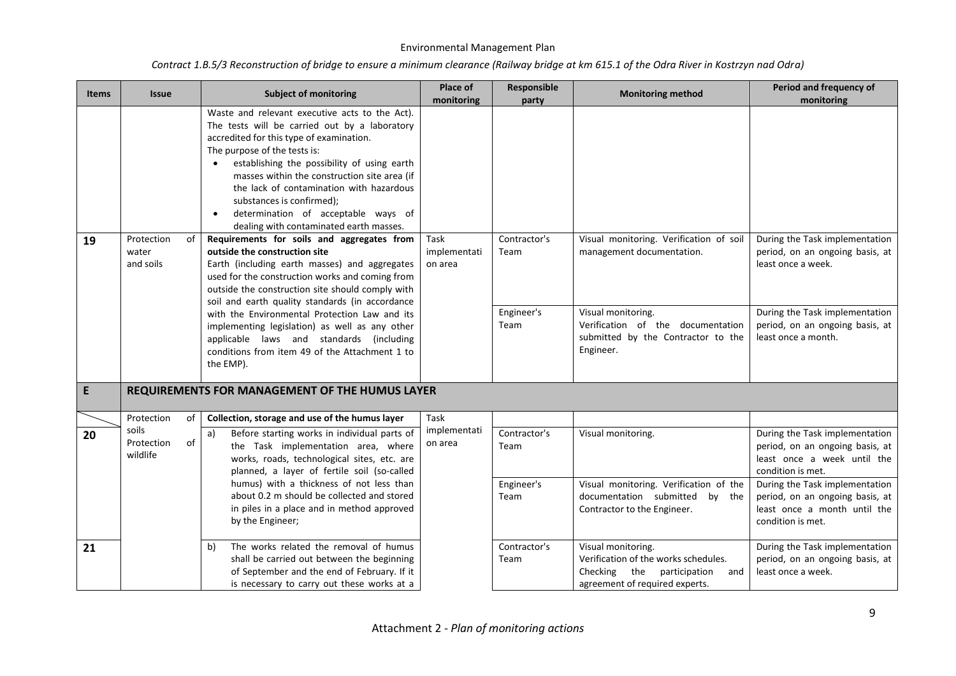| <b>Items</b> | <b>Issue</b>                           |                                                                                                       | <b>Subject of monitoring</b>                                                                                                                                                                                                                                                                                                 | Place of<br>monitoring          | Responsible<br>party | <b>Monitoring method</b>                                                                                                          | Period and frequency of<br>monitoring                                                                                  |
|--------------|----------------------------------------|-------------------------------------------------------------------------------------------------------|------------------------------------------------------------------------------------------------------------------------------------------------------------------------------------------------------------------------------------------------------------------------------------------------------------------------------|---------------------------------|----------------------|-----------------------------------------------------------------------------------------------------------------------------------|------------------------------------------------------------------------------------------------------------------------|
|              |                                        | accredited for this type of examination.<br>The purpose of the tests is:<br>substances is confirmed); | Waste and relevant executive acts to the Act).<br>The tests will be carried out by a laboratory<br>establishing the possibility of using earth<br>masses within the construction site area (if<br>the lack of contamination with hazardous<br>determination of acceptable ways of<br>dealing with contaminated earth masses. |                                 |                      |                                                                                                                                   |                                                                                                                        |
| 19           | Protection<br>of<br>water<br>and soils | outside the construction site                                                                         | Requirements for soils and aggregates from<br>Earth (including earth masses) and aggregates<br>used for the construction works and coming from<br>outside the construction site should comply with<br>soil and earth quality standards (in accordance                                                                        | Task<br>implementati<br>on area | Contractor's<br>Team | Visual monitoring. Verification of soil<br>management documentation.                                                              | During the Task implementation<br>period, on an ongoing basis, at<br>least once a week.                                |
|              |                                        | the EMP).                                                                                             | with the Environmental Protection Law and its<br>implementing legislation) as well as any other<br>applicable laws and standards (including<br>conditions from item 49 of the Attachment 1 to                                                                                                                                |                                 | Engineer's<br>Team   | Visual monitoring.<br>Verification of the documentation<br>submitted by the Contractor to the<br>Engineer.                        | During the Task implementation<br>period, on an ongoing basis, at<br>least once a month.                               |
| E            |                                        |                                                                                                       | REQUIREMENTS FOR MANAGEMENT OF THE HUMUS LAYER                                                                                                                                                                                                                                                                               |                                 |                      |                                                                                                                                   |                                                                                                                        |
|              | Protection<br>of                       | Collection, storage and use of the humus layer                                                        |                                                                                                                                                                                                                                                                                                                              | Task                            |                      |                                                                                                                                   |                                                                                                                        |
| 20           | soils<br>Protection<br>of<br>wildlife  | a)                                                                                                    | Before starting works in individual parts of<br>the Task implementation area, where<br>works, roads, technological sites, etc. are<br>planned, a layer of fertile soil (so-called                                                                                                                                            | implementati<br>on area         | Contractor's<br>Team | Visual monitoring.                                                                                                                | During the Task implementation<br>period, on an ongoing basis, at<br>least once a week until the<br>condition is met.  |
|              |                                        | by the Engineer;                                                                                      | humus) with a thickness of not less than<br>about 0.2 m should be collected and stored<br>in piles in a place and in method approved                                                                                                                                                                                         |                                 | Engineer's<br>Team   | Visual monitoring. Verification of the<br>documentation submitted by the<br>Contractor to the Engineer.                           | During the Task implementation<br>period, on an ongoing basis, at<br>least once a month until the<br>condition is met. |
| 21           |                                        | b)                                                                                                    | The works related the removal of humus<br>shall be carried out between the beginning<br>of September and the end of February. If it<br>is necessary to carry out these works at a                                                                                                                                            |                                 | Contractor's<br>Team | Visual monitoring.<br>Verification of the works schedules.<br>Checking the participation<br>and<br>agreement of required experts. | During the Task implementation<br>period, on an ongoing basis, at<br>least once a week.                                |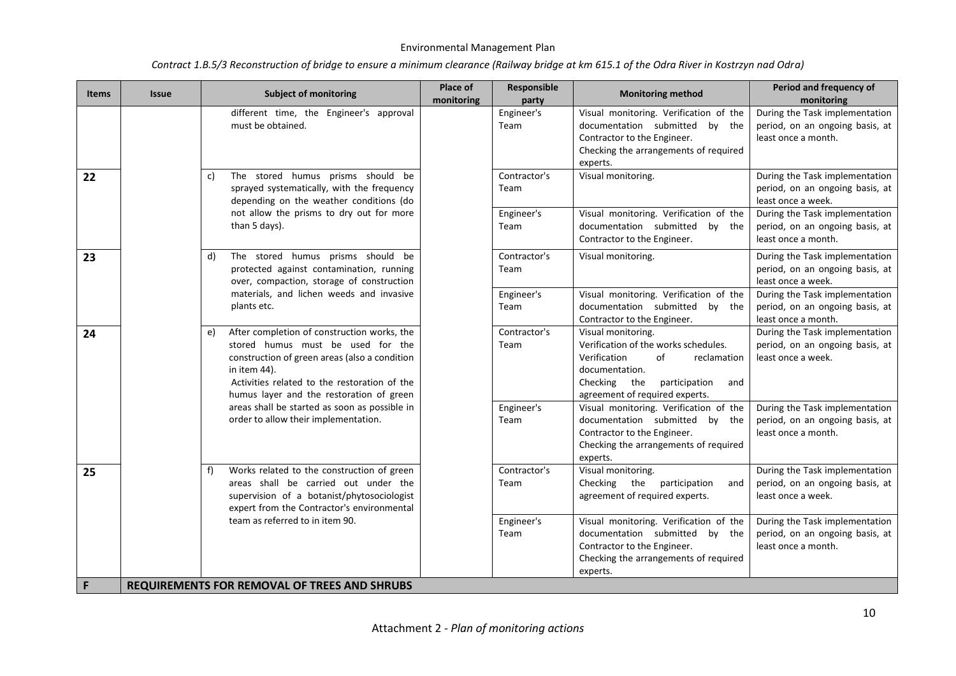| <b>Items</b> | <b>Issue</b> | <b>Subject of monitoring</b>                                                                                                                                                                                                                        | Place of<br>monitoring | Responsible<br>party | <b>Monitoring method</b>                                                                                                                                                                    | Period and frequency of<br>monitoring                                                    |
|--------------|--------------|-----------------------------------------------------------------------------------------------------------------------------------------------------------------------------------------------------------------------------------------------------|------------------------|----------------------|---------------------------------------------------------------------------------------------------------------------------------------------------------------------------------------------|------------------------------------------------------------------------------------------|
|              |              | different time, the Engineer's approval<br>must be obtained.                                                                                                                                                                                        |                        | Engineer's<br>Team   | Visual monitoring. Verification of the<br>documentation submitted by the<br>Contractor to the Engineer.<br>Checking the arrangements of required<br>experts.                                | During the Task implementation<br>period, on an ongoing basis, at<br>least once a month. |
| 22           |              | The stored humus prisms should be<br>c)<br>sprayed systematically, with the frequency<br>depending on the weather conditions (do                                                                                                                    |                        | Contractor's<br>Team | Visual monitoring.                                                                                                                                                                          | During the Task implementation<br>period, on an ongoing basis, at<br>least once a week.  |
|              |              | not allow the prisms to dry out for more<br>than 5 days).                                                                                                                                                                                           |                        | Engineer's<br>Team   | Visual monitoring. Verification of the<br>documentation submitted<br>by the<br>Contractor to the Engineer.                                                                                  | During the Task implementation<br>period, on an ongoing basis, at<br>least once a month. |
| 23           |              | The stored humus prisms should be<br>d)<br>protected against contamination, running<br>over, compaction, storage of construction                                                                                                                    |                        | Contractor's<br>Team | Visual monitoring.                                                                                                                                                                          | During the Task implementation<br>period, on an ongoing basis, at<br>least once a week.  |
|              |              | materials, and lichen weeds and invasive<br>plants etc.                                                                                                                                                                                             |                        | Engineer's<br>Team   | Visual monitoring. Verification of the<br>documentation submitted by the<br>Contractor to the Engineer.                                                                                     | During the Task implementation<br>period, on an ongoing basis, at<br>least once a month. |
| 24           |              | After completion of construction works, the<br>e)<br>stored humus must be used for the<br>construction of green areas (also a condition<br>in item 44).<br>Activities related to the restoration of the<br>humus layer and the restoration of green |                        | Contractor's<br>Team | Visual monitoring.<br>Verification of the works schedules.<br>Verification<br>of<br>reclamation<br>documentation.<br>Checking the<br>participation<br>and<br>agreement of required experts. | During the Task implementation<br>period, on an ongoing basis, at<br>least once a week.  |
|              |              | areas shall be started as soon as possible in<br>order to allow their implementation.                                                                                                                                                               |                        | Engineer's<br>Team   | Visual monitoring. Verification of the<br>documentation submitted by the<br>Contractor to the Engineer.<br>Checking the arrangements of required<br>experts.                                | During the Task implementation<br>period, on an ongoing basis, at<br>least once a month. |
| 25           |              | Works related to the construction of green<br>f)<br>areas shall be carried out under the<br>supervision of a botanist/phytosociologist<br>expert from the Contractor's environmental                                                                |                        | Contractor's<br>Team | Visual monitoring.<br>Checking the participation<br>and<br>agreement of required experts.                                                                                                   | During the Task implementation<br>period, on an ongoing basis, at<br>least once a week.  |
|              |              | team as referred to in item 90.                                                                                                                                                                                                                     |                        | Engineer's<br>Team   | Visual monitoring. Verification of the<br>documentation submitted by the<br>Contractor to the Engineer.<br>Checking the arrangements of required<br>experts.                                | During the Task implementation<br>period, on an ongoing basis, at<br>least once a month. |
| F            |              | <b>REQUIREMENTS FOR REMOVAL OF TREES AND SHRUBS</b>                                                                                                                                                                                                 |                        |                      |                                                                                                                                                                                             |                                                                                          |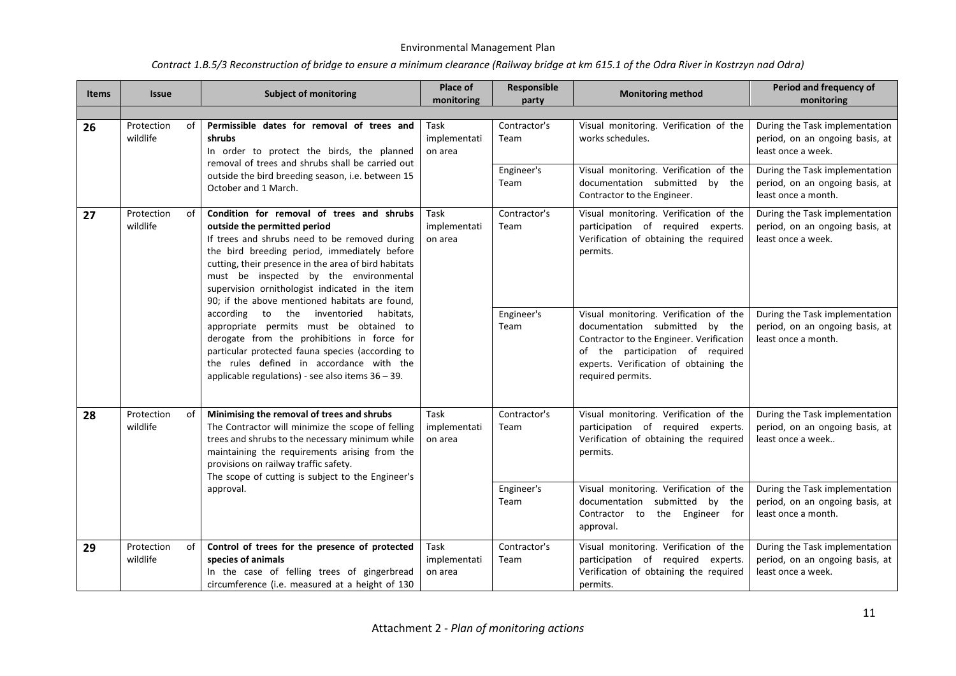| <b>Items</b> | <b>Issue</b>                 | <b>Subject of monitoring</b>                                                                                                                                                                                                                                                                                                                                                            | Place of<br>monitoring          | Responsible<br>party | <b>Monitoring method</b>                                                                                                                                                                                                | Period and frequency of<br>monitoring                                                    |
|--------------|------------------------------|-----------------------------------------------------------------------------------------------------------------------------------------------------------------------------------------------------------------------------------------------------------------------------------------------------------------------------------------------------------------------------------------|---------------------------------|----------------------|-------------------------------------------------------------------------------------------------------------------------------------------------------------------------------------------------------------------------|------------------------------------------------------------------------------------------|
|              |                              |                                                                                                                                                                                                                                                                                                                                                                                         |                                 |                      |                                                                                                                                                                                                                         |                                                                                          |
| 26           | Protection<br>of<br>wildlife | Permissible dates for removal of trees and<br>shrubs<br>In order to protect the birds, the planned<br>removal of trees and shrubs shall be carried out                                                                                                                                                                                                                                  | Task<br>implementati<br>on area | Contractor's<br>Team | Visual monitoring. Verification of the<br>works schedules.                                                                                                                                                              | During the Task implementation<br>period, on an ongoing basis, at<br>least once a week.  |
|              |                              | outside the bird breeding season, i.e. between 15<br>October and 1 March.                                                                                                                                                                                                                                                                                                               |                                 | Engineer's<br>Team   | Visual monitoring. Verification of the<br>documentation submitted by the<br>Contractor to the Engineer.                                                                                                                 | During the Task implementation<br>period, on an ongoing basis, at<br>least once a month. |
| 27           | Protection<br>wildlife       | Condition for removal of trees and shrubs<br>of<br>outside the permitted period<br>If trees and shrubs need to be removed during<br>the bird breeding period, immediately before<br>cutting, their presence in the area of bird habitats<br>must be inspected by the environmental<br>supervision ornithologist indicated in the item<br>90; if the above mentioned habitats are found, |                                 | Contractor's<br>Team | Visual monitoring. Verification of the<br>participation of required experts.<br>Verification of obtaining the required<br>permits.                                                                                      | During the Task implementation<br>period, on an ongoing basis, at<br>least once a week.  |
|              |                              | according<br>to the<br>inventoried<br>habitats,<br>appropriate permits must be obtained to<br>derogate from the prohibitions in force for<br>particular protected fauna species (according to<br>the rules defined in accordance with the<br>applicable regulations) - see also items $36 - 39$ .                                                                                       |                                 | Engineer's<br>Team   | Visual monitoring. Verification of the<br>documentation submitted by the<br>Contractor to the Engineer. Verification<br>of the participation of required<br>experts. Verification of obtaining the<br>required permits. | During the Task implementation<br>period, on an ongoing basis, at<br>least once a month. |
| 28           | Protection<br>of<br>wildlife | Minimising the removal of trees and shrubs<br>The Contractor will minimize the scope of felling<br>trees and shrubs to the necessary minimum while<br>maintaining the requirements arising from the<br>provisions on railway traffic safety.<br>The scope of cutting is subject to the Engineer's                                                                                       | Task<br>implementati<br>on area | Contractor's<br>Team | Visual monitoring. Verification of the<br>participation of required experts.<br>Verification of obtaining the required<br>permits.                                                                                      | During the Task implementation<br>period, on an ongoing basis, at<br>least once a week   |
|              |                              | approval.                                                                                                                                                                                                                                                                                                                                                                               |                                 | Engineer's<br>Team   | Visual monitoring. Verification of the<br>documentation submitted by<br>the<br>Contractor to the Engineer for<br>approval.                                                                                              | During the Task implementation<br>period, on an ongoing basis, at<br>least once a month. |
| 29           | Protection<br>of<br>wildlife | Control of trees for the presence of protected<br>species of animals<br>In the case of felling trees of gingerbread<br>circumference (i.e. measured at a height of 130                                                                                                                                                                                                                  | Task<br>implementati<br>on area | Contractor's<br>Team | Visual monitoring. Verification of the<br>participation of required experts.<br>Verification of obtaining the required<br>permits.                                                                                      | During the Task implementation<br>period, on an ongoing basis, at<br>least once a week.  |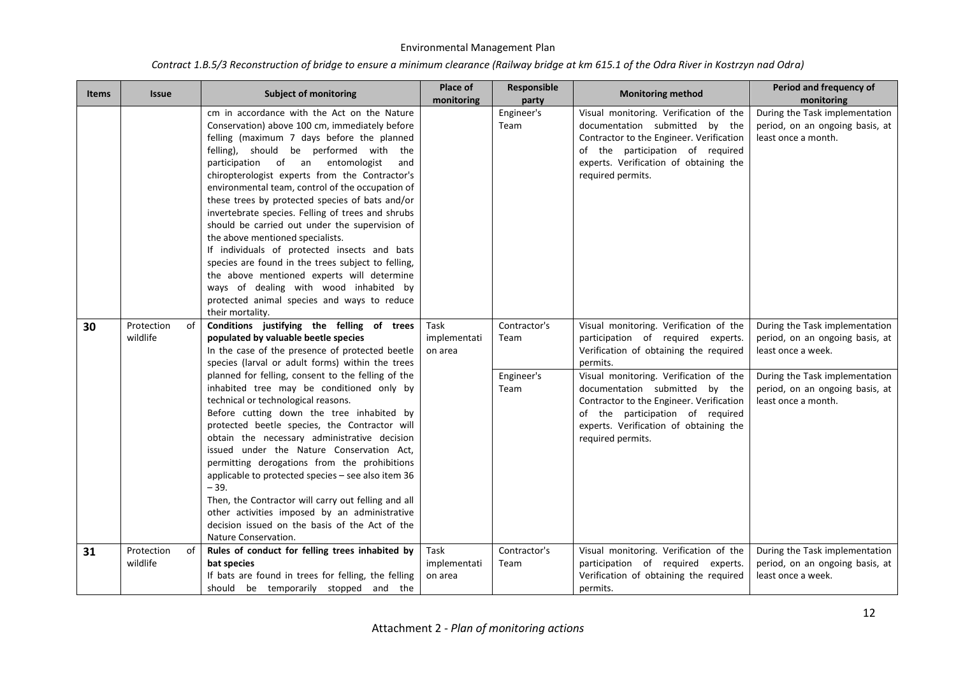| <b>Items</b> | <b>Issue</b>                 | <b>Subject of monitoring</b>                                                                                                                                                                                                                                                                                                                                                                                                                                                                                                                                                                                                                                                                                                                                                                                                     | <b>Place of</b><br>monitoring   | Responsible<br>party                       | <b>Monitoring method</b>                                                                                                                                                                                                                                                                                                                                      | Period and frequency of<br>monitoring                                                                                                                                               |
|--------------|------------------------------|----------------------------------------------------------------------------------------------------------------------------------------------------------------------------------------------------------------------------------------------------------------------------------------------------------------------------------------------------------------------------------------------------------------------------------------------------------------------------------------------------------------------------------------------------------------------------------------------------------------------------------------------------------------------------------------------------------------------------------------------------------------------------------------------------------------------------------|---------------------------------|--------------------------------------------|---------------------------------------------------------------------------------------------------------------------------------------------------------------------------------------------------------------------------------------------------------------------------------------------------------------------------------------------------------------|-------------------------------------------------------------------------------------------------------------------------------------------------------------------------------------|
|              |                              | cm in accordance with the Act on the Nature<br>Conservation) above 100 cm, immediately before<br>felling (maximum 7 days before the planned<br>felling), should be performed with the<br>participation of an entomologist<br>and<br>chiropterologist experts from the Contractor's<br>environmental team, control of the occupation of<br>these trees by protected species of bats and/or<br>invertebrate species. Felling of trees and shrubs<br>should be carried out under the supervision of<br>the above mentioned specialists.<br>If individuals of protected insects and bats<br>species are found in the trees subject to felling,<br>the above mentioned experts will determine<br>ways of dealing with wood inhabited by<br>protected animal species and ways to reduce<br>their mortality.                            |                                 | Engineer's<br>Team                         | Visual monitoring. Verification of the<br>documentation submitted by the<br>Contractor to the Engineer. Verification<br>of the participation of required<br>experts. Verification of obtaining the<br>required permits.                                                                                                                                       | During the Task implementation<br>period, on an ongoing basis, at<br>least once a month.                                                                                            |
| 30           | Protection<br>of<br>wildlife | Conditions justifying the felling of trees<br>populated by valuable beetle species<br>In the case of the presence of protected beetle<br>species (larval or adult forms) within the trees<br>planned for felling, consent to the felling of the<br>inhabited tree may be conditioned only by<br>technical or technological reasons.<br>Before cutting down the tree inhabited by<br>protected beetle species, the Contractor will<br>obtain the necessary administrative decision<br>issued under the Nature Conservation Act,<br>permitting derogations from the prohibitions<br>applicable to protected species - see also item 36<br>$-39.$<br>Then, the Contractor will carry out felling and all<br>other activities imposed by an administrative<br>decision issued on the basis of the Act of the<br>Nature Conservation. | Task<br>implementati<br>on area | Contractor's<br>Team<br>Engineer's<br>Team | Visual monitoring. Verification of the<br>participation of required experts.<br>Verification of obtaining the required<br>permits.<br>Visual monitoring. Verification of the<br>documentation submitted by the<br>Contractor to the Engineer. Verification<br>of the participation of required<br>experts. Verification of obtaining the<br>required permits. | During the Task implementation<br>period, on an ongoing basis, at<br>least once a week.<br>During the Task implementation<br>period, on an ongoing basis, at<br>least once a month. |
| 31           | Protection<br>of<br>wildlife | Rules of conduct for felling trees inhabited by<br>bat species<br>If bats are found in trees for felling, the felling<br>should be temporarily stopped and the                                                                                                                                                                                                                                                                                                                                                                                                                                                                                                                                                                                                                                                                   | Task<br>implementati<br>on area | Contractor's<br>Team                       | Visual monitoring. Verification of the<br>participation of required experts.<br>Verification of obtaining the required<br>permits.                                                                                                                                                                                                                            | During the Task implementation<br>period, on an ongoing basis, at<br>least once a week.                                                                                             |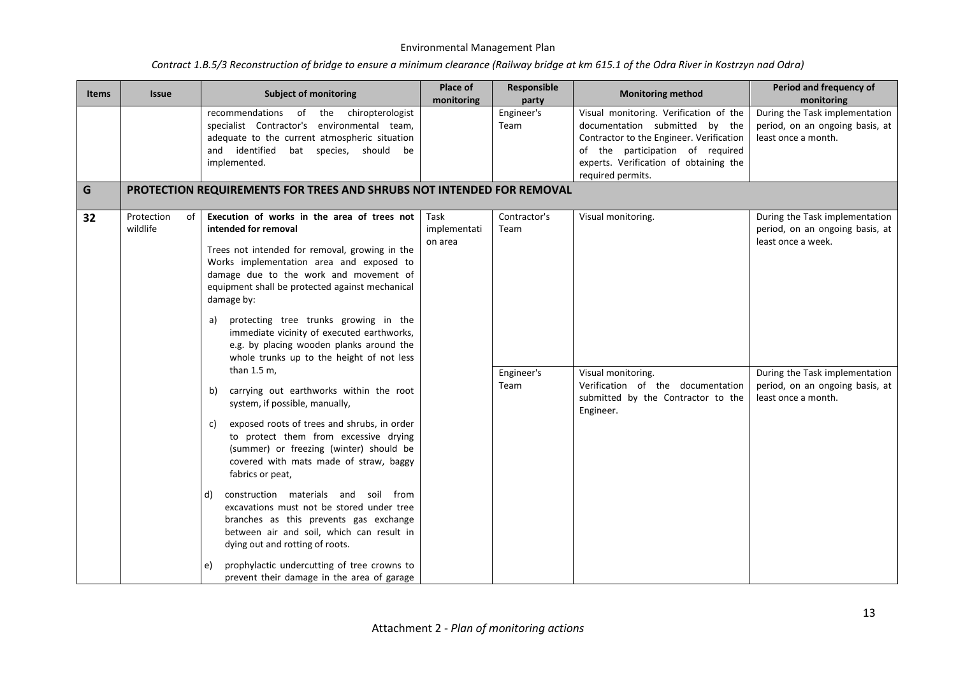| <b>Items</b> | <b>Issue</b>                 | <b>Subject of monitoring</b>                                                                                                                                                                                                                                                                                                                                                                                                                                                                                                                                         | Place of<br>monitoring          | Responsible<br>party                       | <b>Monitoring method</b>                                                                                                                                                                                                | Period and frequency of<br>monitoring                                                                                                                                               |
|--------------|------------------------------|----------------------------------------------------------------------------------------------------------------------------------------------------------------------------------------------------------------------------------------------------------------------------------------------------------------------------------------------------------------------------------------------------------------------------------------------------------------------------------------------------------------------------------------------------------------------|---------------------------------|--------------------------------------------|-------------------------------------------------------------------------------------------------------------------------------------------------------------------------------------------------------------------------|-------------------------------------------------------------------------------------------------------------------------------------------------------------------------------------|
|              |                              | recommendations of the<br>chiropterologist<br>specialist Contractor's environmental team,<br>adequate to the current atmospheric situation<br>and identified bat species, should be<br>implemented.                                                                                                                                                                                                                                                                                                                                                                  |                                 | Engineer's<br>Team                         | Visual monitoring. Verification of the<br>documentation submitted by the<br>Contractor to the Engineer. Verification<br>of the participation of required<br>experts. Verification of obtaining the<br>required permits. | During the Task implementation<br>period, on an ongoing basis, at<br>least once a month.                                                                                            |
| G            |                              | PROTECTION REQUIREMENTS FOR TREES AND SHRUBS NOT INTENDED FOR REMOVAL                                                                                                                                                                                                                                                                                                                                                                                                                                                                                                |                                 |                                            |                                                                                                                                                                                                                         |                                                                                                                                                                                     |
| 32           | Protection<br>0f<br>wildlife | Execution of works in the area of trees not<br>intended for removal<br>Trees not intended for removal, growing in the<br>Works implementation area and exposed to<br>damage due to the work and movement of<br>equipment shall be protected against mechanical<br>damage by:<br>protecting tree trunks growing in the<br>a)<br>immediate vicinity of executed earthworks,<br>e.g. by placing wooden planks around the<br>whole trunks up to the height of not less<br>than 1.5 m,<br>carrying out earthworks within the root<br>b)<br>system, if possible, manually, | Task<br>implementati<br>on area | Contractor's<br>Team<br>Engineer's<br>Team | Visual monitoring.<br>Visual monitoring.<br>Verification of the documentation<br>submitted by the Contractor to the<br>Engineer.                                                                                        | During the Task implementation<br>period, on an ongoing basis, at<br>least once a week.<br>During the Task implementation<br>period, on an ongoing basis, at<br>least once a month. |
|              |                              | exposed roots of trees and shrubs, in order<br>C)<br>to protect them from excessive drying<br>(summer) or freezing (winter) should be<br>covered with mats made of straw, baggy<br>fabrics or peat,<br>construction materials and soil from<br>d)<br>excavations must not be stored under tree<br>branches as this prevents gas exchange<br>between air and soil, which can result in<br>dying out and rotting of roots.<br>prophylactic undercutting of tree crowns to<br>e)<br>prevent their damage in the area of garage                                          |                                 |                                            |                                                                                                                                                                                                                         |                                                                                                                                                                                     |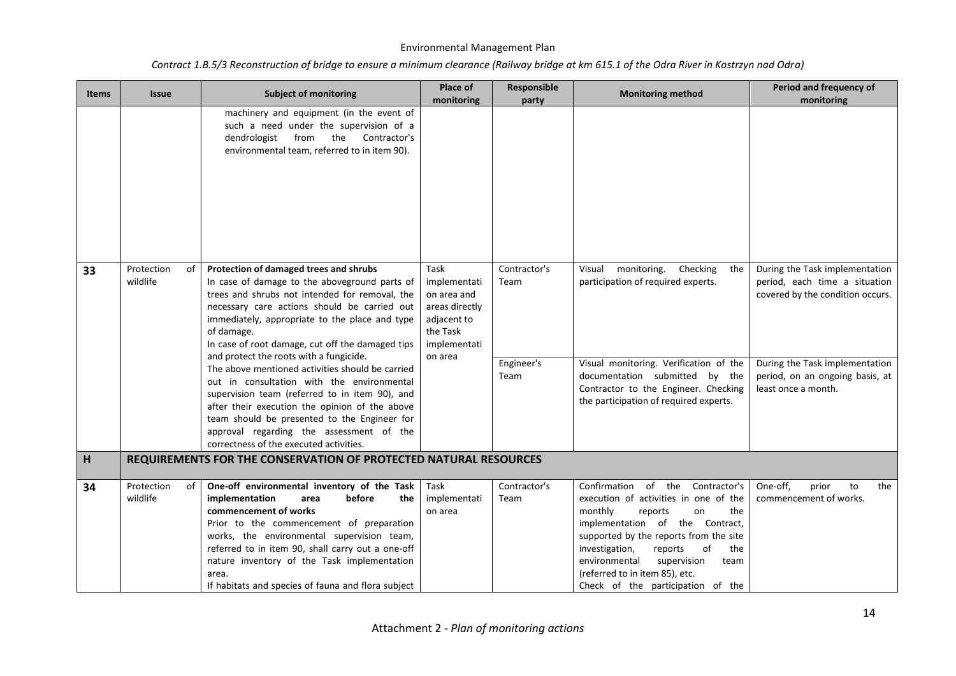| <b>Items</b> | <b>Issue</b>                 | <b>Subject of monitoring</b>                                                                                                                                                                                                                                                                                                                                                                                                                                                                                                                                                                                                                                                                          | Place of<br>monitoring                                                                                      | Responsible<br>party                       | <b>Monitoring method</b>                                                                                                                                                                                                                                                                                                                              | Period and frequency of<br>monitoring                                                                                                                                                           |
|--------------|------------------------------|-------------------------------------------------------------------------------------------------------------------------------------------------------------------------------------------------------------------------------------------------------------------------------------------------------------------------------------------------------------------------------------------------------------------------------------------------------------------------------------------------------------------------------------------------------------------------------------------------------------------------------------------------------------------------------------------------------|-------------------------------------------------------------------------------------------------------------|--------------------------------------------|-------------------------------------------------------------------------------------------------------------------------------------------------------------------------------------------------------------------------------------------------------------------------------------------------------------------------------------------------------|-------------------------------------------------------------------------------------------------------------------------------------------------------------------------------------------------|
|              |                              | machinery and equipment (in the event of<br>such a need under the supervision of a<br>Contractor's<br>dendrologist<br>from<br>the<br>environmental team, referred to in item 90).                                                                                                                                                                                                                                                                                                                                                                                                                                                                                                                     |                                                                                                             |                                            |                                                                                                                                                                                                                                                                                                                                                       |                                                                                                                                                                                                 |
| 33           | Protection<br>of<br>wildlife | Protection of damaged trees and shrubs<br>In case of damage to the aboveground parts of<br>trees and shrubs not intended for removal, the<br>necessary care actions should be carried out<br>immediately, appropriate to the place and type<br>of damage.<br>In case of root damage, cut off the damaged tips<br>and protect the roots with a fungicide.<br>The above mentioned activities should be carried<br>out in consultation with the environmental<br>supervision team (referred to in item 90), and<br>after their execution the opinion of the above<br>team should be presented to the Engineer for<br>approval regarding the assessment of the<br>correctness of the executed activities. | Task<br>implementati<br>on area and<br>areas directly<br>adjacent to<br>the Task<br>implementati<br>on area | Contractor's<br>Team<br>Engineer's<br>Team | Visual monitoring.<br>Checking<br>the<br>participation of required experts.<br>Visual monitoring. Verification of the<br>documentation submitted by the<br>Contractor to the Engineer. Checking<br>the participation of required experts.                                                                                                             | During the Task implementation<br>period, each time a situation<br>covered by the condition occurs.<br>During the Task implementation<br>period, on an ongoing basis, at<br>least once a month. |
| H            |                              | REQUIREMENTS FOR THE CONSERVATION OF PROTECTED NATURAL RESOURCES                                                                                                                                                                                                                                                                                                                                                                                                                                                                                                                                                                                                                                      |                                                                                                             |                                            |                                                                                                                                                                                                                                                                                                                                                       |                                                                                                                                                                                                 |
| 34           | Protection<br>0f<br>wildlife | One-off environmental inventory of the Task<br>implementation<br>before<br>area<br>the<br>commencement of works<br>Prior to the commencement of preparation<br>works, the environmental supervision team,<br>referred to in item 90, shall carry out a one-off<br>nature inventory of the Task implementation<br>area.<br>If habitats and species of fauna and flora subject                                                                                                                                                                                                                                                                                                                          | Task<br>implementati<br>on area                                                                             | Contractor's<br>Team                       | of the Contractor's<br>Confirmation<br>execution of activities in one of the<br>monthly<br>the<br>reports<br>on<br>implementation of the Contract,<br>supported by the reports from the site<br>of<br>investigation,<br>reports<br>the<br>environmental<br>supervision<br>team<br>(referred to in item 85), etc.<br>Check of the participation of the | One-off,<br>prior<br>to<br>the<br>commencement of works.                                                                                                                                        |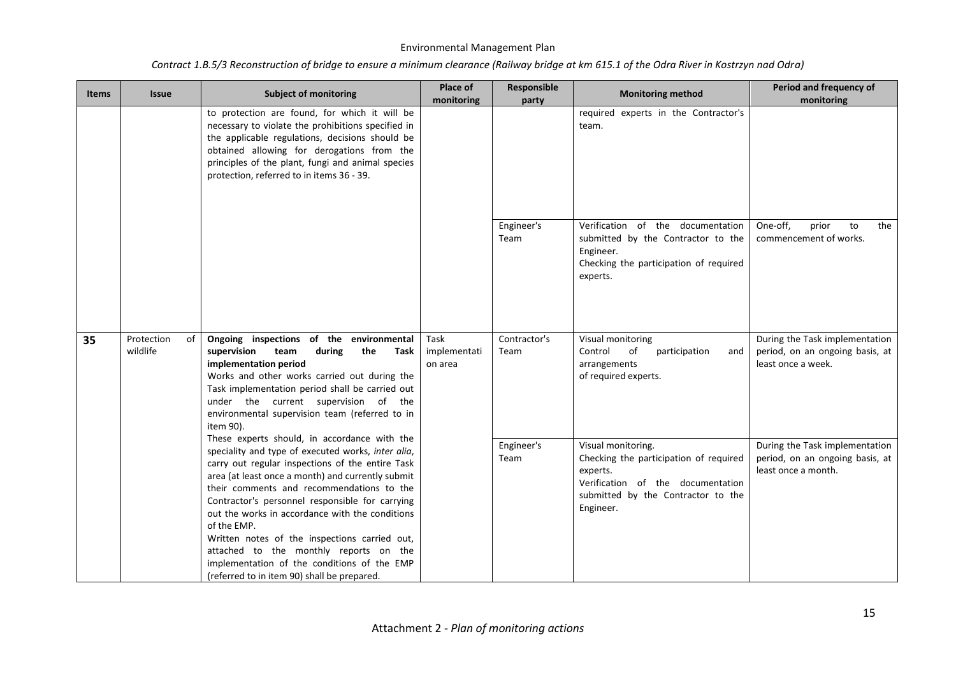| <b>Items</b> | <b>Issue</b>                 | <b>Subject of monitoring</b>                                                                                                                                                                                                                                                                                                                                                                                                                                                                                           | Place of<br>monitoring          | Responsible<br>party | <b>Monitoring method</b>                                                                                                                                         | Period and frequency of<br>monitoring                                                    |
|--------------|------------------------------|------------------------------------------------------------------------------------------------------------------------------------------------------------------------------------------------------------------------------------------------------------------------------------------------------------------------------------------------------------------------------------------------------------------------------------------------------------------------------------------------------------------------|---------------------------------|----------------------|------------------------------------------------------------------------------------------------------------------------------------------------------------------|------------------------------------------------------------------------------------------|
|              |                              | to protection are found, for which it will be<br>necessary to violate the prohibitions specified in<br>the applicable regulations, decisions should be<br>obtained allowing for derogations from the<br>principles of the plant, fungi and animal species<br>protection, referred to in items 36 - 39.                                                                                                                                                                                                                 |                                 |                      | required experts in the Contractor's<br>team.                                                                                                                    |                                                                                          |
|              |                              |                                                                                                                                                                                                                                                                                                                                                                                                                                                                                                                        |                                 | Engineer's<br>Team   | Verification of the documentation<br>submitted by the Contractor to the<br>Engineer.<br>Checking the participation of required<br>experts.                       | One-off,<br>prior<br>to<br>the<br>commencement of works.                                 |
| 35           | Protection<br>of<br>wildlife | Ongoing inspections of the environmental<br>supervision<br>the<br>team<br>during<br>Task<br>implementation period<br>Works and other works carried out during the<br>Task implementation period shall be carried out<br>under the current supervision of the<br>environmental supervision team (referred to in<br>item 90).<br>These experts should, in accordance with the                                                                                                                                            | Task<br>implementati<br>on area | Contractor's<br>Team | Visual monitoring<br>Control<br>of<br>participation<br>and<br>arrangements<br>of required experts.                                                               | During the Task implementation<br>period, on an ongoing basis, at<br>least once a week.  |
|              |                              | speciality and type of executed works, inter alia,<br>carry out regular inspections of the entire Task<br>area (at least once a month) and currently submit<br>their comments and recommendations to the<br>Contractor's personnel responsible for carrying<br>out the works in accordance with the conditions<br>of the EMP.<br>Written notes of the inspections carried out,<br>attached to the monthly reports on the<br>implementation of the conditions of the EMP<br>(referred to in item 90) shall be prepared. |                                 | Engineer's<br>Team   | Visual monitoring.<br>Checking the participation of required<br>experts.<br>Verification of the documentation<br>submitted by the Contractor to the<br>Engineer. | During the Task implementation<br>period, on an ongoing basis, at<br>least once a month. |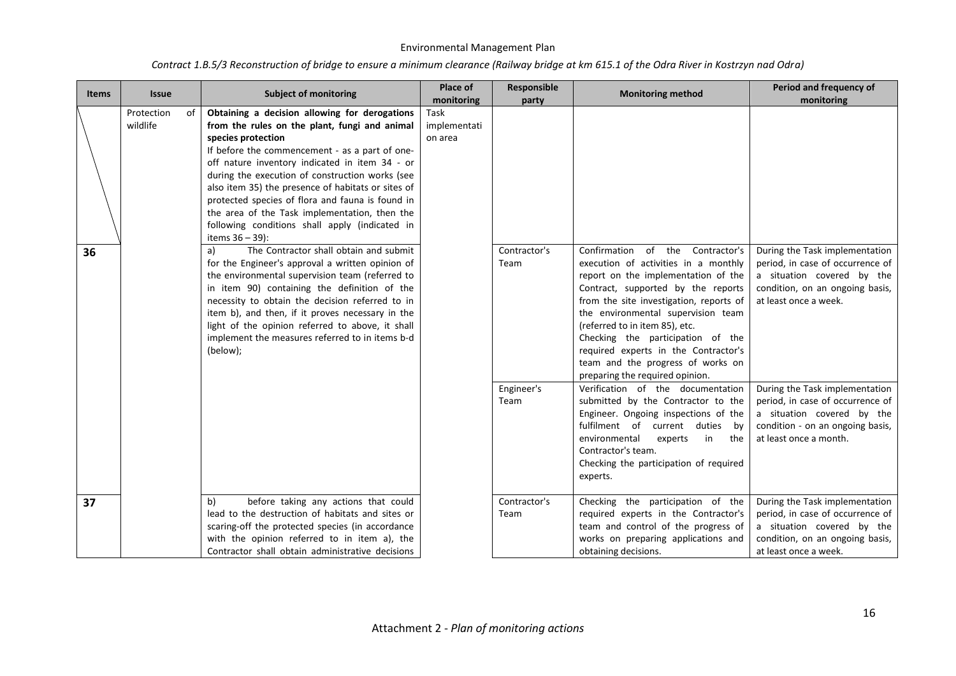| <b>Items</b> | <b>Issue</b>                 | <b>Subject of monitoring</b>                                                                                                                                                                                                                                                                                                                                                                                                                                                                                                                                  | Place of<br>monitoring          | Responsible<br>party | <b>Monitoring method</b>                                                                                                                                                                                                                                                                                                                                                                  | Period and frequency of<br>monitoring                                                                                                                          |
|--------------|------------------------------|---------------------------------------------------------------------------------------------------------------------------------------------------------------------------------------------------------------------------------------------------------------------------------------------------------------------------------------------------------------------------------------------------------------------------------------------------------------------------------------------------------------------------------------------------------------|---------------------------------|----------------------|-------------------------------------------------------------------------------------------------------------------------------------------------------------------------------------------------------------------------------------------------------------------------------------------------------------------------------------------------------------------------------------------|----------------------------------------------------------------------------------------------------------------------------------------------------------------|
| 36           | Protection<br>of<br>wildlife | Obtaining a decision allowing for derogations<br>from the rules on the plant, fungi and animal<br>species protection<br>If before the commencement - as a part of one-<br>off nature inventory indicated in item 34 - or<br>during the execution of construction works (see<br>also item 35) the presence of habitats or sites of<br>protected species of flora and fauna is found in<br>the area of the Task implementation, then the<br>following conditions shall apply (indicated in<br>items $36 - 39$ :<br>The Contractor shall obtain and submit<br>a) | Task<br>implementati<br>on area | Contractor's         | of the Contractor's<br>Confirmation                                                                                                                                                                                                                                                                                                                                                       | During the Task implementation                                                                                                                                 |
|              |                              | for the Engineer's approval a written opinion of<br>the environmental supervision team (referred to<br>in item 90) containing the definition of the<br>necessity to obtain the decision referred to in<br>item b), and then, if it proves necessary in the<br>light of the opinion referred to above, it shall<br>implement the measures referred to in items b-d<br>(below);                                                                                                                                                                                 |                                 | Team                 | execution of activities in a monthly<br>report on the implementation of the<br>Contract, supported by the reports<br>from the site investigation, reports of<br>the environmental supervision team<br>(referred to in item 85), etc.<br>Checking the participation of the<br>required experts in the Contractor's<br>team and the progress of works on<br>preparing the required opinion. | period, in case of occurrence of<br>a situation covered by the<br>condition, on an ongoing basis,<br>at least once a week.                                     |
|              |                              |                                                                                                                                                                                                                                                                                                                                                                                                                                                                                                                                                               |                                 | Engineer's<br>Team   | Verification of the documentation<br>submitted by the Contractor to the<br>Engineer. Ongoing inspections of the<br>fulfilment of current duties by<br>environmental<br>in<br>experts<br>the<br>Contractor's team.<br>Checking the participation of required<br>experts.                                                                                                                   | During the Task implementation<br>period, in case of occurrence of<br>a situation covered by the<br>condition - on an ongoing basis,<br>at least once a month. |
| 37           |                              | before taking any actions that could<br>b)<br>lead to the destruction of habitats and sites or<br>scaring-off the protected species (in accordance<br>with the opinion referred to in item a), the<br>Contractor shall obtain administrative decisions                                                                                                                                                                                                                                                                                                        |                                 | Contractor's<br>Team | Checking the participation of the<br>required experts in the Contractor's<br>team and control of the progress of<br>works on preparing applications and<br>obtaining decisions.                                                                                                                                                                                                           | During the Task implementation<br>period, in case of occurrence of<br>a situation covered by the<br>condition, on an ongoing basis,<br>at least once a week.   |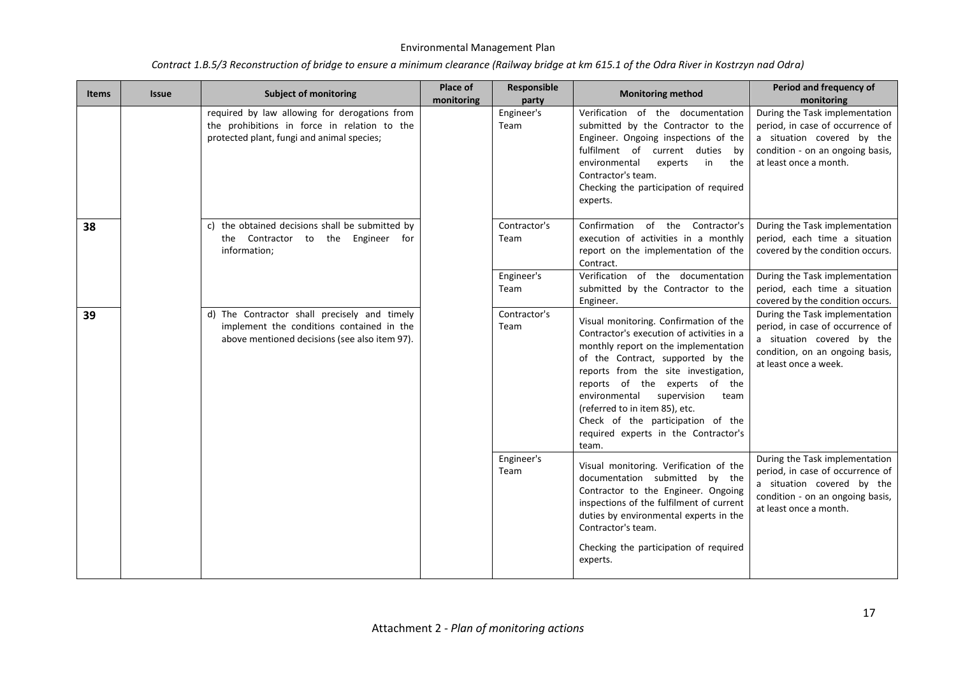| <b>Items</b> | <b>Issue</b> | <b>Subject of monitoring</b>                                                                                                                | Place of<br>monitoring | Responsible<br>party | <b>Monitoring method</b>                                                                                                                                                                                                                                                                                                                                                                                  | Period and frequency of<br>monitoring                                                                                                                          |
|--------------|--------------|---------------------------------------------------------------------------------------------------------------------------------------------|------------------------|----------------------|-----------------------------------------------------------------------------------------------------------------------------------------------------------------------------------------------------------------------------------------------------------------------------------------------------------------------------------------------------------------------------------------------------------|----------------------------------------------------------------------------------------------------------------------------------------------------------------|
|              |              | required by law allowing for derogations from<br>the prohibitions in force in relation to the<br>protected plant, fungi and animal species; |                        | Engineer's<br>Team   | Verification of the documentation<br>submitted by the Contractor to the<br>Engineer. Ongoing inspections of the<br>fulfilment of current duties by<br>environmental<br>in<br>the<br>experts<br>Contractor's team.<br>Checking the participation of required<br>experts.                                                                                                                                   | During the Task implementation<br>period, in case of occurrence of<br>a situation covered by the<br>condition - on an ongoing basis,<br>at least once a month. |
| 38           |              | c) the obtained decisions shall be submitted by<br>the Contractor to the Engineer for<br>information;                                       |                        | Contractor's<br>Team | Confirmation of the Contractor's<br>execution of activities in a monthly<br>report on the implementation of the<br>Contract.                                                                                                                                                                                                                                                                              | During the Task implementation<br>period, each time a situation<br>covered by the condition occurs.                                                            |
|              |              |                                                                                                                                             |                        | Engineer's<br>Team   | Verification of the documentation<br>submitted by the Contractor to the<br>Engineer.                                                                                                                                                                                                                                                                                                                      | During the Task implementation<br>period, each time a situation<br>covered by the condition occurs.                                                            |
| 39           |              | d) The Contractor shall precisely and timely<br>implement the conditions contained in the<br>above mentioned decisions (see also item 97).  |                        | Contractor's<br>Team | Visual monitoring. Confirmation of the<br>Contractor's execution of activities in a<br>monthly report on the implementation<br>of the Contract, supported by the<br>reports from the site investigation,<br>reports of the experts of the<br>environmental<br>supervision<br>team<br>(referred to in item 85), etc.<br>Check of the participation of the<br>required experts in the Contractor's<br>team. | During the Task implementation<br>period, in case of occurrence of<br>a situation covered by the<br>condition, on an ongoing basis,<br>at least once a week.   |
|              |              |                                                                                                                                             |                        | Engineer's<br>Team   | Visual monitoring. Verification of the<br>documentation submitted by the<br>Contractor to the Engineer. Ongoing<br>inspections of the fulfilment of current<br>duties by environmental experts in the<br>Contractor's team.<br>Checking the participation of required<br>experts.                                                                                                                         | During the Task implementation<br>period, in case of occurrence of<br>a situation covered by the<br>condition - on an ongoing basis,<br>at least once a month. |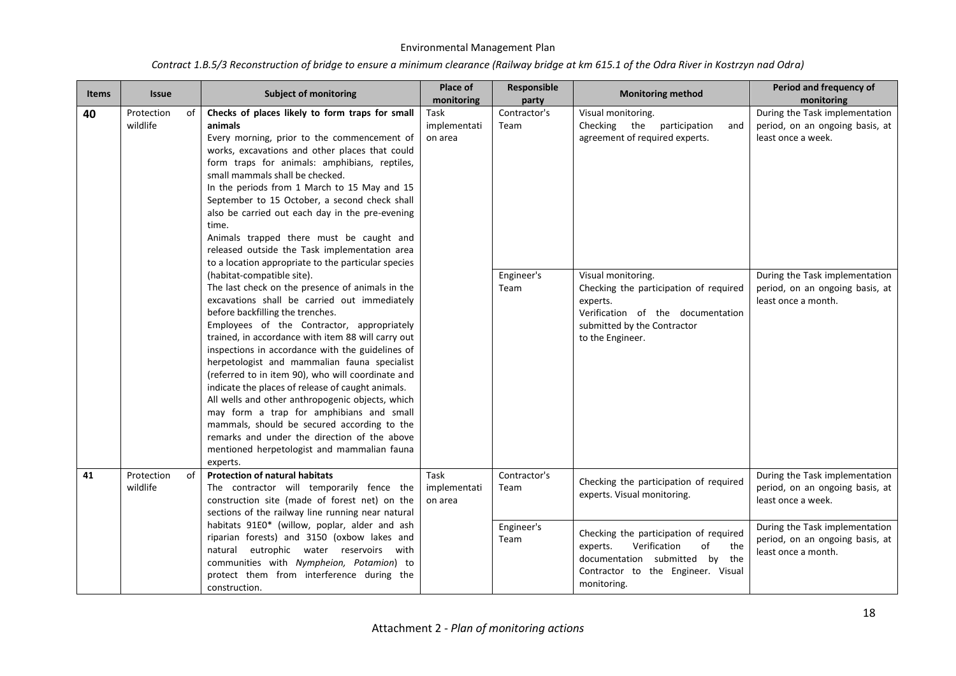| <b>Items</b> | <b>Issue</b>           |    | <b>Subject of monitoring</b>                                                                                                                                                                                                                                                                                                                                                                                                                                                                                                                                                                                                                                                                                                                                                                                                                                                                   | Place of<br>monitoring          | Responsible<br>party                       | <b>Monitoring method</b>                                                                                                                                                                                                                                      | Period and frequency of<br>monitoring                                                                                                                                               |
|--------------|------------------------|----|------------------------------------------------------------------------------------------------------------------------------------------------------------------------------------------------------------------------------------------------------------------------------------------------------------------------------------------------------------------------------------------------------------------------------------------------------------------------------------------------------------------------------------------------------------------------------------------------------------------------------------------------------------------------------------------------------------------------------------------------------------------------------------------------------------------------------------------------------------------------------------------------|---------------------------------|--------------------------------------------|---------------------------------------------------------------------------------------------------------------------------------------------------------------------------------------------------------------------------------------------------------------|-------------------------------------------------------------------------------------------------------------------------------------------------------------------------------------|
| 40           | Protection<br>wildlife | οf | Checks of places likely to form traps for small<br>animals<br>Every morning, prior to the commencement of<br>works, excavations and other places that could<br>form traps for animals: amphibians, reptiles,<br>small mammals shall be checked.<br>In the periods from 1 March to 15 May and 15<br>September to 15 October, a second check shall<br>also be carried out each day in the pre-evening<br>time.<br>Animals trapped there must be caught and<br>released outside the Task implementation area<br>to a location appropriate to the particular species<br>(habitat-compatible site).<br>The last check on the presence of animals in the<br>excavations shall be carried out immediately<br>before backfilling the trenches.<br>Employees of the Contractor, appropriately<br>trained, in accordance with item 88 will carry out<br>inspections in accordance with the guidelines of | Task<br>implementati<br>on area | Contractor's<br>Team<br>Engineer's<br>Team | Visual monitoring.<br>Checking the participation<br>and<br>agreement of required experts.<br>Visual monitoring.<br>Checking the participation of required<br>experts.<br>Verification of the documentation<br>submitted by the Contractor<br>to the Engineer. | During the Task implementation<br>period, on an ongoing basis, at<br>least once a week.<br>During the Task implementation<br>period, on an ongoing basis, at<br>least once a month. |
|              |                        |    | herpetologist and mammalian fauna specialist<br>(referred to in item 90), who will coordinate and<br>indicate the places of release of caught animals.<br>All wells and other anthropogenic objects, which<br>may form a trap for amphibians and small<br>mammals, should be secured according to the<br>remarks and under the direction of the above<br>mentioned herpetologist and mammalian fauna<br>experts.                                                                                                                                                                                                                                                                                                                                                                                                                                                                               |                                 |                                            |                                                                                                                                                                                                                                                               |                                                                                                                                                                                     |
| 41           | Protection<br>wildlife | of | <b>Protection of natural habitats</b><br>The contractor will temporarily fence the<br>construction site (made of forest net) on the<br>sections of the railway line running near natural                                                                                                                                                                                                                                                                                                                                                                                                                                                                                                                                                                                                                                                                                                       | Task<br>implementati<br>on area | Contractor's<br>Team                       | Checking the participation of required<br>experts. Visual monitoring.                                                                                                                                                                                         | During the Task implementation<br>period, on an ongoing basis, at<br>least once a week.                                                                                             |
|              |                        |    | habitats 91E0* (willow, poplar, alder and ash<br>riparian forests) and 3150 (oxbow lakes and<br>natural eutrophic water reservoirs with<br>communities with Nympheion, Potamion) to<br>protect them from interference during the<br>construction.                                                                                                                                                                                                                                                                                                                                                                                                                                                                                                                                                                                                                                              |                                 | Engineer's<br>Team                         | Checking the participation of required<br>Verification<br>experts.<br>of<br>the<br>documentation submitted by the<br>Contractor to the Engineer. Visual<br>monitoring.                                                                                        | During the Task implementation<br>period, on an ongoing basis, at<br>least once a month.                                                                                            |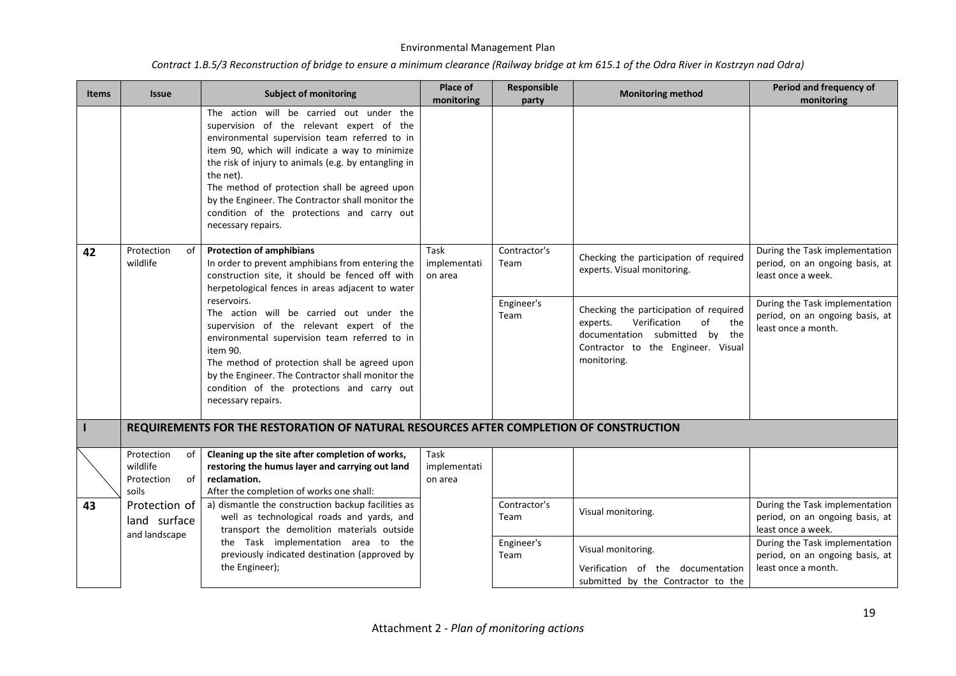| Contract 1.B.5/3 Reconstruction of bridge to ensure a minimum clearance (Railway bridge at km 615.1 of the Odra River in Kostrzyn nad Odra) |  |  |
|---------------------------------------------------------------------------------------------------------------------------------------------|--|--|
|---------------------------------------------------------------------------------------------------------------------------------------------|--|--|

| <b>Items</b> | <b>Issue</b>                                              | <b>Subject of monitoring</b>                                                                                                                                                                                                                                                                                                                                                                                                            | Place of<br>monitoring          | <b>Responsible</b><br>party | <b>Monitoring method</b>                                                                                                                                               | Period and frequency of<br>monitoring                                                    |
|--------------|-----------------------------------------------------------|-----------------------------------------------------------------------------------------------------------------------------------------------------------------------------------------------------------------------------------------------------------------------------------------------------------------------------------------------------------------------------------------------------------------------------------------|---------------------------------|-----------------------------|------------------------------------------------------------------------------------------------------------------------------------------------------------------------|------------------------------------------------------------------------------------------|
|              |                                                           | The action will be carried out under the<br>supervision of the relevant expert of the<br>environmental supervision team referred to in<br>item 90, which will indicate a way to minimize<br>the risk of injury to animals (e.g. by entangling in<br>the net).<br>The method of protection shall be agreed upon<br>by the Engineer. The Contractor shall monitor the<br>condition of the protections and carry out<br>necessary repairs. |                                 |                             |                                                                                                                                                                        |                                                                                          |
| 42           | Protection<br>0f<br>wildlife                              | <b>Protection of amphibians</b><br>In order to prevent amphibians from entering the<br>construction site, it should be fenced off with<br>herpetological fences in areas adjacent to water                                                                                                                                                                                                                                              | Task<br>implementati<br>on area | Contractor's<br>Team        | Checking the participation of required<br>experts. Visual monitoring.                                                                                                  | During the Task implementation<br>period, on an ongoing basis, at<br>least once a week.  |
|              |                                                           | reservoirs.<br>The action will be carried out under the<br>supervision of the relevant expert of the<br>environmental supervision team referred to in<br>item 90.<br>The method of protection shall be agreed upon<br>by the Engineer. The Contractor shall monitor the<br>condition of the protections and carry out<br>necessary repairs.                                                                                             |                                 | Engineer's<br>Team          | Checking the participation of required<br>Verification<br>experts.<br>of<br>the<br>documentation submitted by the<br>Contractor to the Engineer. Visual<br>monitoring. | During the Task implementation<br>period, on an ongoing basis, at<br>least once a month. |
|              |                                                           | REQUIREMENTS FOR THE RESTORATION OF NATURAL RESOURCES AFTER COMPLETION OF CONSTRUCTION                                                                                                                                                                                                                                                                                                                                                  |                                 |                             |                                                                                                                                                                        |                                                                                          |
|              | Protection<br>of<br>wildlife<br>Protection<br>of<br>soils | Cleaning up the site after completion of works,<br>restoring the humus layer and carrying out land<br>reclamation.<br>After the completion of works one shall:                                                                                                                                                                                                                                                                          | Task<br>implementati<br>on area |                             |                                                                                                                                                                        |                                                                                          |
| 43           | Protection of<br>land surface<br>and landscape            | a) dismantle the construction backup facilities as<br>well as technological roads and yards, and<br>transport the demolition materials outside                                                                                                                                                                                                                                                                                          |                                 | Contractor's<br>Team        | Visual monitoring.                                                                                                                                                     | During the Task implementation<br>period, on an ongoing basis, at<br>least once a week.  |
|              |                                                           | the Task implementation area to the<br>previously indicated destination (approved by<br>the Engineer);                                                                                                                                                                                                                                                                                                                                  |                                 | Engineer's<br>Team          | Visual monitoring.<br>Verification of the documentation<br>submitted by the Contractor to the                                                                          | During the Task implementation<br>period, on an ongoing basis, at<br>least once a month. |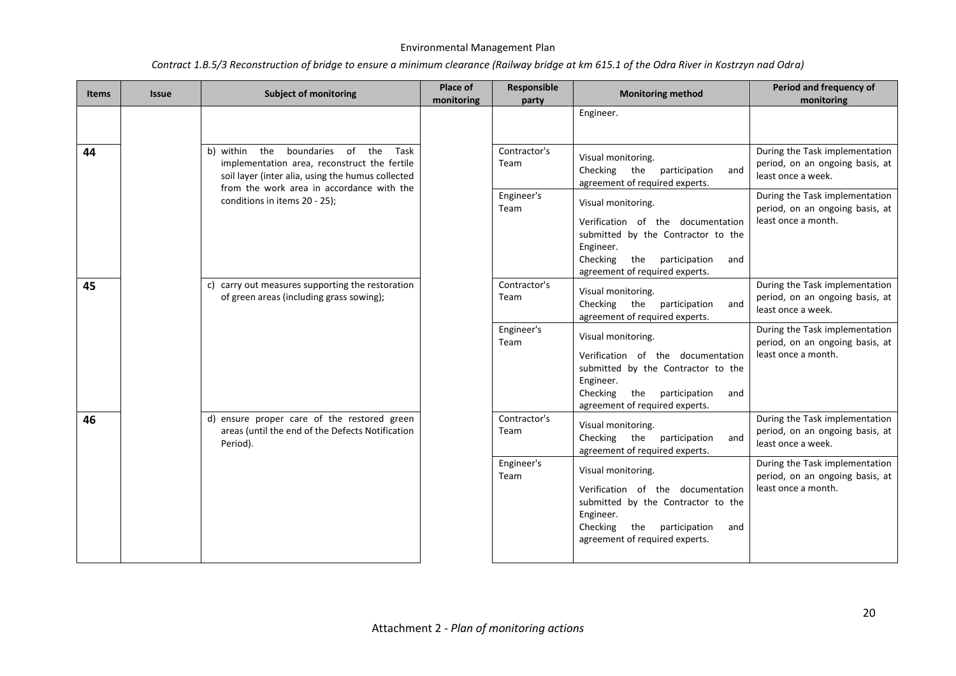| <b>Items</b> | <b>Issue</b> | <b>Subject of monitoring</b>                                                                                                                                                              | Place of<br>monitoring | Responsible<br>party | <b>Monitoring method</b>                                                                                                                                                             | Period and frequency of<br>monitoring                                                    |
|--------------|--------------|-------------------------------------------------------------------------------------------------------------------------------------------------------------------------------------------|------------------------|----------------------|--------------------------------------------------------------------------------------------------------------------------------------------------------------------------------------|------------------------------------------------------------------------------------------|
|              |              |                                                                                                                                                                                           |                        |                      | Engineer.                                                                                                                                                                            |                                                                                          |
| 44           |              | b) within the boundaries of the<br>Task<br>implementation area, reconstruct the fertile<br>soil layer (inter alia, using the humus collected<br>from the work area in accordance with the |                        | Contractor's<br>Team | Visual monitoring.<br>Checking the participation<br>and<br>agreement of required experts.                                                                                            | During the Task implementation<br>period, on an ongoing basis, at<br>least once a week.  |
|              |              | conditions in items 20 - 25);                                                                                                                                                             |                        | Engineer's<br>Team   | Visual monitoring.<br>Verification of the documentation<br>submitted by the Contractor to the<br>Engineer.<br>Checking<br>the participation<br>and<br>agreement of required experts. | During the Task implementation<br>period, on an ongoing basis, at<br>least once a month. |
| 45           |              | c) carry out measures supporting the restoration<br>of green areas (including grass sowing);                                                                                              |                        | Contractor's<br>Team | Visual monitoring.<br>Checking the participation<br>and<br>agreement of required experts.                                                                                            | During the Task implementation<br>period, on an ongoing basis, at<br>least once a week.  |
|              |              |                                                                                                                                                                                           |                        | Engineer's<br>Team   | Visual monitoring.<br>Verification of the documentation<br>submitted by the Contractor to the<br>Engineer.<br>Checking<br>the participation<br>and<br>agreement of required experts. | During the Task implementation<br>period, on an ongoing basis, at<br>least once a month. |
| 46           |              | d) ensure proper care of the restored green<br>areas (until the end of the Defects Notification<br>Period).                                                                               |                        | Contractor's<br>Team | Visual monitoring.<br>Checking the participation<br>and<br>agreement of required experts.                                                                                            | During the Task implementation<br>period, on an ongoing basis, at<br>least once a week.  |
|              |              |                                                                                                                                                                                           |                        | Engineer's<br>Team   | Visual monitoring.<br>Verification of the documentation<br>submitted by the Contractor to the<br>Engineer.<br>Checking<br>the participation<br>and<br>agreement of required experts. | During the Task implementation<br>period, on an ongoing basis, at<br>least once a month. |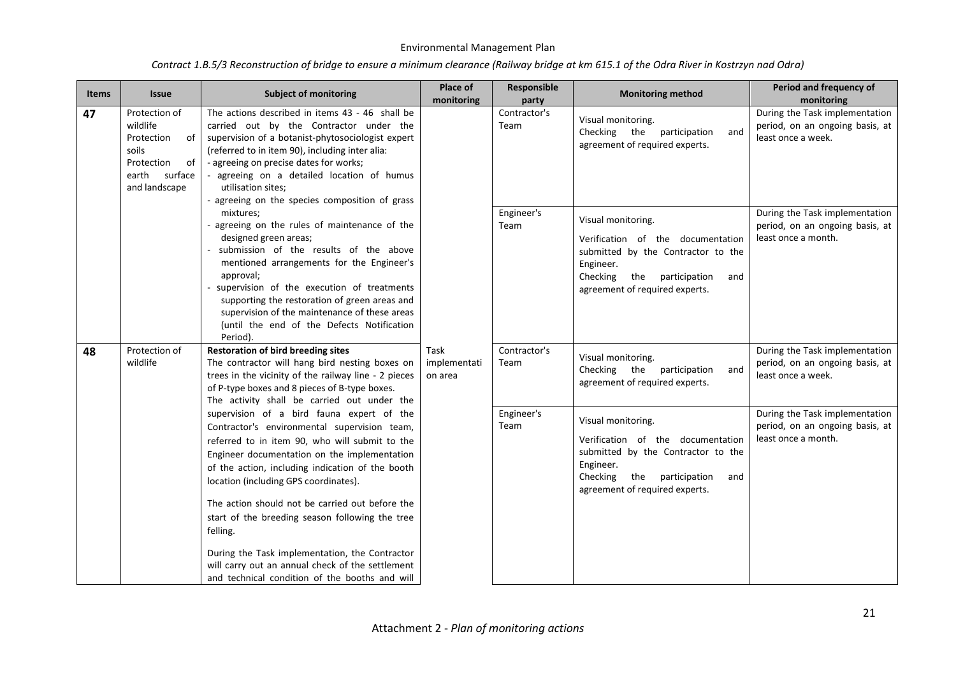| <b>Items</b> | <b>Issue</b>                                                                                                    | <b>Subject of monitoring</b>                                                                                                                                                                                                                                                                                                                                                                                                                                 | Place of<br>monitoring          | Responsible<br>party | <b>Monitoring method</b>                                                                                                                                                             | Period and frequency of<br>monitoring                                                    |
|--------------|-----------------------------------------------------------------------------------------------------------------|--------------------------------------------------------------------------------------------------------------------------------------------------------------------------------------------------------------------------------------------------------------------------------------------------------------------------------------------------------------------------------------------------------------------------------------------------------------|---------------------------------|----------------------|--------------------------------------------------------------------------------------------------------------------------------------------------------------------------------------|------------------------------------------------------------------------------------------|
| 47           | Protection of<br>wildlife<br>Protection<br>of<br>soils<br>Protection<br>of<br>surface<br>earth<br>and landscape | The actions described in items 43 - 46 shall be<br>carried out by the Contractor under the<br>supervision of a botanist-phytosociologist expert<br>(referred to in item 90), including inter alia:<br>- agreeing on precise dates for works;<br>- agreeing on a detailed location of humus<br>utilisation sites;<br>- agreeing on the species composition of grass                                                                                           |                                 | Contractor's<br>Team | Visual monitoring.<br>Checking the participation<br>and<br>agreement of required experts.                                                                                            | During the Task implementation<br>period, on an ongoing basis, at<br>least once a week.  |
|              |                                                                                                                 | mixtures;<br>agreeing on the rules of maintenance of the<br>designed green areas;<br>submission of the results of the above<br>mentioned arrangements for the Engineer's<br>approval;<br>supervision of the execution of treatments<br>supporting the restoration of green areas and<br>supervision of the maintenance of these areas<br>(until the end of the Defects Notification<br>Period).                                                              |                                 | Engineer's<br>Team   | Visual monitoring.<br>Verification of the documentation<br>submitted by the Contractor to the<br>Engineer.<br>Checking the participation<br>and<br>agreement of required experts.    | During the Task implementation<br>period, on an ongoing basis, at<br>least once a month. |
| 48           | Protection of<br>wildlife                                                                                       | <b>Restoration of bird breeding sites</b><br>The contractor will hang bird nesting boxes on<br>trees in the vicinity of the railway line - 2 pieces<br>of P-type boxes and 8 pieces of B-type boxes.<br>The activity shall be carried out under the                                                                                                                                                                                                          | Task<br>implementati<br>on area | Contractor's<br>Team | Visual monitoring.<br>Checking the participation<br>and<br>agreement of required experts.                                                                                            | During the Task implementation<br>period, on an ongoing basis, at<br>least once a week.  |
|              |                                                                                                                 | supervision of a bird fauna expert of the<br>Contractor's environmental supervision team,<br>referred to in item 90, who will submit to the<br>Engineer documentation on the implementation<br>of the action, including indication of the booth<br>location (including GPS coordinates).<br>The action should not be carried out before the<br>start of the breeding season following the tree<br>felling.<br>During the Task implementation, the Contractor |                                 | Engineer's<br>Team   | Visual monitoring.<br>Verification of the documentation<br>submitted by the Contractor to the<br>Engineer.<br>Checking<br>the participation<br>and<br>agreement of required experts. | During the Task implementation<br>period, on an ongoing basis, at<br>least once a month. |
|              |                                                                                                                 | will carry out an annual check of the settlement<br>and technical condition of the booths and will                                                                                                                                                                                                                                                                                                                                                           |                                 |                      |                                                                                                                                                                                      |                                                                                          |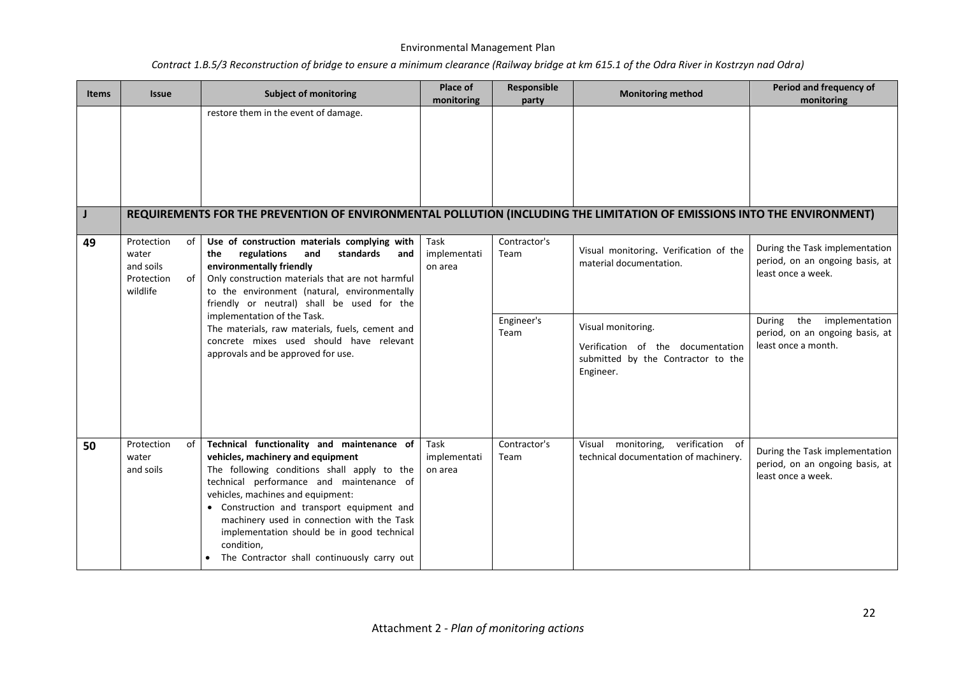| <b>Items</b> | <b>Issue</b>                                                           | <b>Subject of monitoring</b>                                                                                                                                                                                                                                                                                                                                                                                                                    | Place of<br>monitoring          | Responsible<br>party                       | <b>Monitoring method</b>                                                                                                                                                        | Period and frequency of<br>monitoring                                                                                                                                                |
|--------------|------------------------------------------------------------------------|-------------------------------------------------------------------------------------------------------------------------------------------------------------------------------------------------------------------------------------------------------------------------------------------------------------------------------------------------------------------------------------------------------------------------------------------------|---------------------------------|--------------------------------------------|---------------------------------------------------------------------------------------------------------------------------------------------------------------------------------|--------------------------------------------------------------------------------------------------------------------------------------------------------------------------------------|
|              |                                                                        | restore them in the event of damage.<br>REQUIREMENTS FOR THE PREVENTION OF ENVIRONMENTAL POLLUTION (INCLUDING THE LIMITATION OF EMISSIONS INTO THE ENVIRONMENT)                                                                                                                                                                                                                                                                                 |                                 |                                            |                                                                                                                                                                                 |                                                                                                                                                                                      |
| 49           | Protection<br>0f<br>water<br>and soils<br>Protection<br>of<br>wildlife | Use of construction materials complying with<br>the<br>regulations<br>and<br>standards<br>and<br>environmentally friendly<br>Only construction materials that are not harmful<br>to the environment (natural, environmentally<br>friendly or neutral) shall be used for the<br>implementation of the Task.<br>The materials, raw materials, fuels, cement and<br>concrete mixes used should have relevant<br>approvals and be approved for use. | Task<br>implementati<br>on area | Contractor's<br>Team<br>Engineer's<br>Team | Visual monitoring. Verification of the<br>material documentation.<br>Visual monitoring.<br>Verification of the documentation<br>submitted by the Contractor to the<br>Engineer. | During the Task implementation<br>period, on an ongoing basis, at<br>least once a week.<br>the<br>implementation<br>During<br>period, on an ongoing basis, at<br>least once a month. |
| 50           | Protection<br>of<br>water<br>and soils                                 | Technical functionality and maintenance of<br>vehicles, machinery and equipment<br>The following conditions shall apply to the<br>technical performance and maintenance of<br>vehicles, machines and equipment:<br>• Construction and transport equipment and<br>machinery used in connection with the Task<br>implementation should be in good technical<br>condition.<br>The Contractor shall continuously carry out                          | Task<br>implementati<br>on area | Contractor's<br>Team                       | verification of<br>monitoring,<br>Visual<br>technical documentation of machinery.                                                                                               | During the Task implementation<br>period, on an ongoing basis, at<br>least once a week.                                                                                              |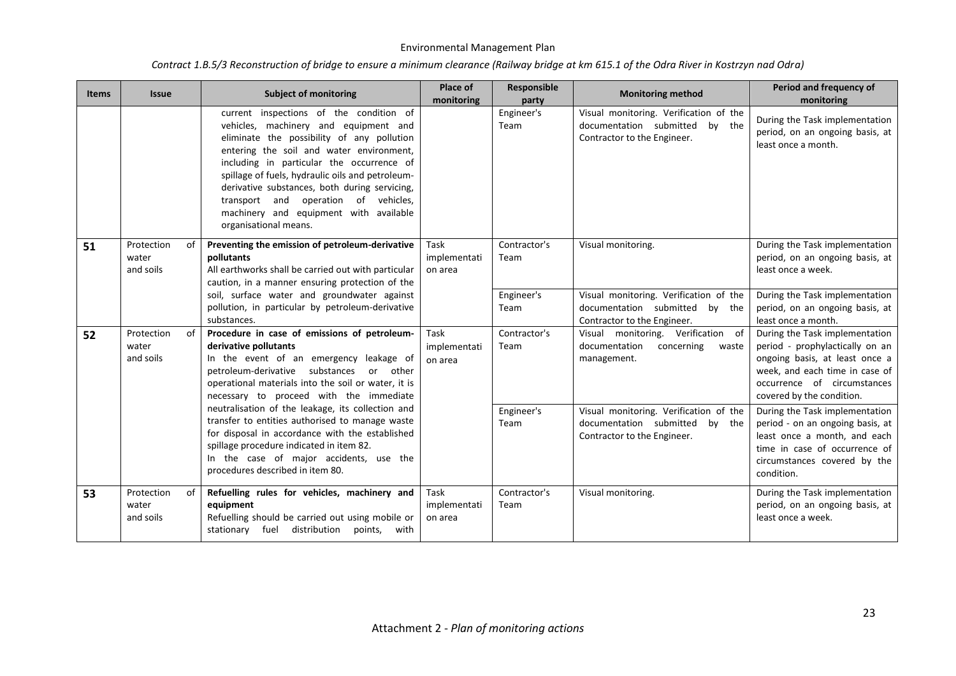| <b>Items</b> | <b>Issue</b>                           | <b>Subject of monitoring</b>                                                                                                                                                                                                                                                                                                                                                                                                            | Place of<br>monitoring          | Responsible<br>party | <b>Monitoring method</b>                                                                                   | Period and frequency of<br>monitoring                                                                                                                                                             |
|--------------|----------------------------------------|-----------------------------------------------------------------------------------------------------------------------------------------------------------------------------------------------------------------------------------------------------------------------------------------------------------------------------------------------------------------------------------------------------------------------------------------|---------------------------------|----------------------|------------------------------------------------------------------------------------------------------------|---------------------------------------------------------------------------------------------------------------------------------------------------------------------------------------------------|
|              |                                        | current inspections of the condition of<br>vehicles, machinery and equipment and<br>eliminate the possibility of any pollution<br>entering the soil and water environment,<br>including in particular the occurrence of<br>spillage of fuels, hydraulic oils and petroleum-<br>derivative substances, both during servicing,<br>transport and operation of vehicles,<br>machinery and equipment with available<br>organisational means. |                                 | Engineer's<br>Team   | Visual monitoring. Verification of the<br>documentation submitted by the<br>Contractor to the Engineer.    | During the Task implementation<br>period, on an ongoing basis, at<br>least once a month.                                                                                                          |
| 51           | Protection<br>Ωf<br>water<br>and soils | Preventing the emission of petroleum-derivative<br>pollutants<br>All earthworks shall be carried out with particular<br>caution, in a manner ensuring protection of the                                                                                                                                                                                                                                                                 | Task<br>implementati<br>on area | Contractor's<br>Team | Visual monitoring.                                                                                         | During the Task implementation<br>period, on an ongoing basis, at<br>least once a week.                                                                                                           |
|              |                                        | soil, surface water and groundwater against<br>pollution, in particular by petroleum-derivative<br>substances.                                                                                                                                                                                                                                                                                                                          |                                 | Engineer's<br>Team   | Visual monitoring. Verification of the<br>documentation submitted by the<br>Contractor to the Engineer.    | During the Task implementation<br>period, on an ongoing basis, at<br>least once a month.                                                                                                          |
| 52           | Protection<br>0f<br>water<br>and soils | Procedure in case of emissions of petroleum-<br>derivative pollutants<br>In the event of an emergency leakage of<br>petroleum-derivative substances<br>or other<br>operational materials into the soil or water, it is<br>necessary to proceed with the immediate                                                                                                                                                                       | Task<br>implementati<br>on area | Contractor's<br>Team | Verification of<br>Visual<br>monitoring.<br>documentation<br>concerning<br>waste<br>management.            | During the Task implementation<br>period - prophylactically on an<br>ongoing basis, at least once a<br>week, and each time in case of<br>occurrence of circumstances<br>covered by the condition. |
|              |                                        | neutralisation of the leakage, its collection and<br>transfer to entities authorised to manage waste<br>for disposal in accordance with the established<br>spillage procedure indicated in item 82.<br>In the case of major accidents, use the<br>procedures described in item 80.                                                                                                                                                      |                                 | Engineer's<br>Team   | Visual monitoring. Verification of the<br>documentation submitted<br>by the<br>Contractor to the Engineer. | During the Task implementation<br>period - on an ongoing basis, at<br>least once a month, and each<br>time in case of occurrence of<br>circumstances covered by the<br>condition.                 |
| 53           | Protection<br>of<br>water<br>and soils | Refuelling rules for vehicles, machinery and<br>equipment<br>Refuelling should be carried out using mobile or<br>stationary fuel distribution points, with                                                                                                                                                                                                                                                                              | Task<br>implementati<br>on area | Contractor's<br>Team | Visual monitoring.                                                                                         | During the Task implementation<br>period, on an ongoing basis, at<br>least once a week.                                                                                                           |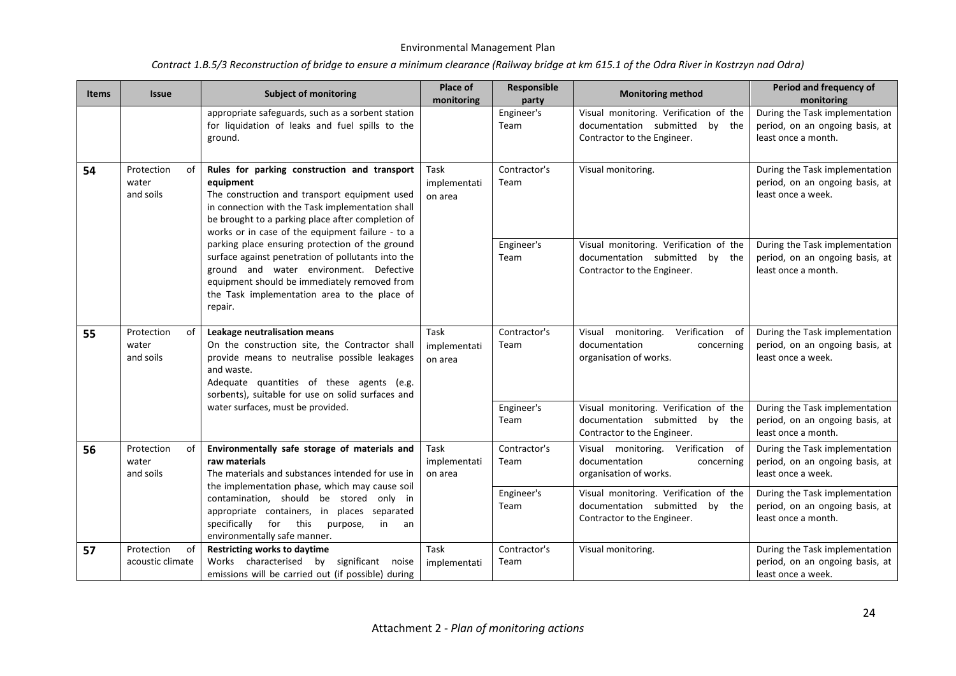| <b>Items</b> | <b>Issue</b>                                                                                                                                                                                                                                                | <b>Subject of monitoring</b>                                                                                                                                                                                                                                            | Place of<br>monitoring          | Responsible<br>party                                                                                       | <b>Monitoring method</b>                                                                                | Period and frequency of<br>monitoring                                                    |
|--------------|-------------------------------------------------------------------------------------------------------------------------------------------------------------------------------------------------------------------------------------------------------------|-------------------------------------------------------------------------------------------------------------------------------------------------------------------------------------------------------------------------------------------------------------------------|---------------------------------|------------------------------------------------------------------------------------------------------------|---------------------------------------------------------------------------------------------------------|------------------------------------------------------------------------------------------|
|              |                                                                                                                                                                                                                                                             | appropriate safeguards, such as a sorbent station<br>for liquidation of leaks and fuel spills to the<br>ground.                                                                                                                                                         |                                 | Engineer's<br>Team                                                                                         | Visual monitoring. Verification of the<br>documentation submitted by the<br>Contractor to the Engineer. | During the Task implementation<br>period, on an ongoing basis, at<br>least once a month. |
| 54           | Protection<br>0f<br>water<br>and soils                                                                                                                                                                                                                      | Rules for parking construction and transport<br>equipment<br>The construction and transport equipment used<br>in connection with the Task implementation shall<br>be brought to a parking place after completion of<br>works or in case of the equipment failure - to a | Task<br>implementati<br>on area | Contractor's<br>Team                                                                                       | Visual monitoring.                                                                                      | During the Task implementation<br>period, on an ongoing basis, at<br>least once a week.  |
|              | parking place ensuring protection of the ground<br>surface against penetration of pollutants into the<br>ground and water environment. Defective<br>equipment should be immediately removed from<br>the Task implementation area to the place of<br>repair. |                                                                                                                                                                                                                                                                         | Engineer's<br>Team              | Visual monitoring. Verification of the<br>documentation submitted<br>by the<br>Contractor to the Engineer. | During the Task implementation<br>period, on an ongoing basis, at<br>least once a month.                |                                                                                          |
| 55           | Protection<br>0f<br>water<br>and soils                                                                                                                                                                                                                      | Leakage neutralisation means<br>On the construction site, the Contractor shall<br>provide means to neutralise possible leakages<br>and waste.<br>Adequate quantities of these agents (e.g.<br>sorbents), suitable for use on solid surfaces and                         | Task<br>implementati<br>on area | Contractor's<br>Team                                                                                       | Verification of<br>Visual monitoring.<br>documentation<br>concerning<br>organisation of works.          | During the Task implementation<br>period, on an ongoing basis, at<br>least once a week.  |
|              |                                                                                                                                                                                                                                                             | water surfaces, must be provided.                                                                                                                                                                                                                                       |                                 | Engineer's<br>Team                                                                                         | Visual monitoring. Verification of the<br>documentation submitted by the<br>Contractor to the Engineer. | During the Task implementation<br>period, on an ongoing basis, at<br>least once a month. |
| 56           | Protection<br>of<br>water<br>and soils                                                                                                                                                                                                                      | Environmentally safe storage of materials and<br>raw materials<br>The materials and substances intended for use in                                                                                                                                                      | Task<br>implementati<br>on area | Contractor's<br>Team                                                                                       | Verification of<br>Visual monitoring.<br>documentation<br>concerning<br>organisation of works.          | During the Task implementation<br>period, on an ongoing basis, at<br>least once a week.  |
|              | the implementation phase, which may cause soil<br>contamination, should be stored only in<br>appropriate containers, in places separated<br>specifically<br>for this<br>purpose,<br>in<br>an<br>environmentally safe manner.                                |                                                                                                                                                                                                                                                                         | Engineer's<br>Team              | Visual monitoring. Verification of the<br>documentation submitted by the<br>Contractor to the Engineer.    | During the Task implementation<br>period, on an ongoing basis, at<br>least once a month.                |                                                                                          |
| 57           | Protection<br>0f<br>acoustic climate                                                                                                                                                                                                                        | <b>Restricting works to daytime</b><br>Works characterised by significant<br>noise<br>emissions will be carried out (if possible) during                                                                                                                                | Task<br>implementati            | Contractor's<br>Team                                                                                       | Visual monitoring.                                                                                      | During the Task implementation<br>period, on an ongoing basis, at<br>least once a week.  |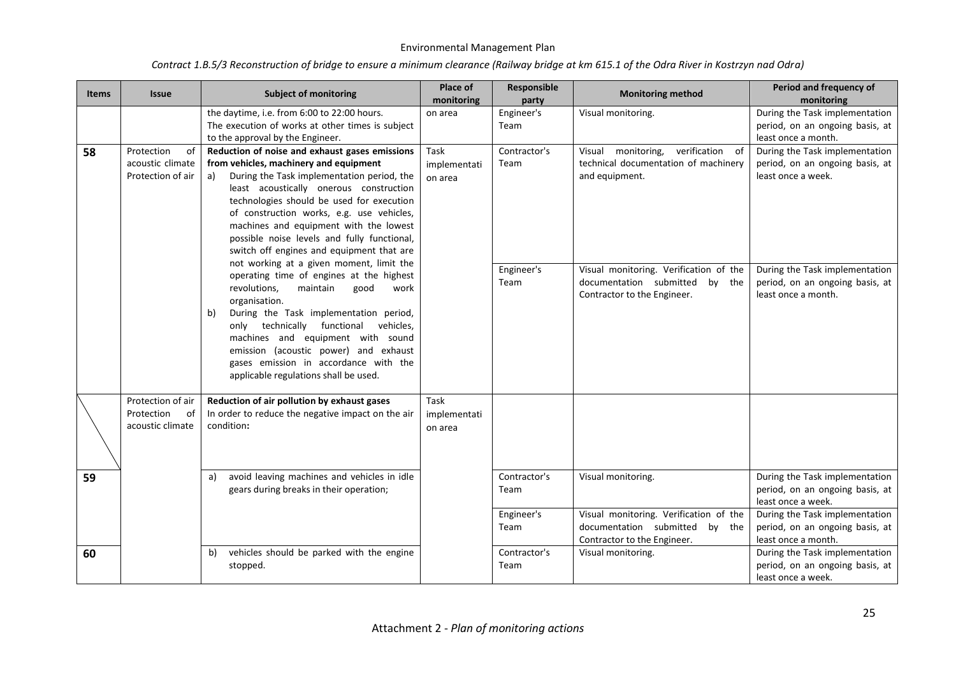|  | Contract 1.B.5/3 Reconstruction of bridge to ensure a minimum clearance (Railway bridge at km 615.1 of the Odra River in Kostrzyn nad Odra) |  |  |  |
|--|---------------------------------------------------------------------------------------------------------------------------------------------|--|--|--|
|--|---------------------------------------------------------------------------------------------------------------------------------------------|--|--|--|

| <b>Items</b> | <b>Issue</b>                                              | <b>Subject of monitoring</b>                                                                                                                                                                                                                                                                                                                                                                                                                                                                                                                                                                                                                                                                                                                                                                                                             | Place of<br>monitoring          | Responsible<br>party | <b>Monitoring method</b>                                                                                   | Period and frequency of<br>monitoring                                                    |
|--------------|-----------------------------------------------------------|------------------------------------------------------------------------------------------------------------------------------------------------------------------------------------------------------------------------------------------------------------------------------------------------------------------------------------------------------------------------------------------------------------------------------------------------------------------------------------------------------------------------------------------------------------------------------------------------------------------------------------------------------------------------------------------------------------------------------------------------------------------------------------------------------------------------------------------|---------------------------------|----------------------|------------------------------------------------------------------------------------------------------------|------------------------------------------------------------------------------------------|
|              |                                                           | the daytime, i.e. from 6:00 to 22:00 hours.<br>The execution of works at other times is subject<br>to the approval by the Engineer.                                                                                                                                                                                                                                                                                                                                                                                                                                                                                                                                                                                                                                                                                                      | on area                         | Engineer's<br>Team   | Visual monitoring.                                                                                         | During the Task implementation<br>period, on an ongoing basis, at<br>least once a month. |
| 58           | Protection<br>of<br>acoustic climate<br>Protection of air | Reduction of noise and exhaust gases emissions<br>from vehicles, machinery and equipment<br>During the Task implementation period, the<br>a)<br>least acoustically onerous construction<br>technologies should be used for execution<br>of construction works, e.g. use vehicles,<br>machines and equipment with the lowest<br>possible noise levels and fully functional,<br>switch off engines and equipment that are<br>not working at a given moment, limit the<br>operating time of engines at the highest<br>revolutions,<br>maintain<br>good<br>work<br>organisation.<br>During the Task implementation period,<br>b)<br>only technically functional<br>vehicles,<br>machines and equipment with sound<br>emission (acoustic power) and exhaust<br>gases emission in accordance with the<br>applicable regulations shall be used. | Task<br>implementati<br>on area | Contractor's<br>Team | verification of<br>monitoring,<br>Visual<br>technical documentation of machinery<br>and equipment.         | During the Task implementation<br>period, on an ongoing basis, at<br>least once a week.  |
|              |                                                           |                                                                                                                                                                                                                                                                                                                                                                                                                                                                                                                                                                                                                                                                                                                                                                                                                                          |                                 | Engineer's<br>Team   | Visual monitoring. Verification of the<br>documentation submitted<br>by the<br>Contractor to the Engineer. | During the Task implementation<br>period, on an ongoing basis, at<br>least once a month. |
|              | Protection of air<br>Protection<br>of<br>acoustic climate | Reduction of air pollution by exhaust gases<br>In order to reduce the negative impact on the air<br>condition:                                                                                                                                                                                                                                                                                                                                                                                                                                                                                                                                                                                                                                                                                                                           | Task<br>implementati<br>on area |                      |                                                                                                            |                                                                                          |
| 59           |                                                           | avoid leaving machines and vehicles in idle<br>a)<br>gears during breaks in their operation;                                                                                                                                                                                                                                                                                                                                                                                                                                                                                                                                                                                                                                                                                                                                             |                                 | Contractor's<br>Team | Visual monitoring.                                                                                         | During the Task implementation<br>period, on an ongoing basis, at<br>least once a week.  |
|              |                                                           |                                                                                                                                                                                                                                                                                                                                                                                                                                                                                                                                                                                                                                                                                                                                                                                                                                          |                                 | Engineer's<br>Team   | Visual monitoring. Verification of the<br>documentation submitted<br>by the<br>Contractor to the Engineer. | During the Task implementation<br>period, on an ongoing basis, at<br>least once a month. |
| 60           |                                                           | vehicles should be parked with the engine<br>b)<br>stopped.                                                                                                                                                                                                                                                                                                                                                                                                                                                                                                                                                                                                                                                                                                                                                                              |                                 | Contractor's<br>Team | Visual monitoring.                                                                                         | During the Task implementation<br>period, on an ongoing basis, at<br>least once a week.  |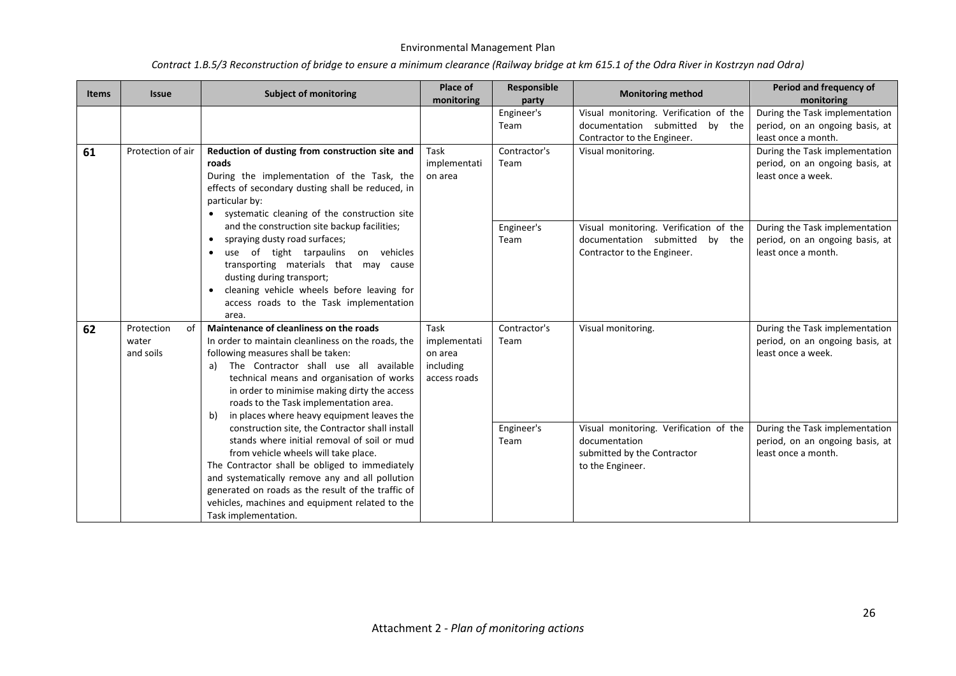| <b>Items</b> | <b>Issue</b>      | <b>Subject of monitoring</b>                                                                      | Place of<br>monitoring | Responsible<br>party | <b>Monitoring method</b>               | Period and frequency of<br>monitoring                 |
|--------------|-------------------|---------------------------------------------------------------------------------------------------|------------------------|----------------------|----------------------------------------|-------------------------------------------------------|
|              |                   |                                                                                                   |                        | Engineer's           | Visual monitoring. Verification of the | During the Task implementation                        |
|              |                   |                                                                                                   |                        | Team                 | documentation submitted<br>by the      | period, on an ongoing basis, at                       |
|              |                   |                                                                                                   |                        |                      | Contractor to the Engineer.            | least once a month.                                   |
| 61           | Protection of air | Reduction of dusting from construction site and                                                   | Task                   | Contractor's         | Visual monitoring.                     | During the Task implementation                        |
|              |                   | roads<br>During the implementation of the Task, the                                               | implementati           | Team                 |                                        | period, on an ongoing basis, at<br>least once a week. |
|              |                   | effects of secondary dusting shall be reduced, in                                                 | on area                |                      |                                        |                                                       |
|              |                   | particular by:                                                                                    |                        |                      |                                        |                                                       |
|              |                   | systematic cleaning of the construction site                                                      |                        |                      |                                        |                                                       |
|              |                   | and the construction site backup facilities;                                                      |                        | Engineer's           | Visual monitoring. Verification of the | During the Task implementation                        |
|              |                   | spraying dusty road surfaces;                                                                     |                        | Team                 | documentation submitted by the         | period, on an ongoing basis, at                       |
|              |                   | of tight tarpaulins on vehicles<br>use                                                            |                        |                      | Contractor to the Engineer.            | least once a month.                                   |
|              |                   | transporting materials that may cause                                                             |                        |                      |                                        |                                                       |
|              |                   | dusting during transport;                                                                         |                        |                      |                                        |                                                       |
|              |                   | cleaning vehicle wheels before leaving for                                                        |                        |                      |                                        |                                                       |
|              |                   | access roads to the Task implementation                                                           |                        |                      |                                        |                                                       |
|              | Protection<br>of  | area.<br>Maintenance of cleanliness on the roads                                                  | Task                   | Contractor's         | Visual monitoring.                     | During the Task implementation                        |
| 62           | water             | In order to maintain cleanliness on the roads, the                                                | implementati           | Team                 |                                        | period, on an ongoing basis, at                       |
|              | and soils         | following measures shall be taken:                                                                | on area                |                      |                                        | least once a week.                                    |
|              |                   | The Contractor shall use all available<br>a)                                                      | including              |                      |                                        |                                                       |
|              |                   | technical means and organisation of works                                                         | access roads           |                      |                                        |                                                       |
|              |                   | in order to minimise making dirty the access                                                      |                        |                      |                                        |                                                       |
|              |                   | roads to the Task implementation area.                                                            |                        |                      |                                        |                                                       |
|              |                   | in places where heavy equipment leaves the<br>b)                                                  |                        |                      |                                        |                                                       |
|              |                   | construction site, the Contractor shall install                                                   |                        | Engineer's           | Visual monitoring. Verification of the | During the Task implementation                        |
|              |                   | stands where initial removal of soil or mud                                                       |                        | Team                 | documentation                          | period, on an ongoing basis, at                       |
|              |                   | from vehicle wheels will take place.                                                              |                        |                      | submitted by the Contractor            | least once a month.                                   |
|              |                   | The Contractor shall be obliged to immediately<br>and systematically remove any and all pollution |                        |                      | to the Engineer.                       |                                                       |
|              |                   | generated on roads as the result of the traffic of                                                |                        |                      |                                        |                                                       |
|              |                   | vehicles, machines and equipment related to the                                                   |                        |                      |                                        |                                                       |
|              |                   | Task implementation.                                                                              |                        |                      |                                        |                                                       |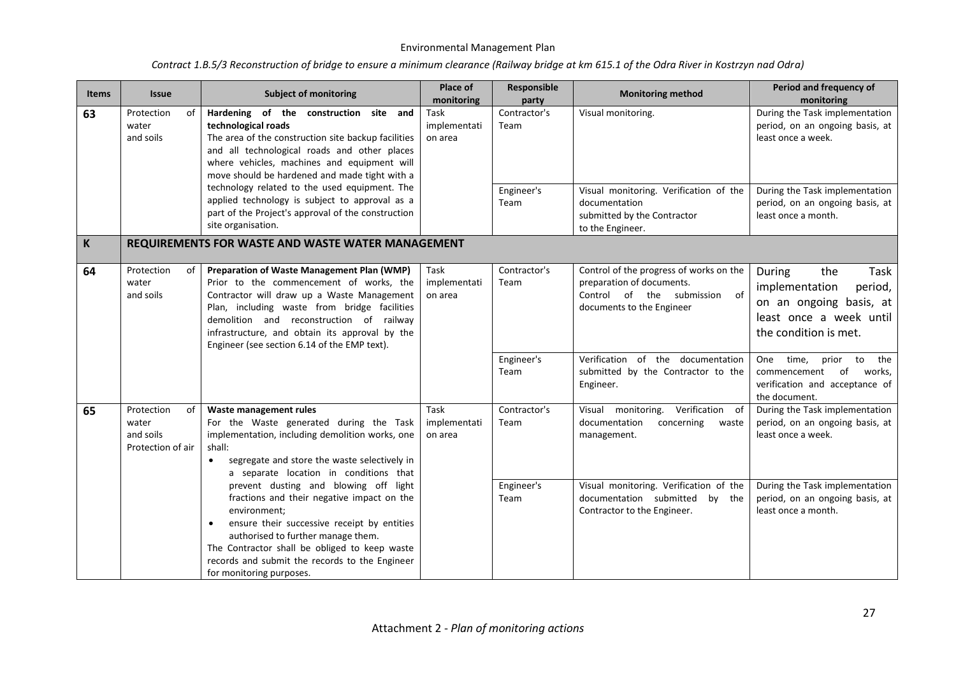| <b>Items</b> | <b>Issue</b>                                                | <b>Subject of monitoring</b>                                                                                                                                                                                                                                                                                                         | Place of<br>monitoring          | Responsible<br>party | <b>Monitoring method</b>                                                                                                          | Period and frequency of<br>monitoring                                                                                             |
|--------------|-------------------------------------------------------------|--------------------------------------------------------------------------------------------------------------------------------------------------------------------------------------------------------------------------------------------------------------------------------------------------------------------------------------|---------------------------------|----------------------|-----------------------------------------------------------------------------------------------------------------------------------|-----------------------------------------------------------------------------------------------------------------------------------|
| 63           | Protection<br>0f<br>water<br>and soils                      | Hardening of the construction site and<br>technological roads<br>The area of the construction site backup facilities<br>and all technological roads and other places<br>where vehicles, machines and equipment will<br>move should be hardened and made tight with a                                                                 | Task<br>implementati<br>on area | Contractor's<br>Team | Visual monitoring.                                                                                                                | During the Task implementation<br>period, on an ongoing basis, at<br>least once a week.                                           |
|              |                                                             | technology related to the used equipment. The<br>applied technology is subject to approval as a<br>part of the Project's approval of the construction<br>site organisation.                                                                                                                                                          |                                 | Engineer's<br>Team   | Visual monitoring. Verification of the<br>documentation<br>submitted by the Contractor<br>to the Engineer.                        | During the Task implementation<br>period, on an ongoing basis, at<br>least once a month.                                          |
| K            |                                                             | REQUIREMENTS FOR WASTE AND WASTE WATER MANAGEMENT                                                                                                                                                                                                                                                                                    |                                 |                      |                                                                                                                                   |                                                                                                                                   |
| 64           | Protection<br>of<br>water<br>and soils                      | Preparation of Waste Management Plan (WMP)<br>Prior to the commencement of works, the<br>Contractor will draw up a Waste Management<br>Plan, including waste from bridge facilities<br>demolition and reconstruction of railway<br>infrastructure, and obtain its approval by the<br>Engineer (see section 6.14 of the EMP text).    | Task<br>implementati<br>on area | Contractor's<br>Team | Control of the progress of works on the<br>preparation of documents.<br>Control of the submission of<br>documents to the Engineer | During<br>Task<br>the<br>implementation<br>period,<br>on an ongoing basis, at<br>least once a week until<br>the condition is met. |
|              |                                                             |                                                                                                                                                                                                                                                                                                                                      |                                 | Engineer's<br>Team   | of the documentation<br>Verification<br>submitted by the Contractor to the<br>Engineer.                                           | time,<br>to<br>the<br>One<br>prior<br>of<br>commencement<br>works,<br>verification and acceptance of<br>the document.             |
| 65           | Protection<br>of<br>water<br>and soils<br>Protection of air | Waste management rules<br>For the Waste generated during the Task<br>implementation, including demolition works, one<br>shall:<br>segregate and store the waste selectively in<br>$\bullet$<br>a separate location in conditions that                                                                                                | Task<br>implementati<br>on area | Contractor's<br>Team | Visual monitoring.<br>Verification of<br>documentation<br>concerning<br>waste<br>management.                                      | During the Task implementation<br>period, on an ongoing basis, at<br>least once a week.                                           |
|              |                                                             | prevent dusting and blowing off light<br>fractions and their negative impact on the<br>environment;<br>ensure their successive receipt by entities<br>$\bullet$<br>authorised to further manage them.<br>The Contractor shall be obliged to keep waste<br>records and submit the records to the Engineer<br>for monitoring purposes. |                                 | Engineer's<br>Team   | Visual monitoring. Verification of the<br>documentation submitted by the<br>Contractor to the Engineer.                           | During the Task implementation<br>period, on an ongoing basis, at<br>least once a month.                                          |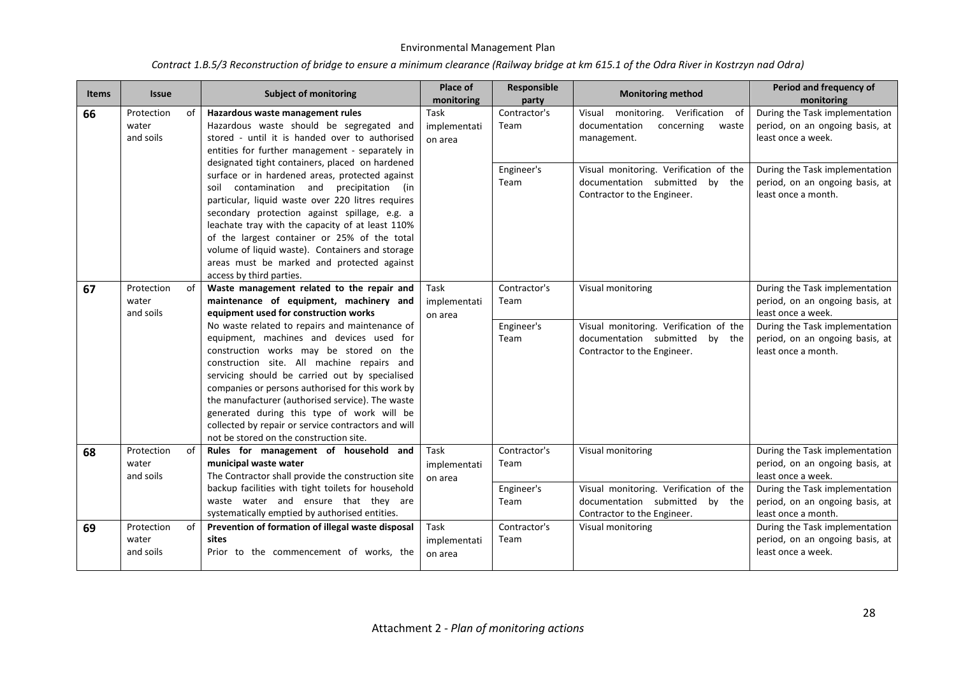| <b>Items</b> | <b>Issue</b>                           | <b>Subject of monitoring</b>                                                                                                                                                                                                                                                                                                                                                                                                                                                                  | Place of<br>monitoring          | Responsible<br>party | <b>Monitoring method</b>                                                                                   | Period and frequency of<br>monitoring                                                    |
|--------------|----------------------------------------|-----------------------------------------------------------------------------------------------------------------------------------------------------------------------------------------------------------------------------------------------------------------------------------------------------------------------------------------------------------------------------------------------------------------------------------------------------------------------------------------------|---------------------------------|----------------------|------------------------------------------------------------------------------------------------------------|------------------------------------------------------------------------------------------|
| 66           | Protection<br>of<br>water<br>and soils | Hazardous waste management rules<br>Hazardous waste should be segregated and<br>stored - until it is handed over to authorised<br>entities for further management - separately in                                                                                                                                                                                                                                                                                                             | Task<br>implementati<br>on area | Contractor's<br>Team | monitoring. Verification<br>Visual<br>- of<br>concerning<br>documentation<br>waste<br>management.          | During the Task implementation<br>period, on an ongoing basis, at<br>least once a week.  |
|              |                                        | designated tight containers, placed on hardened<br>surface or in hardened areas, protected against<br>soil contamination and precipitation (in<br>particular, liquid waste over 220 litres requires<br>secondary protection against spillage, e.g. a<br>leachate tray with the capacity of at least 110%<br>of the largest container or 25% of the total<br>volume of liquid waste). Containers and storage<br>areas must be marked and protected against<br>access by third parties.         |                                 | Engineer's<br>Team   | Visual monitoring. Verification of the<br>documentation submitted by the<br>Contractor to the Engineer.    | During the Task implementation<br>period, on an ongoing basis, at<br>least once a month. |
| 67           | Protection<br>of<br>water<br>and soils | Waste management related to the repair and<br>maintenance of equipment, machinery and<br>equipment used for construction works                                                                                                                                                                                                                                                                                                                                                                | Task<br>implementati            | Contractor's<br>Team | Visual monitoring                                                                                          | During the Task implementation<br>period, on an ongoing basis, at<br>least once a week.  |
|              |                                        | No waste related to repairs and maintenance of<br>equipment, machines and devices used for<br>construction works may be stored on the<br>construction site. All machine repairs and<br>servicing should be carried out by specialised<br>companies or persons authorised for this work by<br>the manufacturer (authorised service). The waste<br>generated during this type of work will be<br>collected by repair or service contractors and will<br>not be stored on the construction site. | on area                         | Engineer's<br>Team   | Visual monitoring. Verification of the<br>documentation submitted by the<br>Contractor to the Engineer.    | During the Task implementation<br>period, on an ongoing basis, at<br>least once a month. |
| 68           | Protection<br>of<br>water<br>and soils | Rules for management of household and<br>municipal waste water<br>The Contractor shall provide the construction site                                                                                                                                                                                                                                                                                                                                                                          | Task<br>implementati<br>on area | Contractor's<br>Team | Visual monitoring                                                                                          | During the Task implementation<br>period, on an ongoing basis, at<br>least once a week.  |
|              |                                        | backup facilities with tight toilets for household<br>waste water and ensure that they are<br>systematically emptied by authorised entities.                                                                                                                                                                                                                                                                                                                                                  |                                 | Engineer's<br>Team   | Visual monitoring. Verification of the<br>documentation submitted<br>by the<br>Contractor to the Engineer. | During the Task implementation<br>period, on an ongoing basis, at<br>least once a month. |
| 69           | Protection<br>of<br>water<br>and soils | Prevention of formation of illegal waste disposal<br>sites<br>Prior to the commencement of works, the                                                                                                                                                                                                                                                                                                                                                                                         | Task<br>implementati<br>on area | Contractor's<br>Team | Visual monitoring                                                                                          | During the Task implementation<br>period, on an ongoing basis, at<br>least once a week.  |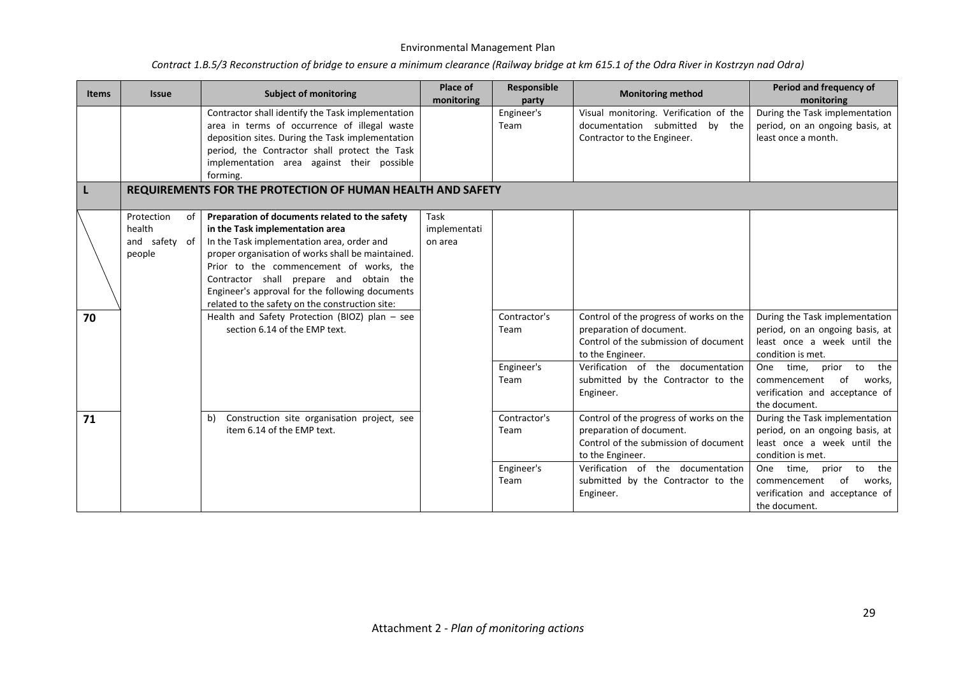| <b>Items</b> | <b>Issue</b>                                          | <b>Subject of monitoring</b>                                                                                                                                                                                                                                                                                                                                                     | Place of<br>monitoring          | Responsible<br>party | <b>Monitoring method</b>                                                                                                         | Period and frequency of<br>monitoring                                                                                 |
|--------------|-------------------------------------------------------|----------------------------------------------------------------------------------------------------------------------------------------------------------------------------------------------------------------------------------------------------------------------------------------------------------------------------------------------------------------------------------|---------------------------------|----------------------|----------------------------------------------------------------------------------------------------------------------------------|-----------------------------------------------------------------------------------------------------------------------|
|              |                                                       | Contractor shall identify the Task implementation<br>area in terms of occurrence of illegal waste<br>deposition sites. During the Task implementation<br>period, the Contractor shall protect the Task<br>implementation area against their possible<br>forming.                                                                                                                 |                                 | Engineer's<br>Team   | Visual monitoring. Verification of the<br>documentation submitted<br>by the<br>Contractor to the Engineer.                       | During the Task implementation<br>period, on an ongoing basis, at<br>least once a month.                              |
|              |                                                       | <b>REQUIREMENTS FOR THE PROTECTION OF HUMAN HEALTH AND SAFETY</b>                                                                                                                                                                                                                                                                                                                |                                 |                      |                                                                                                                                  |                                                                                                                       |
|              | Protection<br>of<br>health<br>and safety of<br>people | Preparation of documents related to the safety<br>in the Task implementation area<br>In the Task implementation area, order and<br>proper organisation of works shall be maintained.<br>Prior to the commencement of works, the<br>Contractor shall prepare and obtain the<br>Engineer's approval for the following documents<br>related to the safety on the construction site: | Task<br>implementati<br>on area |                      |                                                                                                                                  |                                                                                                                       |
| 70           |                                                       | Health and Safety Protection (BIOZ) plan - see<br>section 6.14 of the EMP text.                                                                                                                                                                                                                                                                                                  |                                 | Contractor's<br>Team | Control of the progress of works on the<br>preparation of document.<br>Control of the submission of document<br>to the Engineer. | During the Task implementation<br>period, on an ongoing basis, at<br>least once a week until the<br>condition is met. |
|              |                                                       |                                                                                                                                                                                                                                                                                                                                                                                  |                                 | Engineer's<br>Team   | Verification of the documentation<br>submitted by the Contractor to the<br>Engineer.                                             | One time, prior to<br>the<br>of<br>commencement<br>works,<br>verification and acceptance of<br>the document.          |
| 71           |                                                       | Construction site organisation project, see<br>b)<br>item 6.14 of the EMP text.                                                                                                                                                                                                                                                                                                  |                                 | Contractor's<br>Team | Control of the progress of works on the<br>preparation of document.<br>Control of the submission of document<br>to the Engineer. | During the Task implementation<br>period, on an ongoing basis, at<br>least once a week until the<br>condition is met. |
|              |                                                       |                                                                                                                                                                                                                                                                                                                                                                                  |                                 | Engineer's<br>Team   | Verification of the documentation<br>submitted by the Contractor to the<br>Engineer.                                             | One time, prior<br>the<br>to<br>of<br>commencement<br>works,<br>verification and acceptance of<br>the document.       |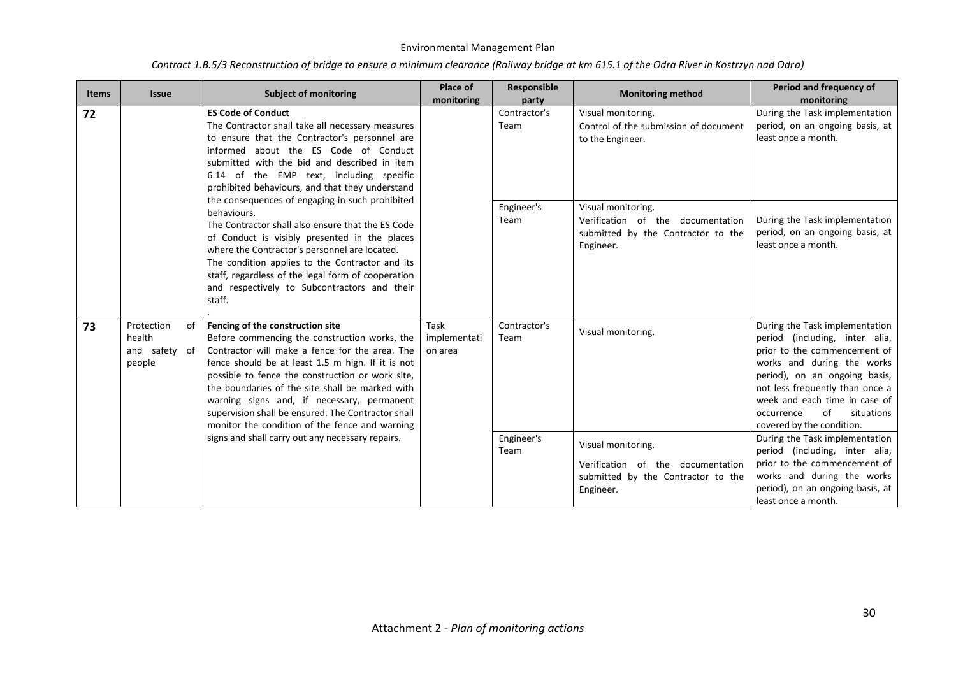| <b>Items</b> | <b>Issue</b>                                                                                                                                                                                                                                                                                                                                                                             | <b>Subject of monitoring</b>                                                                                                                                                                                                                                                                                                                                                                                                                          | Place of<br>monitoring          | Responsible<br>party                                                                                       | <b>Monitoring method</b>                                                                                   | Period and frequency of<br>monitoring                                                                                                                                                                                                                                                              |
|--------------|------------------------------------------------------------------------------------------------------------------------------------------------------------------------------------------------------------------------------------------------------------------------------------------------------------------------------------------------------------------------------------------|-------------------------------------------------------------------------------------------------------------------------------------------------------------------------------------------------------------------------------------------------------------------------------------------------------------------------------------------------------------------------------------------------------------------------------------------------------|---------------------------------|------------------------------------------------------------------------------------------------------------|------------------------------------------------------------------------------------------------------------|----------------------------------------------------------------------------------------------------------------------------------------------------------------------------------------------------------------------------------------------------------------------------------------------------|
| 72           |                                                                                                                                                                                                                                                                                                                                                                                          | <b>ES Code of Conduct</b><br>The Contractor shall take all necessary measures<br>to ensure that the Contractor's personnel are<br>informed about the ES Code of Conduct<br>submitted with the bid and described in item<br>6.14 of the EMP text, including specific<br>prohibited behaviours, and that they understand                                                                                                                                |                                 | Contractor's<br>Team                                                                                       | Visual monitoring.<br>Control of the submission of document<br>to the Engineer.                            | During the Task implementation<br>period, on an ongoing basis, at<br>least once a month.                                                                                                                                                                                                           |
|              | the consequences of engaging in such prohibited<br>behaviours.<br>The Contractor shall also ensure that the ES Code<br>of Conduct is visibly presented in the places<br>where the Contractor's personnel are located.<br>The condition applies to the Contractor and its<br>staff, regardless of the legal form of cooperation<br>and respectively to Subcontractors and their<br>staff. |                                                                                                                                                                                                                                                                                                                                                                                                                                                       | Engineer's<br>Team              | Visual monitoring.<br>Verification of the documentation<br>submitted by the Contractor to the<br>Engineer. | During the Task implementation<br>period, on an ongoing basis, at<br>least once a month.                   |                                                                                                                                                                                                                                                                                                    |
| 73           | Protection<br>of<br>health<br>and safety of<br>people                                                                                                                                                                                                                                                                                                                                    | Fencing of the construction site<br>Before commencing the construction works, the<br>Contractor will make a fence for the area. The<br>fence should be at least 1.5 m high. If it is not<br>possible to fence the construction or work site,<br>the boundaries of the site shall be marked with<br>warning signs and, if necessary, permanent<br>supervision shall be ensured. The Contractor shall<br>monitor the condition of the fence and warning | Task<br>implementati<br>on area | Contractor's<br>Team                                                                                       | Visual monitoring.                                                                                         | During the Task implementation<br>period (including, inter alia,<br>prior to the commencement of<br>works and during the works<br>period), on an ongoing basis,<br>not less frequently than once a<br>week and each time in case of<br>of<br>situations<br>occurrence<br>covered by the condition. |
|              |                                                                                                                                                                                                                                                                                                                                                                                          | signs and shall carry out any necessary repairs.                                                                                                                                                                                                                                                                                                                                                                                                      |                                 | Engineer's<br>Team                                                                                         | Visual monitoring.<br>Verification of the documentation<br>submitted by the Contractor to the<br>Engineer. | During the Task implementation<br>period (including, inter alia,<br>prior to the commencement of<br>works and during the works<br>period), on an ongoing basis, at<br>least once a month.                                                                                                          |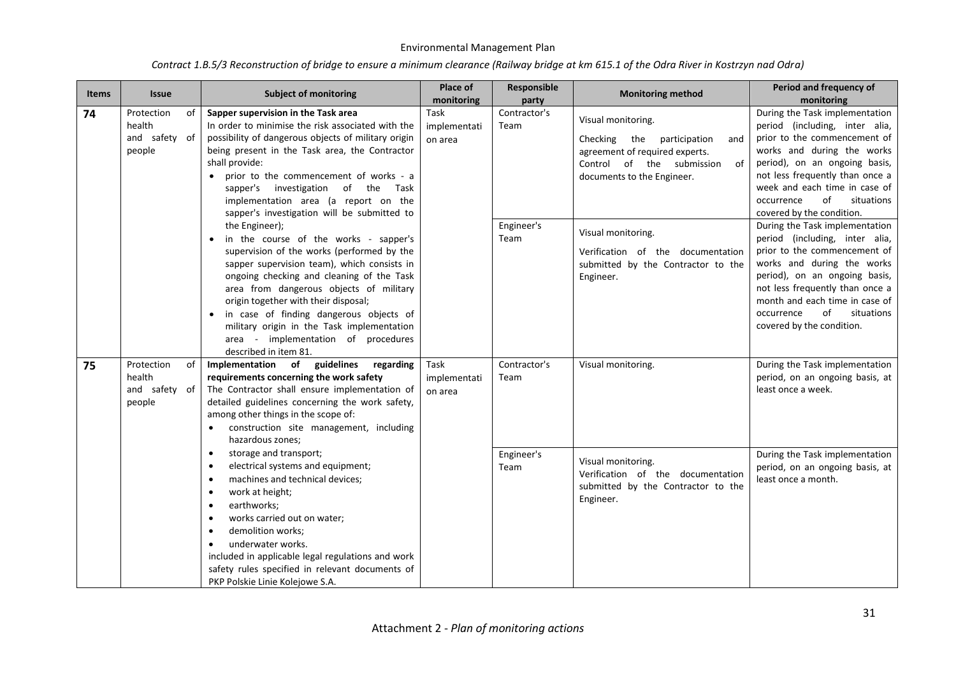| <b>Items</b> | <b>Issue</b>                                                                                                                                                                                                                                                                                                                                                       | <b>Subject of monitoring</b>                                                                                                                                                                                                                                                                                                                                                                                                                    | Place of<br>monitoring                                                 | Responsible<br>party | <b>Monitoring method</b>                                                                                                                                      | Period and frequency of<br>monitoring                                                                                                                                                                                                                                                               |
|--------------|--------------------------------------------------------------------------------------------------------------------------------------------------------------------------------------------------------------------------------------------------------------------------------------------------------------------------------------------------------------------|-------------------------------------------------------------------------------------------------------------------------------------------------------------------------------------------------------------------------------------------------------------------------------------------------------------------------------------------------------------------------------------------------------------------------------------------------|------------------------------------------------------------------------|----------------------|---------------------------------------------------------------------------------------------------------------------------------------------------------------|-----------------------------------------------------------------------------------------------------------------------------------------------------------------------------------------------------------------------------------------------------------------------------------------------------|
| 74           | Protection<br>οf<br>health<br>In order to minimise the risk associated with the<br>possibility of dangerous objects of military origin<br>and safety of<br>being present in the Task area, the Contractor<br>people<br>shall provide:<br>• prior to the commencement of works - a<br>sapper's investigation of the<br>Task<br>implementation area (a report on the | sapper's investigation will be submitted to                                                                                                                                                                                                                                                                                                                                                                                                     | Sapper supervision in the Task area<br>Task<br>implementati<br>on area | Contractor's<br>Team | Visual monitoring.<br>Checking<br>the participation<br>and<br>agreement of required experts.<br>Control of the submission<br>of<br>documents to the Engineer. | During the Task implementation<br>period (including, inter alia,<br>prior to the commencement of<br>works and during the works<br>period), on an ongoing basis,<br>not less frequently than once a<br>week and each time in case of<br>of<br>situations<br>occurrence<br>covered by the condition.  |
|              |                                                                                                                                                                                                                                                                                                                                                                    | the Engineer);<br>• in the course of the works - sapper's<br>supervision of the works (performed by the<br>sapper supervision team), which consists in<br>ongoing checking and cleaning of the Task<br>area from dangerous objects of military<br>origin together with their disposal;<br>in case of finding dangerous objects of<br>military origin in the Task implementation<br>area - implementation of procedures<br>described in item 81. |                                                                        | Engineer's<br>Team   | Visual monitoring.<br>Verification of the documentation<br>submitted by the Contractor to the<br>Engineer.                                                    | During the Task implementation<br>period (including, inter alia,<br>prior to the commencement of<br>works and during the works<br>period), on an ongoing basis,<br>not less frequently than once a<br>month and each time in case of<br>situations<br>of<br>occurrence<br>covered by the condition. |
| 75           | Protection<br>of<br>health<br>and safety of<br>people                                                                                                                                                                                                                                                                                                              | Implementation of guidelines regarding<br>requirements concerning the work safety<br>The Contractor shall ensure implementation of<br>detailed guidelines concerning the work safety,<br>among other things in the scope of:<br>construction site management, including<br>hazardous zones;                                                                                                                                                     | Task<br>implementati<br>on area                                        | Contractor's<br>Team | Visual monitoring.                                                                                                                                            | During the Task implementation<br>period, on an ongoing basis, at<br>least once a week.                                                                                                                                                                                                             |
|              |                                                                                                                                                                                                                                                                                                                                                                    | storage and transport;<br>$\bullet$<br>electrical systems and equipment;<br>machines and technical devices;<br>work at height;<br>earthworks:<br>works carried out on water;<br>$\bullet$<br>demolition works;<br>$\bullet$<br>underwater works.<br>٠<br>included in applicable legal regulations and work<br>safety rules specified in relevant documents of<br>PKP Polskie Linie Kolejowe S.A.                                                |                                                                        | Engineer's<br>Team   | Visual monitoring.<br>Verification of the documentation<br>submitted by the Contractor to the<br>Engineer.                                                    | During the Task implementation<br>period, on an ongoing basis, at<br>least once a month.                                                                                                                                                                                                            |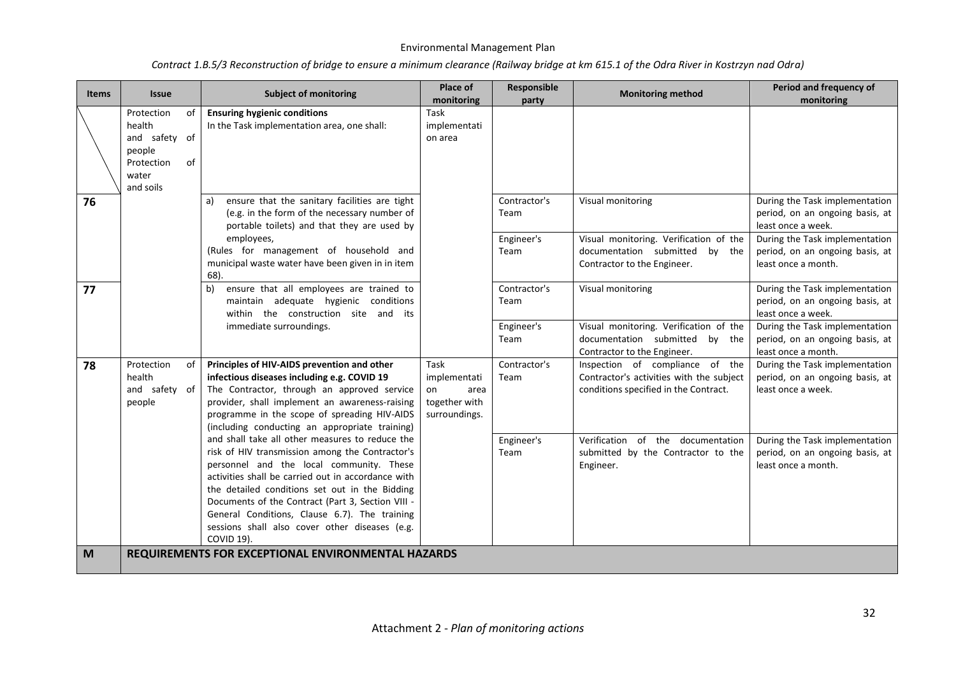| <b>Items</b> | <b>Issue</b>                                                                        |          | <b>Subject of monitoring</b>                                                                                                                                                                                                                                                                                                                                                                                                                                                                                                                                                                                                                                                                                    | Place of<br>monitoring                                               | Responsible<br>party                       | <b>Monitoring method</b>                                                                                                                                                                                        | Period and frequency of<br>monitoring                                                                                                                                               |
|--------------|-------------------------------------------------------------------------------------|----------|-----------------------------------------------------------------------------------------------------------------------------------------------------------------------------------------------------------------------------------------------------------------------------------------------------------------------------------------------------------------------------------------------------------------------------------------------------------------------------------------------------------------------------------------------------------------------------------------------------------------------------------------------------------------------------------------------------------------|----------------------------------------------------------------------|--------------------------------------------|-----------------------------------------------------------------------------------------------------------------------------------------------------------------------------------------------------------------|-------------------------------------------------------------------------------------------------------------------------------------------------------------------------------------|
|              | Protection<br>health<br>and safety of<br>people<br>Protection<br>water<br>and soils | of<br>of | <b>Ensuring hygienic conditions</b><br>In the Task implementation area, one shall:                                                                                                                                                                                                                                                                                                                                                                                                                                                                                                                                                                                                                              | Task<br>implementati<br>on area                                      |                                            |                                                                                                                                                                                                                 |                                                                                                                                                                                     |
| 76           |                                                                                     |          | ensure that the sanitary facilities are tight<br>a)<br>(e.g. in the form of the necessary number of<br>portable toilets) and that they are used by<br>employees,<br>(Rules for management of household and<br>municipal waste water have been given in in item<br>68).                                                                                                                                                                                                                                                                                                                                                                                                                                          |                                                                      | Contractor's<br>Team<br>Engineer's<br>Team | Visual monitoring<br>Visual monitoring. Verification of the<br>documentation submitted by the<br>Contractor to the Engineer.                                                                                    | During the Task implementation<br>period, on an ongoing basis, at<br>least once a week.<br>During the Task implementation<br>period, on an ongoing basis, at<br>least once a month. |
| 77           |                                                                                     |          | ensure that all employees are trained to<br>b)<br>maintain adequate hygienic conditions<br>within the construction site and its<br>immediate surroundings.                                                                                                                                                                                                                                                                                                                                                                                                                                                                                                                                                      |                                                                      | Contractor's<br>Team<br>Engineer's<br>Team | Visual monitoring<br>Visual monitoring. Verification of the<br>documentation submitted by the<br>Contractor to the Engineer.                                                                                    | During the Task implementation<br>period, on an ongoing basis, at<br>least once a week.<br>During the Task implementation<br>period, on an ongoing basis, at<br>least once a month. |
| 78           | Protection<br>health<br>and safety of<br>people                                     | of       | Principles of HIV-AIDS prevention and other<br>infectious diseases including e.g. COVID 19<br>The Contractor, through an approved service<br>provider, shall implement an awareness-raising<br>programme in the scope of spreading HIV-AIDS<br>(including conducting an appropriate training)<br>and shall take all other measures to reduce the<br>risk of HIV transmission among the Contractor's<br>personnel and the local community. These<br>activities shall be carried out in accordance with<br>the detailed conditions set out in the Bidding<br>Documents of the Contract (Part 3, Section VIII -<br>General Conditions, Clause 6.7). The training<br>sessions shall also cover other diseases (e.g. | Task<br>implementati<br>area<br>on<br>together with<br>surroundings. | Contractor's<br>Team<br>Engineer's<br>Team | Inspection of compliance of the<br>Contractor's activities with the subject<br>conditions specified in the Contract.<br>of the documentation<br>Verification<br>submitted by the Contractor to the<br>Engineer. | During the Task implementation<br>period, on an ongoing basis, at<br>least once a week.<br>During the Task implementation<br>period, on an ongoing basis, at<br>least once a month. |
| M            |                                                                                     |          | <b>COVID 19).</b><br>REQUIREMENTS FOR EXCEPTIONAL ENVIRONMENTAL HAZARDS                                                                                                                                                                                                                                                                                                                                                                                                                                                                                                                                                                                                                                         |                                                                      |                                            |                                                                                                                                                                                                                 |                                                                                                                                                                                     |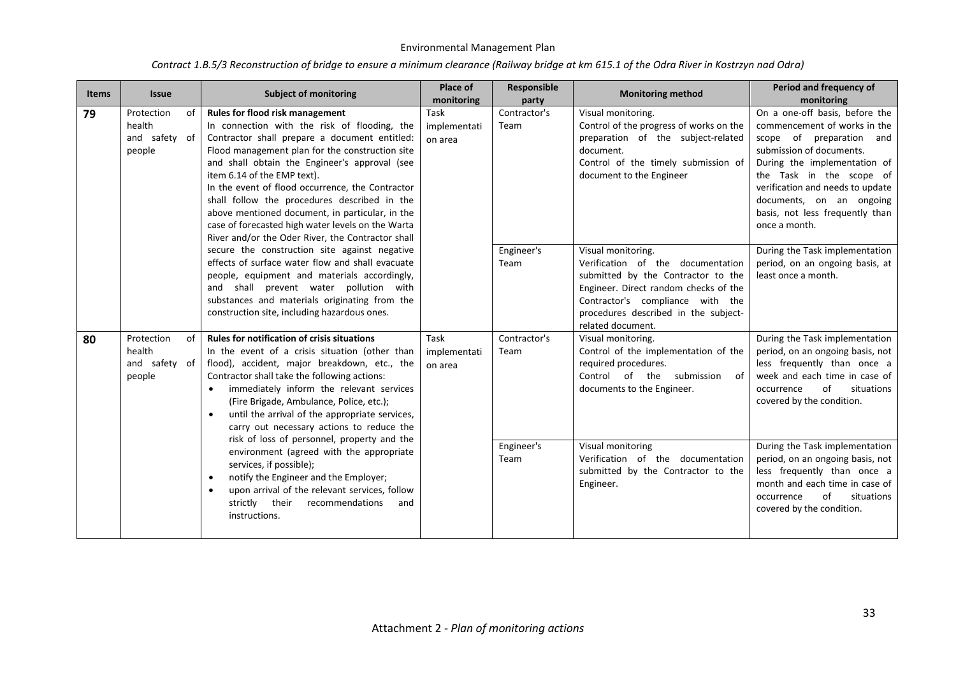| <b>Items</b> | <b>Issue</b>                                                                                                                                                                                                                                                                                     | <b>Subject of monitoring</b>                                                                                                                                                                                                                                                                                                                                                                                                                                                                                                         | Place of<br>monitoring          | Responsible<br>party                                                                                      | <b>Monitoring method</b>                                                                                                                                                                                                                | Period and frequency of<br>monitoring                                                                                                                                                                                                                                                                  |
|--------------|--------------------------------------------------------------------------------------------------------------------------------------------------------------------------------------------------------------------------------------------------------------------------------------------------|--------------------------------------------------------------------------------------------------------------------------------------------------------------------------------------------------------------------------------------------------------------------------------------------------------------------------------------------------------------------------------------------------------------------------------------------------------------------------------------------------------------------------------------|---------------------------------|-----------------------------------------------------------------------------------------------------------|-----------------------------------------------------------------------------------------------------------------------------------------------------------------------------------------------------------------------------------------|--------------------------------------------------------------------------------------------------------------------------------------------------------------------------------------------------------------------------------------------------------------------------------------------------------|
| 79           | Protection<br>0f<br>health<br>and safety of<br>people                                                                                                                                                                                                                                            | Rules for flood risk management<br>In connection with the risk of flooding, the<br>Contractor shall prepare a document entitled:<br>Flood management plan for the construction site<br>and shall obtain the Engineer's approval (see<br>item 6.14 of the EMP text).<br>In the event of flood occurrence, the Contractor<br>shall follow the procedures described in the<br>above mentioned document, in particular, in the<br>case of forecasted high water levels on the Warta<br>River and/or the Oder River, the Contractor shall | Task<br>implementati<br>on area | Contractor's<br>Team                                                                                      | Visual monitoring.<br>Control of the progress of works on the<br>preparation of the subject-related<br>document.<br>Control of the timely submission of<br>document to the Engineer                                                     | On a one-off basis, before the<br>commencement of works in the<br>scope of preparation and<br>submission of documents.<br>During the implementation of<br>the Task in the scope of<br>verification and needs to update<br>documents, on an ongoing<br>basis, not less frequently than<br>once a month. |
|              |                                                                                                                                                                                                                                                                                                  | secure the construction site against negative<br>effects of surface water flow and shall evacuate<br>people, equipment and materials accordingly,<br>and shall prevent water pollution with<br>substances and materials originating from the<br>construction site, including hazardous ones.                                                                                                                                                                                                                                         |                                 | Engineer's<br>Team                                                                                        | Visual monitoring.<br>Verification of the documentation<br>submitted by the Contractor to the<br>Engineer. Direct random checks of the<br>Contractor's compliance with the<br>procedures described in the subject-<br>related document. | During the Task implementation<br>period, on an ongoing basis, at<br>least once a month.                                                                                                                                                                                                               |
| 80           | Protection<br>0f<br>health<br>and safety of<br>people                                                                                                                                                                                                                                            | <b>Rules for notification of crisis situations</b><br>In the event of a crisis situation (other than<br>flood), accident, major breakdown, etc., the<br>Contractor shall take the following actions:<br>immediately inform the relevant services<br>$\bullet$<br>(Fire Brigade, Ambulance, Police, etc.);<br>until the arrival of the appropriate services,<br>$\bullet$<br>carry out necessary actions to reduce the                                                                                                                | Task<br>implementati<br>on area | Contractor's<br>Team                                                                                      | Visual monitoring.<br>Control of the implementation of the<br>required procedures.<br>Control of the submission<br>of<br>documents to the Engineer.                                                                                     | During the Task implementation<br>period, on an ongoing basis, not<br>less frequently than once a<br>week and each time in case of<br>of<br>situations<br>occurrence<br>covered by the condition.                                                                                                      |
|              | risk of loss of personnel, property and the<br>environment (agreed with the appropriate<br>services, if possible);<br>notify the Engineer and the Employer;<br>$\bullet$<br>upon arrival of the relevant services, follow<br>$\bullet$<br>strictly their recommendations<br>and<br>instructions. |                                                                                                                                                                                                                                                                                                                                                                                                                                                                                                                                      | Engineer's<br>Team              | Visual monitoring<br>Verification of the documentation<br>submitted by the Contractor to the<br>Engineer. | During the Task implementation<br>period, on an ongoing basis, not<br>less frequently than once a<br>month and each time in case of<br>of<br>situations<br>occurrence<br>covered by the condition.                                      |                                                                                                                                                                                                                                                                                                        |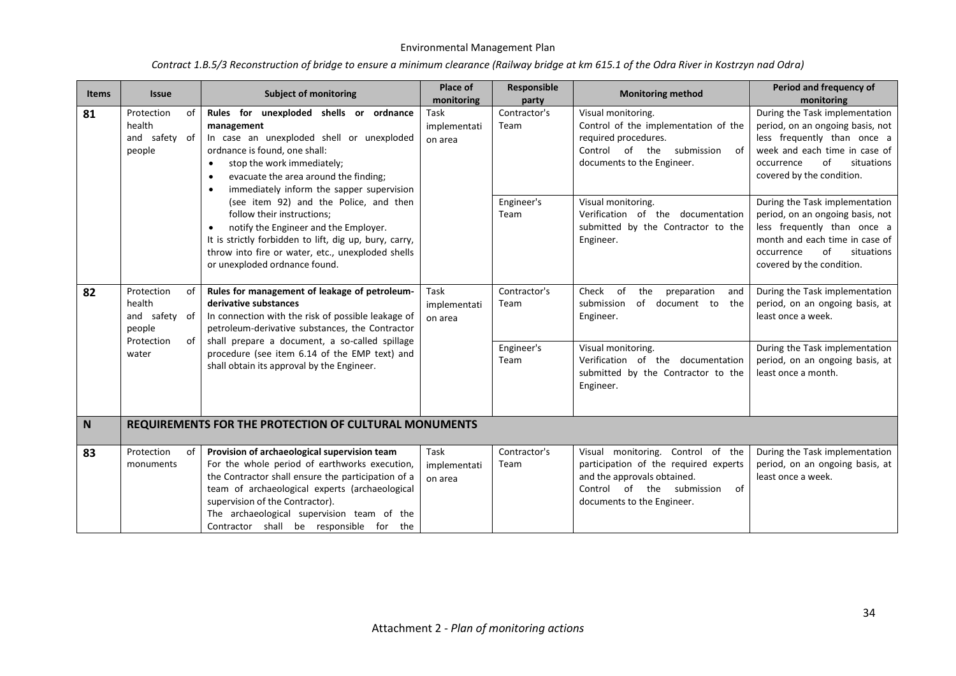| <b>Items</b> | <b>Issue</b>                                                              | <b>Subject of monitoring</b>                                                                                                                                                                                                                                                                                                      | Place of<br>monitoring          | Responsible<br>party | <b>Monitoring method</b>                                                                                                                                                   | Period and frequency of<br>monitoring                                                                                                                                                              |
|--------------|---------------------------------------------------------------------------|-----------------------------------------------------------------------------------------------------------------------------------------------------------------------------------------------------------------------------------------------------------------------------------------------------------------------------------|---------------------------------|----------------------|----------------------------------------------------------------------------------------------------------------------------------------------------------------------------|----------------------------------------------------------------------------------------------------------------------------------------------------------------------------------------------------|
| 81           | Protection<br>of<br>health<br>and safety of<br>people                     | Rules for unexploded shells or ordnance<br>Task<br>management<br>In case an unexploded shell or unexploded<br>ordnance is found, one shall:<br>stop the work immediately;<br>$\bullet$<br>evacuate the area around the finding;<br>$\bullet$<br>immediately inform the sapper supervision<br>$\bullet$                            | implementati<br>on area         | Contractor's<br>Team | Visual monitoring.<br>Control of the implementation of the<br>required procedures.<br>Control of the submission<br>of<br>documents to the Engineer.                        | During the Task implementation<br>period, on an ongoing basis, not<br>less frequently than once a<br>week and each time in case of<br>of<br>situations<br>occurrence<br>covered by the condition.  |
|              |                                                                           | (see item 92) and the Police, and then<br>follow their instructions:<br>notify the Engineer and the Employer.<br>It is strictly forbidden to lift, dig up, bury, carry,<br>throw into fire or water, etc., unexploded shells<br>or unexploded ordnance found.                                                                     |                                 | Engineer's<br>Team   | Visual monitoring.<br>Verification of the documentation<br>submitted by the Contractor to the<br>Engineer.                                                                 | During the Task implementation<br>period, on an ongoing basis, not<br>less frequently than once a<br>month and each time in case of<br>of<br>situations<br>occurrence<br>covered by the condition. |
| 82           | Protection<br>of<br>health<br>and safety of<br>people<br>Protection<br>0f | Rules for management of leakage of petroleum-<br>derivative substances<br>In connection with the risk of possible leakage of<br>petroleum-derivative substances, the Contractor<br>shall prepare a document, a so-called spillage                                                                                                 | Task<br>implementati<br>on area | Contractor's<br>Team | Check<br>of<br>the<br>preparation<br>and<br>of document to<br>submission<br>the<br>Engineer.                                                                               | During the Task implementation<br>period, on an ongoing basis, at<br>least once a week.                                                                                                            |
|              | water                                                                     | procedure (see item 6.14 of the EMP text) and<br>shall obtain its approval by the Engineer.                                                                                                                                                                                                                                       |                                 | Engineer's<br>Team   | Visual monitoring.<br>Verification of the documentation<br>submitted by the Contractor to the<br>Engineer.                                                                 | During the Task implementation<br>period, on an ongoing basis, at<br>least once a month.                                                                                                           |
| N            |                                                                           | REQUIREMENTS FOR THE PROTECTION OF CULTURAL MONUMENTS                                                                                                                                                                                                                                                                             |                                 |                      |                                                                                                                                                                            |                                                                                                                                                                                                    |
| 83           | Protection<br>0f<br>monuments                                             | Provision of archaeological supervision team<br>For the whole period of earthworks execution,<br>the Contractor shall ensure the participation of a<br>team of archaeological experts (archaeological<br>supervision of the Contractor).<br>The archaeological supervision team of the<br>Contractor shall be responsible for the | Task<br>implementati<br>on area | Contractor's<br>Team | Visual monitoring. Control of the<br>participation of the required experts<br>and the approvals obtained.<br>Control of the submission<br>of<br>documents to the Engineer. | During the Task implementation<br>period, on an ongoing basis, at<br>least once a week.                                                                                                            |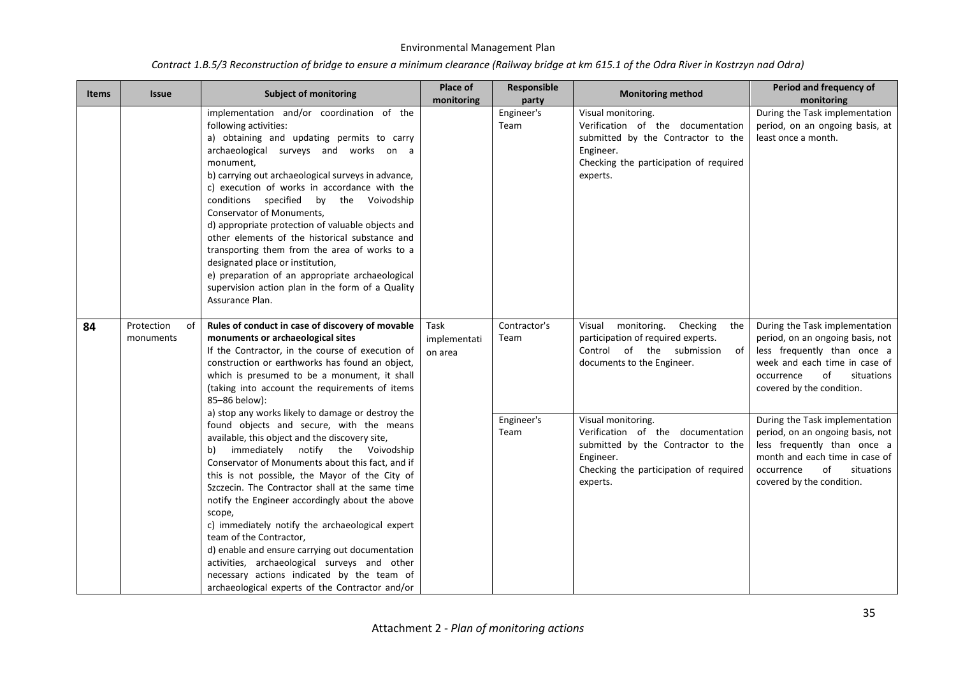| <b>Items</b> | <b>Issue</b>                  | <b>Subject of monitoring</b>                                                                                                                                                                                                                                                                                                                                                                                                                                                                                                                                                                                                                                                                       | Place of<br>monitoring          | Responsible<br>party | <b>Monitoring method</b>                                                                                                                                         | Period and frequency of<br>monitoring                                                                                                                                                              |
|--------------|-------------------------------|----------------------------------------------------------------------------------------------------------------------------------------------------------------------------------------------------------------------------------------------------------------------------------------------------------------------------------------------------------------------------------------------------------------------------------------------------------------------------------------------------------------------------------------------------------------------------------------------------------------------------------------------------------------------------------------------------|---------------------------------|----------------------|------------------------------------------------------------------------------------------------------------------------------------------------------------------|----------------------------------------------------------------------------------------------------------------------------------------------------------------------------------------------------|
|              |                               | implementation and/or coordination of the<br>following activities:<br>a) obtaining and updating permits to carry<br>archaeological surveys and works on a<br>monument,<br>b) carrying out archaeological surveys in advance,<br>c) execution of works in accordance with the<br>conditions specified by the Voivodship<br>Conservator of Monuments,<br>d) appropriate protection of valuable objects and<br>other elements of the historical substance and<br>transporting them from the area of works to a<br>designated place or institution,<br>e) preparation of an appropriate archaeological<br>supervision action plan in the form of a Quality<br>Assurance Plan.                          |                                 | Engineer's<br>Team   | Visual monitoring.<br>Verification of the documentation<br>submitted by the Contractor to the<br>Engineer.<br>Checking the participation of required<br>experts. | During the Task implementation<br>period, on an ongoing basis, at<br>least once a month.                                                                                                           |
| 84           | Protection<br>0f<br>monuments | Rules of conduct in case of discovery of movable<br>monuments or archaeological sites<br>If the Contractor, in the course of execution of<br>construction or earthworks has found an object,<br>which is presumed to be a monument, it shall<br>(taking into account the requirements of items<br>85-86 below):                                                                                                                                                                                                                                                                                                                                                                                    | Task<br>implementati<br>on area | Contractor's<br>Team | Visual monitoring.<br>Checking<br>the<br>participation of required experts.<br>Control of the submission<br>of<br>documents to the Engineer.                     | During the Task implementation<br>period, on an ongoing basis, not<br>less frequently than once a<br>week and each time in case of<br>of<br>occurrence<br>situations<br>covered by the condition.  |
|              |                               | a) stop any works likely to damage or destroy the<br>found objects and secure, with the means<br>available, this object and the discovery site,<br>immediately notify the Voivodship<br>b)<br>Conservator of Monuments about this fact, and if<br>this is not possible, the Mayor of the City of<br>Szczecin. The Contractor shall at the same time<br>notify the Engineer accordingly about the above<br>scope,<br>c) immediately notify the archaeological expert<br>team of the Contractor,<br>d) enable and ensure carrying out documentation<br>activities, archaeological surveys and other<br>necessary actions indicated by the team of<br>archaeological experts of the Contractor and/or |                                 | Engineer's<br>Team   | Visual monitoring.<br>Verification of the documentation<br>submitted by the Contractor to the<br>Engineer.<br>Checking the participation of required<br>experts. | During the Task implementation<br>period, on an ongoing basis, not<br>less frequently than once a<br>month and each time in case of<br>of<br>situations<br>occurrence<br>covered by the condition. |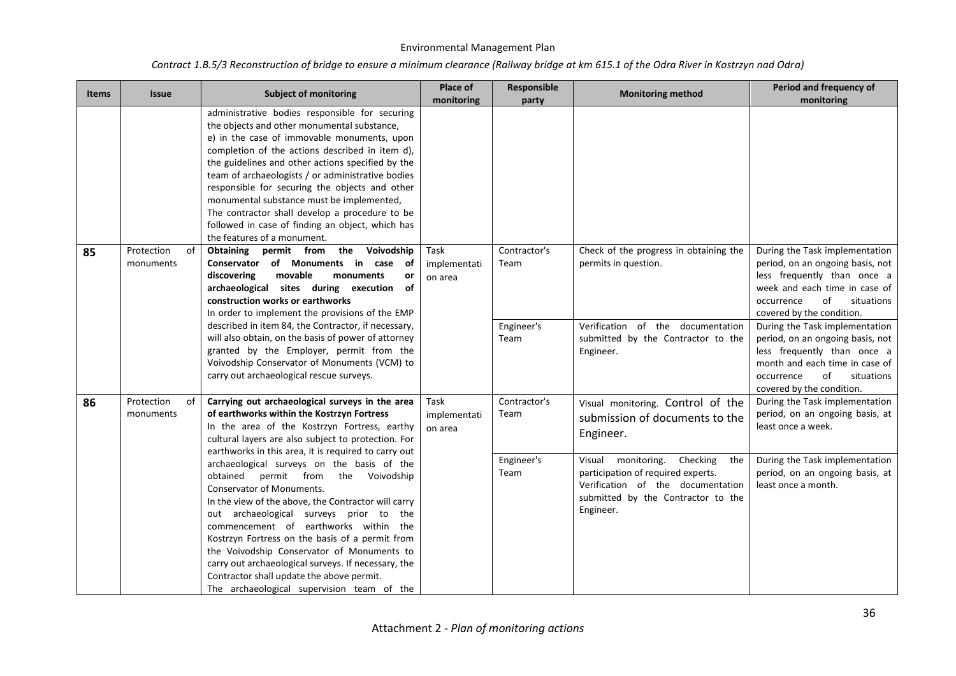| <b>Items</b> | <b>Issue</b>                                                                                                                                                                                | <b>Subject of monitoring</b>                                                                                                                                                                                                                                                                                                                                                                                                                                                                                                                  | Place of<br>monitoring          | Responsible<br>party               | <b>Monitoring method</b>                                                                                                                                               | Period and frequency of<br>monitoring                                                                                                                                                                                               |
|--------------|---------------------------------------------------------------------------------------------------------------------------------------------------------------------------------------------|-----------------------------------------------------------------------------------------------------------------------------------------------------------------------------------------------------------------------------------------------------------------------------------------------------------------------------------------------------------------------------------------------------------------------------------------------------------------------------------------------------------------------------------------------|---------------------------------|------------------------------------|------------------------------------------------------------------------------------------------------------------------------------------------------------------------|-------------------------------------------------------------------------------------------------------------------------------------------------------------------------------------------------------------------------------------|
|              |                                                                                                                                                                                             | administrative bodies responsible for securing<br>the objects and other monumental substance,<br>e) in the case of immovable monuments, upon<br>completion of the actions described in item d),<br>the guidelines and other actions specified by the<br>team of archaeologists / or administrative bodies<br>responsible for securing the objects and other<br>monumental substance must be implemented,<br>The contractor shall develop a procedure to be<br>followed in case of finding an object, which has<br>the features of a monument. |                                 |                                    |                                                                                                                                                                        |                                                                                                                                                                                                                                     |
| 85           | Protection<br>of<br>monuments                                                                                                                                                               | Obtaining permit from<br>the Voivodship<br>Conservator of Monuments in case of<br>discovering<br>movable<br>monuments<br>or<br>archaeological sites during execution<br>of<br>construction works or earthworks<br>In order to implement the provisions of the EMP                                                                                                                                                                                                                                                                             | Task<br>implementati<br>on area | Contractor's<br>Team<br>Engineer's | Check of the progress in obtaining the<br>permits in question.<br>Verification of the documentation                                                                    | During the Task implementation<br>period, on an ongoing basis, not<br>less frequently than once a<br>week and each time in case of<br>of<br>occurrence<br>situations<br>covered by the condition.<br>During the Task implementation |
|              | described in item 84, the Contractor, if necessary,<br>granted by the Employer, permit from the<br>Voivodship Conservator of Monuments (VCM) to<br>carry out archaeological rescue surveys. | will also obtain, on the basis of power of attorney                                                                                                                                                                                                                                                                                                                                                                                                                                                                                           |                                 | Team                               | submitted by the Contractor to the<br>Engineer.                                                                                                                        | period, on an ongoing basis, not<br>less frequently than once a<br>month and each time in case of<br>of<br>situations<br>occurrence<br>covered by the condition.                                                                    |
| 86           | Protection<br>0f<br>monuments                                                                                                                                                               | Carrying out archaeological surveys in the area<br>of earthworks within the Kostrzyn Fortress<br>In the area of the Kostrzyn Fortress, earthy<br>cultural layers are also subject to protection. For<br>earthworks in this area, it is required to carry out                                                                                                                                                                                                                                                                                  | Task<br>implementati<br>on area | Contractor's<br>Team               | Visual monitoring. Control of the<br>submission of documents to the<br>Engineer.                                                                                       | During the Task implementation<br>period, on an ongoing basis, at<br>least once a week.                                                                                                                                             |
|              |                                                                                                                                                                                             | archaeological surveys on the basis of the<br>obtained permit from<br>the Voivodship<br><b>Conservator of Monuments.</b><br>In the view of the above, the Contractor will carry<br>out archaeological surveys prior to the<br>commencement of earthworks within the<br>Kostrzyn Fortress on the basis of a permit from<br>the Voivodship Conservator of Monuments to<br>carry out archaeological surveys. If necessary, the<br>Contractor shall update the above permit.<br>The archaeological supervision team of the                        |                                 | Engineer's<br>Team                 | Checking<br>monitoring.<br>the<br>Visual<br>participation of required experts.<br>Verification of the documentation<br>submitted by the Contractor to the<br>Engineer. | During the Task implementation<br>period, on an ongoing basis, at<br>least once a month.                                                                                                                                            |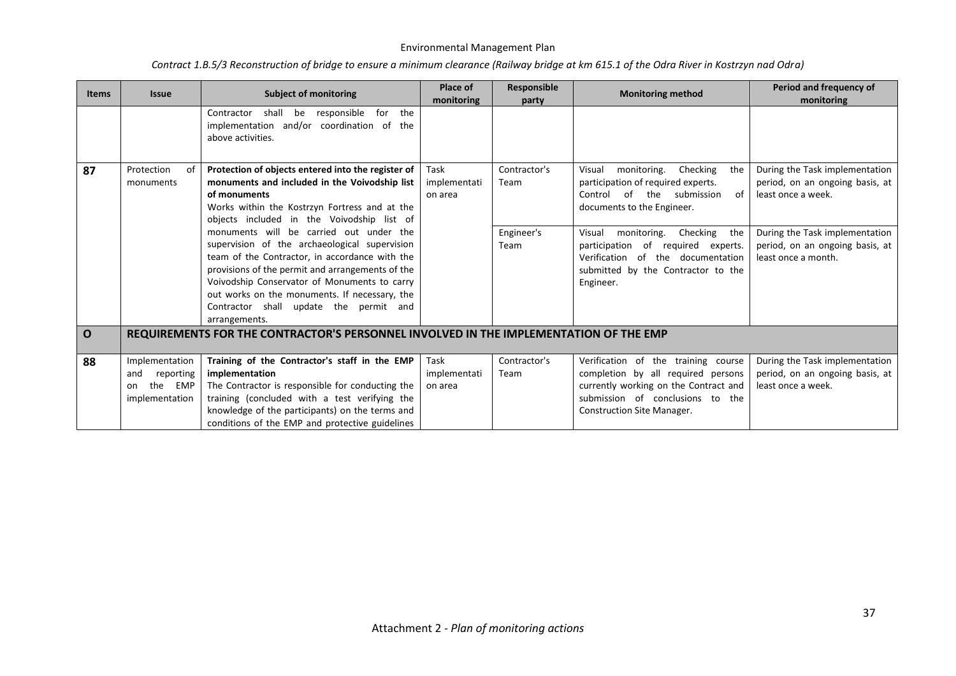| <b>Items</b> | <b>Issue</b>                                                             | <b>Subject of monitoring</b>                                                                                                                                                                                                                                                                                                                               | Place of<br>monitoring          | <b>Responsible</b><br>party | <b>Monitoring method</b>                                                                                                                                                                    | Period and frequency of<br>monitoring                                                    |
|--------------|--------------------------------------------------------------------------|------------------------------------------------------------------------------------------------------------------------------------------------------------------------------------------------------------------------------------------------------------------------------------------------------------------------------------------------------------|---------------------------------|-----------------------------|---------------------------------------------------------------------------------------------------------------------------------------------------------------------------------------------|------------------------------------------------------------------------------------------|
|              |                                                                          | responsible<br>Contractor<br>shall<br>for<br>the<br>be<br>implementation and/or coordination of<br>the<br>above activities.                                                                                                                                                                                                                                |                                 |                             |                                                                                                                                                                                             |                                                                                          |
| 87           | Protection<br>of<br>monuments                                            | Protection of objects entered into the register of<br>monuments and included in the Voivodship list<br>of monuments<br>Works within the Kostrzyn Fortress and at the<br>objects included in the Voivodship list of                                                                                                                                         | Task<br>implementati<br>on area | Contractor's<br>Team        | monitoring.<br>Checking<br>the<br>Visual<br>participation of required experts.<br>Control of the submission<br>of<br>documents to the Engineer.                                             | During the Task implementation<br>period, on an ongoing basis, at<br>least once a week.  |
|              |                                                                          | monuments will be carried out under the<br>supervision of the archaeological supervision<br>team of the Contractor, in accordance with the<br>provisions of the permit and arrangements of the<br>Voivodship Conservator of Monuments to carry<br>out works on the monuments. If necessary, the<br>Contractor shall update the permit and<br>arrangements. |                                 | Engineer's<br>Team          | Checking<br>Visual<br>monitoring.<br>the<br>of required experts.<br>participation<br>Verification of the documentation<br>submitted by the Contractor to the<br>Engineer.                   | During the Task implementation<br>period, on an ongoing basis, at<br>least once a month. |
| O            |                                                                          | REQUIREMENTS FOR THE CONTRACTOR'S PERSONNEL INVOLVED IN THE IMPLEMENTATION OF THE EMP                                                                                                                                                                                                                                                                      |                                 |                             |                                                                                                                                                                                             |                                                                                          |
| 88           | Implementation<br>reporting<br>and<br>the<br>EMP<br>on<br>implementation | Training of the Contractor's staff in the EMP<br>implementation<br>The Contractor is responsible for conducting the<br>training (concluded with a test verifying the<br>knowledge of the participants) on the terms and<br>conditions of the EMP and protective guidelines                                                                                 | Task<br>implementati<br>on area | Contractor's<br>Team        | Verification of the training course<br>completion by all required persons<br>currently working on the Contract and<br>submission of conclusions to the<br><b>Construction Site Manager.</b> | During the Task implementation<br>period, on an ongoing basis, at<br>least once a week.  |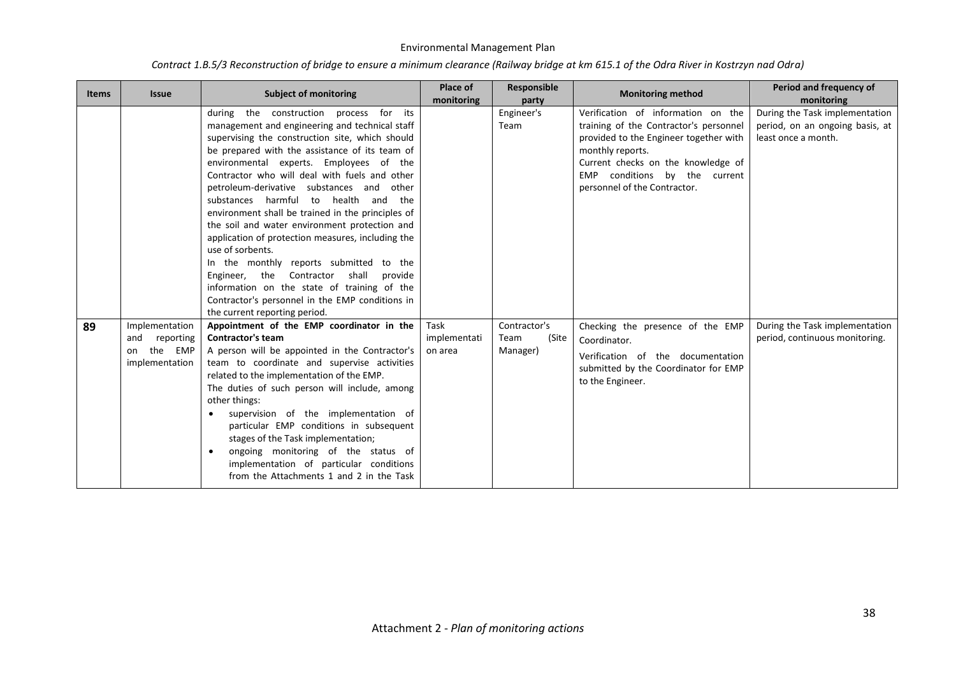| <b>Items</b> | <b>Issue</b>                                                             | <b>Subject of monitoring</b>                                                                                                                                                                                                                                                                                                                                                                                                                                                                                                                                                                                                                                                                                                                                                                             | Place of<br>monitoring          | Responsible<br>party                      | <b>Monitoring method</b>                                                                                                                                                                                                                          | Period and frequency of<br>monitoring                                                    |
|--------------|--------------------------------------------------------------------------|----------------------------------------------------------------------------------------------------------------------------------------------------------------------------------------------------------------------------------------------------------------------------------------------------------------------------------------------------------------------------------------------------------------------------------------------------------------------------------------------------------------------------------------------------------------------------------------------------------------------------------------------------------------------------------------------------------------------------------------------------------------------------------------------------------|---------------------------------|-------------------------------------------|---------------------------------------------------------------------------------------------------------------------------------------------------------------------------------------------------------------------------------------------------|------------------------------------------------------------------------------------------|
|              |                                                                          | during the construction process<br>for its<br>management and engineering and technical staff<br>supervising the construction site, which should<br>be prepared with the assistance of its team of<br>environmental experts. Employees of the<br>Contractor who will deal with fuels and other<br>petroleum-derivative substances and other<br>substances harmful to<br>health and<br>the<br>environment shall be trained in the principles of<br>the soil and water environment protection and<br>application of protection measures, including the<br>use of sorbents.<br>In the monthly reports submitted to the<br>Engineer, the<br>Contractor<br>shall<br>provide<br>information on the state of training of the<br>Contractor's personnel in the EMP conditions in<br>the current reporting period. |                                 | Engineer's<br>Team                        | Verification of information on the<br>training of the Contractor's personnel<br>provided to the Engineer together with<br>monthly reports.<br>Current checks on the knowledge of<br>EMP conditions by the current<br>personnel of the Contractor. | During the Task implementation<br>period, on an ongoing basis, at<br>least once a month. |
| 89           | Implementation<br>reporting<br>and<br>the<br>EMP<br>on<br>implementation | Appointment of the EMP coordinator in the<br><b>Contractor's team</b><br>A person will be appointed in the Contractor's<br>team to coordinate and supervise activities<br>related to the implementation of the EMP.<br>The duties of such person will include, among<br>other things:<br>supervision of the implementation of<br>$\bullet$<br>particular EMP conditions in subsequent<br>stages of the Task implementation;<br>ongoing monitoring of the status of<br>$\bullet$<br>implementation of particular conditions<br>from the Attachments 1 and 2 in the Task                                                                                                                                                                                                                                   | Task<br>implementati<br>on area | Contractor's<br>(Site<br>Team<br>Manager) | Checking the presence of the EMP<br>Coordinator.<br>Verification of the documentation<br>submitted by the Coordinator for EMP<br>to the Engineer.                                                                                                 | During the Task implementation<br>period, continuous monitoring.                         |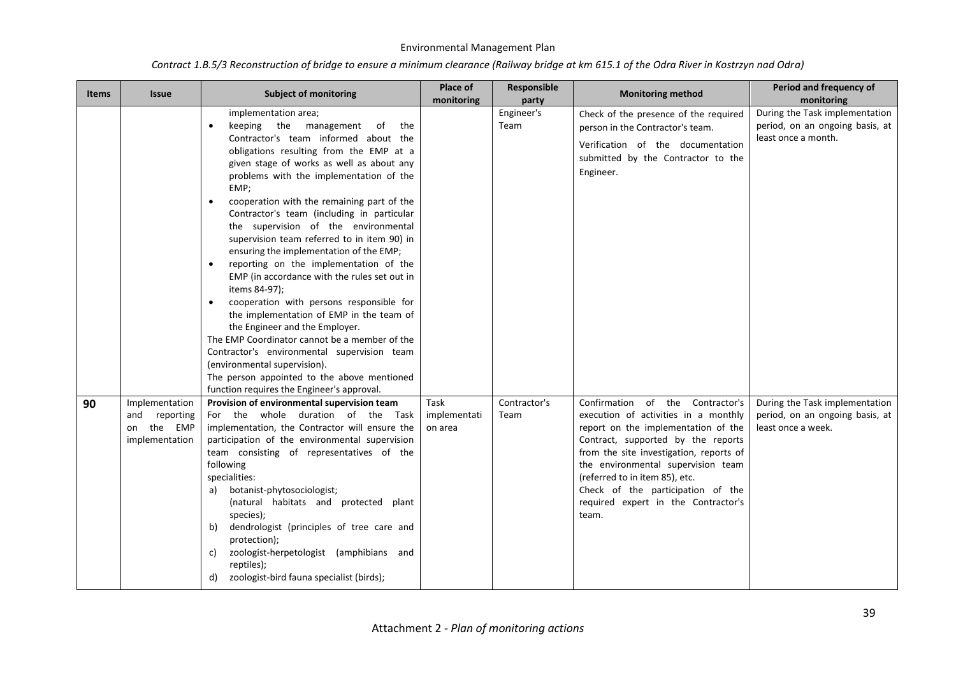| <b>Items</b> | <b>Issue</b>                                                          | <b>Subject of monitoring</b>                                                                                                                                                                                                                                                                                                                                                                                                                                                                                                                                                                                                                                                                                                                                                                                                                                                                                                                                | Place of<br>monitoring          | Responsible<br>party | <b>Monitoring method</b>                                                                                                                                                                                                                                                                                                                                      | Period and frequency of<br>monitoring                                                    |
|--------------|-----------------------------------------------------------------------|-------------------------------------------------------------------------------------------------------------------------------------------------------------------------------------------------------------------------------------------------------------------------------------------------------------------------------------------------------------------------------------------------------------------------------------------------------------------------------------------------------------------------------------------------------------------------------------------------------------------------------------------------------------------------------------------------------------------------------------------------------------------------------------------------------------------------------------------------------------------------------------------------------------------------------------------------------------|---------------------------------|----------------------|---------------------------------------------------------------------------------------------------------------------------------------------------------------------------------------------------------------------------------------------------------------------------------------------------------------------------------------------------------------|------------------------------------------------------------------------------------------|
|              |                                                                       | implementation area;<br>keeping the management<br>of<br>the<br>Contractor's team informed about the<br>obligations resulting from the EMP at a<br>given stage of works as well as about any<br>problems with the implementation of the<br>EMP;<br>cooperation with the remaining part of the<br>Contractor's team (including in particular<br>the supervision of the environmental<br>supervision team referred to in item 90) in<br>ensuring the implementation of the EMP;<br>reporting on the implementation of the<br>$\bullet$<br>EMP (in accordance with the rules set out in<br>items 84-97);<br>cooperation with persons responsible for<br>the implementation of EMP in the team of<br>the Engineer and the Employer.<br>The EMP Coordinator cannot be a member of the<br>Contractor's environmental supervision team<br>(environmental supervision).<br>The person appointed to the above mentioned<br>function requires the Engineer's approval. |                                 | Engineer's<br>Team   | Check of the presence of the required<br>person in the Contractor's team.<br>Verification of the documentation<br>submitted by the Contractor to the<br>Engineer.                                                                                                                                                                                             | During the Task implementation<br>period, on an ongoing basis, at<br>least once a month. |
| 90           | Implementation<br>reporting<br>and<br>the EMP<br>on<br>implementation | Provision of environmental supervision team<br>For the whole duration of the Task<br>implementation, the Contractor will ensure the<br>participation of the environmental supervision<br>team consisting of representatives of the<br>following<br>specialities:<br>botanist-phytosociologist;<br>a)<br>(natural habitats and protected plant<br>species);<br>dendrologist (principles of tree care and<br>b)<br>protection);<br>zoologist-herpetologist (amphibians and<br>C)<br>reptiles);<br>zoologist-bird fauna specialist (birds);<br>d)                                                                                                                                                                                                                                                                                                                                                                                                              | Task<br>implementati<br>on area | Contractor's<br>Team | Confirmation of the Contractor's<br>execution of activities in a monthly<br>report on the implementation of the<br>Contract, supported by the reports<br>from the site investigation, reports of<br>the environmental supervision team<br>(referred to in item 85), etc.<br>Check of the participation of the<br>required expert in the Contractor's<br>team. | During the Task implementation<br>period, on an ongoing basis, at<br>least once a week.  |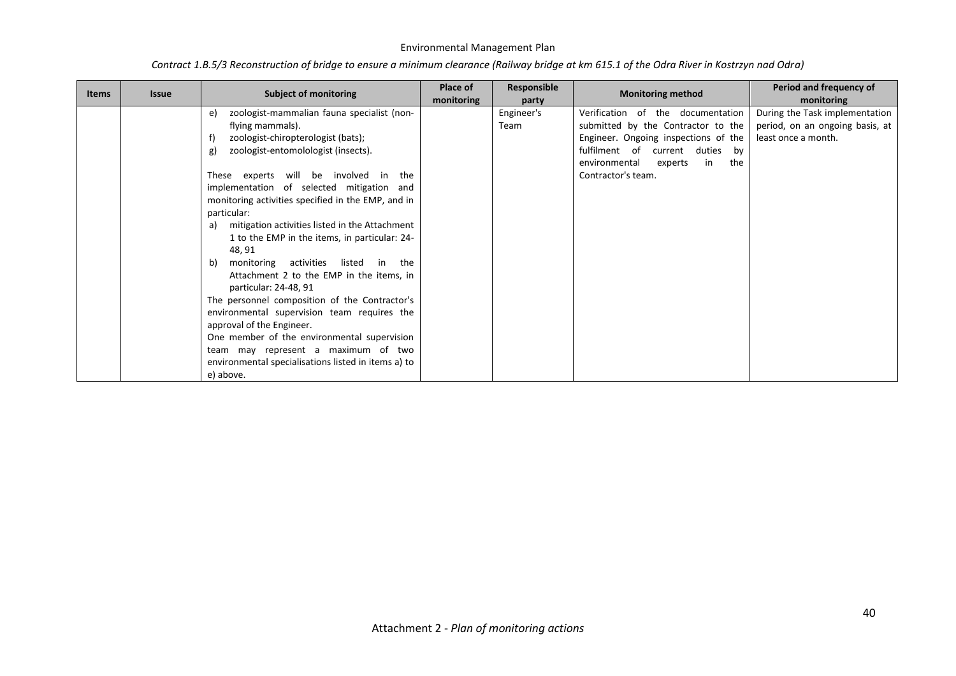| <b>Items</b> | <b>Issue</b> | <b>Subject of monitoring</b>                         | Place of<br>monitoring | Responsible<br>party | <b>Monitoring method</b>              | Period and frequency of<br>monitoring |
|--------------|--------------|------------------------------------------------------|------------------------|----------------------|---------------------------------------|---------------------------------------|
|              |              | zoologist-mammalian fauna specialist (non-<br>e)     |                        | Engineer's           | Verification of the documentation     | During the Task implementation        |
|              |              | flying mammals).                                     |                        | Team                 | submitted by the Contractor to the    | period, on an ongoing basis, at       |
|              |              | zoologist-chiropterologist (bats);<br>f)             |                        |                      | Engineer. Ongoing inspections of the  | least once a month.                   |
|              |              | zoologist-entomolologist (insects).<br>g)            |                        |                      | fulfilment of current duties<br>by    |                                       |
|              |              |                                                      |                        |                      | in<br>environmental<br>experts<br>the |                                       |
|              |              | These experts will be involved in the                |                        |                      | Contractor's team.                    |                                       |
|              |              | implementation of selected mitigation and            |                        |                      |                                       |                                       |
|              |              | monitoring activities specified in the EMP, and in   |                        |                      |                                       |                                       |
|              |              | particular:                                          |                        |                      |                                       |                                       |
|              |              | mitigation activities listed in the Attachment<br>a) |                        |                      |                                       |                                       |
|              |              | 1 to the EMP in the items, in particular: 24-        |                        |                      |                                       |                                       |
|              |              | 48, 91                                               |                        |                      |                                       |                                       |
|              |              | monitoring activities listed in the<br>b)            |                        |                      |                                       |                                       |
|              |              | Attachment 2 to the EMP in the items, in             |                        |                      |                                       |                                       |
|              |              | particular: 24-48, 91                                |                        |                      |                                       |                                       |
|              |              | The personnel composition of the Contractor's        |                        |                      |                                       |                                       |
|              |              | environmental supervision team requires the          |                        |                      |                                       |                                       |
|              |              | approval of the Engineer.                            |                        |                      |                                       |                                       |
|              |              | One member of the environmental supervision          |                        |                      |                                       |                                       |
|              |              | team may represent a maximum of two                  |                        |                      |                                       |                                       |
|              |              | environmental specialisations listed in items a) to  |                        |                      |                                       |                                       |
|              |              | e) above.                                            |                        |                      |                                       |                                       |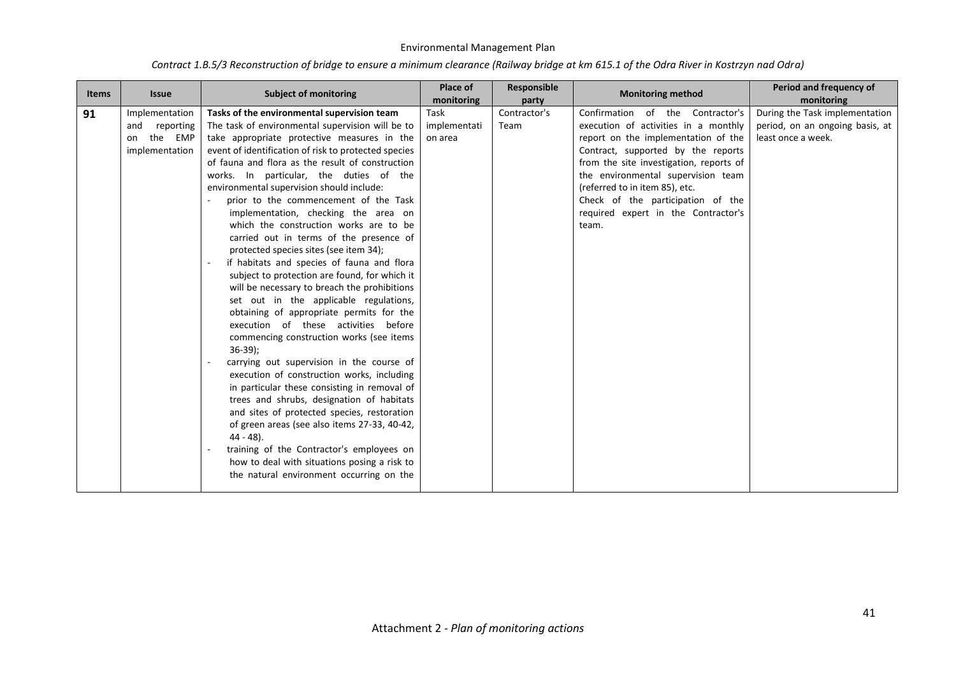| <b>Items</b> | <b>Issue</b>                                                          | <b>Subject of monitoring</b>                                                                                                                                                                                                                                                                                                                                                                                                                                                                                                                                                                                                                                                                                                                                                                                                                                                                                                                                                                                                                                                                                                                                                                                                                                                                                                                             | Place of<br>monitoring          | Responsible<br>party | <b>Monitoring method</b>                                                                                                                                                                                                                                                                                                                                      | Period and frequency of<br>monitoring                                                   |
|--------------|-----------------------------------------------------------------------|----------------------------------------------------------------------------------------------------------------------------------------------------------------------------------------------------------------------------------------------------------------------------------------------------------------------------------------------------------------------------------------------------------------------------------------------------------------------------------------------------------------------------------------------------------------------------------------------------------------------------------------------------------------------------------------------------------------------------------------------------------------------------------------------------------------------------------------------------------------------------------------------------------------------------------------------------------------------------------------------------------------------------------------------------------------------------------------------------------------------------------------------------------------------------------------------------------------------------------------------------------------------------------------------------------------------------------------------------------|---------------------------------|----------------------|---------------------------------------------------------------------------------------------------------------------------------------------------------------------------------------------------------------------------------------------------------------------------------------------------------------------------------------------------------------|-----------------------------------------------------------------------------------------|
| 91           | Implementation<br>reporting<br>and<br>the EMP<br>on<br>implementation | Tasks of the environmental supervision team<br>The task of environmental supervision will be to<br>take appropriate protective measures in the<br>event of identification of risk to protected species<br>of fauna and flora as the result of construction<br>works. In particular, the duties of the<br>environmental supervision should include:<br>prior to the commencement of the Task<br>implementation, checking the area on<br>which the construction works are to be<br>carried out in terms of the presence of<br>protected species sites (see item 34);<br>if habitats and species of fauna and flora<br>subject to protection are found, for which it<br>will be necessary to breach the prohibitions<br>set out in the applicable regulations,<br>obtaining of appropriate permits for the<br>execution of these activities before<br>commencing construction works (see items<br>$36-39$ :<br>carrying out supervision in the course of<br>execution of construction works, including<br>in particular these consisting in removal of<br>trees and shrubs, designation of habitats<br>and sites of protected species, restoration<br>of green areas (see also items 27-33, 40-42,<br>$44 - 48$ ).<br>training of the Contractor's employees on<br>how to deal with situations posing a risk to<br>the natural environment occurring on the | Task<br>implementati<br>on area | Contractor's<br>Team | Confirmation of the Contractor's<br>execution of activities in a monthly<br>report on the implementation of the<br>Contract, supported by the reports<br>from the site investigation, reports of<br>the environmental supervision team<br>(referred to in item 85), etc.<br>Check of the participation of the<br>required expert in the Contractor's<br>team. | During the Task implementation<br>period, on an ongoing basis, at<br>least once a week. |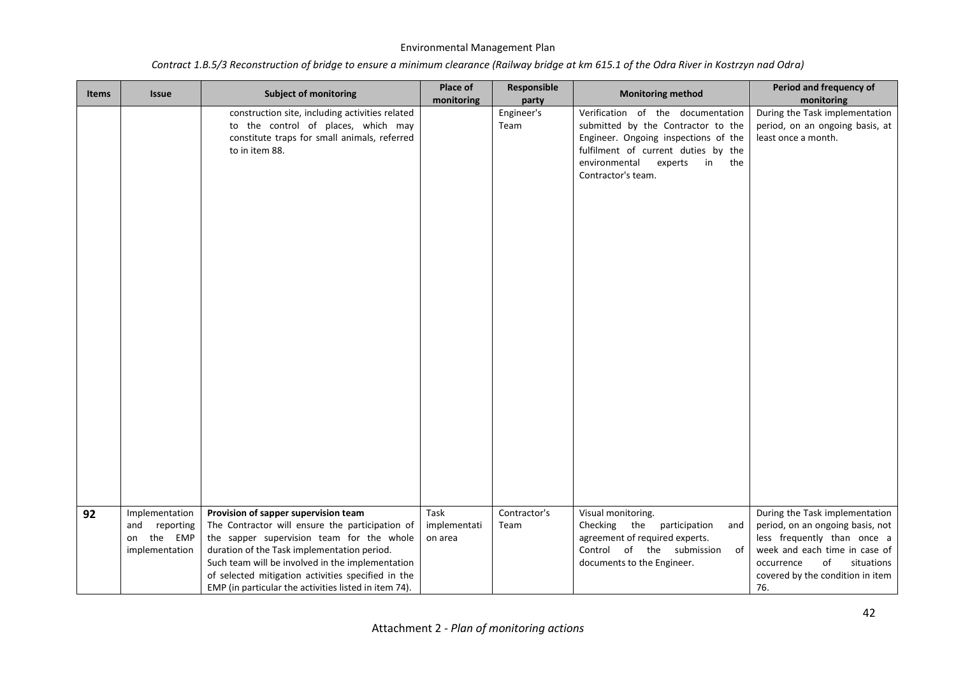| Contract 1.B.5/3 Reconstruction of bridge to ensure a minimum clearance (Railway bridge at km 615.1 of the Odra River in Kostrzyn nad Odra) |  |  |
|---------------------------------------------------------------------------------------------------------------------------------------------|--|--|
|---------------------------------------------------------------------------------------------------------------------------------------------|--|--|

| <b>Items</b> | <b>Issue</b>                                                          | <b>Subject of monitoring</b>                                                                                                                                                                                                                                                                                                                           | Place of<br>monitoring          | Responsible<br>party | <b>Monitoring method</b>                                                                                                                                                                                              | Period and frequency of<br>monitoring                                                                                                                                                                           |
|--------------|-----------------------------------------------------------------------|--------------------------------------------------------------------------------------------------------------------------------------------------------------------------------------------------------------------------------------------------------------------------------------------------------------------------------------------------------|---------------------------------|----------------------|-----------------------------------------------------------------------------------------------------------------------------------------------------------------------------------------------------------------------|-----------------------------------------------------------------------------------------------------------------------------------------------------------------------------------------------------------------|
|              |                                                                       | construction site, including activities related<br>to the control of places, which may<br>constitute traps for small animals, referred<br>to in item 88.                                                                                                                                                                                               |                                 | Engineer's<br>Team   | Verification of the documentation<br>submitted by the Contractor to the<br>Engineer. Ongoing inspections of the<br>fulfilment of current duties by the<br>environmental<br>experts<br>in<br>the<br>Contractor's team. | During the Task implementation<br>period, on an ongoing basis, at<br>least once a month.                                                                                                                        |
| 92           | Implementation<br>and<br>reporting<br>the EMP<br>on<br>implementation | Provision of sapper supervision team<br>The Contractor will ensure the participation of<br>the sapper supervision team for the whole<br>duration of the Task implementation period.<br>Such team will be involved in the implementation<br>of selected mitigation activities specified in the<br>EMP (in particular the activities listed in item 74). | Task<br>implementati<br>on area | Contractor's<br>Team | Visual monitoring.<br>Checking the<br>participation<br>and<br>agreement of required experts.<br>Control of the submission<br>0f<br>documents to the Engineer.                                                         | During the Task implementation<br>period, on an ongoing basis, not<br>less frequently than once a<br>week and each time in case of<br>situations<br>of<br>occurrence<br>covered by the condition in item<br>76. |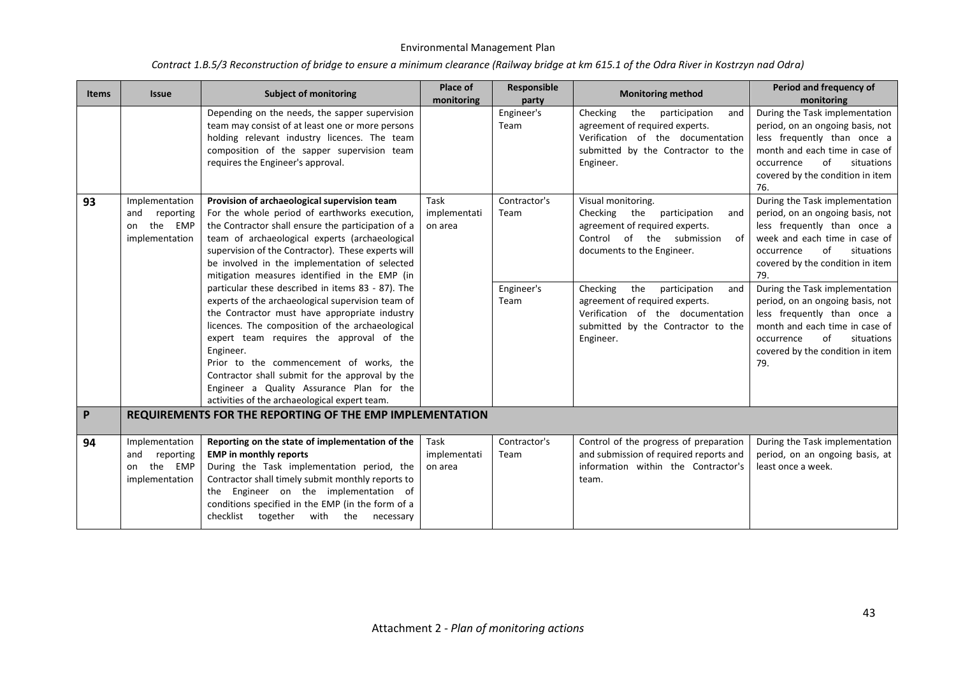| <b>Items</b> | <b>Issue</b>                                                             | <b>Subject of monitoring</b>                                                                                                                                                                                                                                                                                                                                                                                                                                    | Place of<br>monitoring          | Responsible<br>party | <b>Monitoring method</b>                                                                                                                                          | Period and frequency of<br>monitoring                                                                                                                                                                            |
|--------------|--------------------------------------------------------------------------|-----------------------------------------------------------------------------------------------------------------------------------------------------------------------------------------------------------------------------------------------------------------------------------------------------------------------------------------------------------------------------------------------------------------------------------------------------------------|---------------------------------|----------------------|-------------------------------------------------------------------------------------------------------------------------------------------------------------------|------------------------------------------------------------------------------------------------------------------------------------------------------------------------------------------------------------------|
|              |                                                                          | Depending on the needs, the sapper supervision<br>team may consist of at least one or more persons<br>holding relevant industry licences. The team<br>composition of the sapper supervision team<br>requires the Engineer's approval.                                                                                                                                                                                                                           |                                 | Engineer's<br>Team   | Checking<br>the participation<br>and<br>agreement of required experts.<br>Verification of the documentation<br>submitted by the Contractor to the<br>Engineer.    | During the Task implementation<br>period, on an ongoing basis, not<br>less frequently than once a<br>month and each time in case of<br>of<br>situations<br>occurrence<br>covered by the condition in item<br>76. |
| 93           | Implementation<br>reporting<br>and<br>the<br>EMP<br>on<br>implementation | Provision of archaeological supervision team<br>For the whole period of earthworks execution,<br>the Contractor shall ensure the participation of a<br>team of archaeological experts (archaeological<br>supervision of the Contractor). These experts will<br>be involved in the implementation of selected<br>mitigation measures identified in the EMP (in                                                                                                   | Task<br>implementati<br>on area | Contractor's<br>Team | Visual monitoring.<br>the participation<br>Checking<br>and<br>agreement of required experts.<br>Control of the submission<br>of<br>documents to the Engineer.     | During the Task implementation<br>period, on an ongoing basis, not<br>less frequently than once a<br>week and each time in case of<br>of<br>situations<br>occurrence<br>covered by the condition in item<br>79.  |
|              |                                                                          | particular these described in items 83 - 87). The<br>experts of the archaeological supervision team of<br>the Contractor must have appropriate industry<br>licences. The composition of the archaeological<br>expert team requires the approval of the<br>Engineer.<br>Prior to the commencement of works, the<br>Contractor shall submit for the approval by the<br>Engineer a Quality Assurance Plan for the<br>activities of the archaeological expert team. |                                 | Engineer's<br>Team   | Checking<br>the<br>participation<br>and<br>agreement of required experts.<br>Verification of the documentation<br>submitted by the Contractor to the<br>Engineer. | During the Task implementation<br>period, on an ongoing basis, not<br>less frequently than once a<br>month and each time in case of<br>of<br>situations<br>occurrence<br>covered by the condition in item<br>79. |
| P            |                                                                          | REQUIREMENTS FOR THE REPORTING OF THE EMP IMPLEMENTATION                                                                                                                                                                                                                                                                                                                                                                                                        |                                 |                      |                                                                                                                                                                   |                                                                                                                                                                                                                  |
| 94           | Implementation<br>reporting<br>and<br>the EMP<br>on<br>implementation    | Reporting on the state of implementation of the<br><b>EMP</b> in monthly reports<br>During the Task implementation period, the<br>Contractor shall timely submit monthly reports to<br>the Engineer on the implementation of<br>conditions specified in the EMP (in the form of a<br>checklist together with the necessary                                                                                                                                      | Task<br>implementati<br>on area | Contractor's<br>Team | Control of the progress of preparation<br>and submission of required reports and<br>information within the Contractor's<br>team.                                  | During the Task implementation<br>period, on an ongoing basis, at<br>least once a week.                                                                                                                          |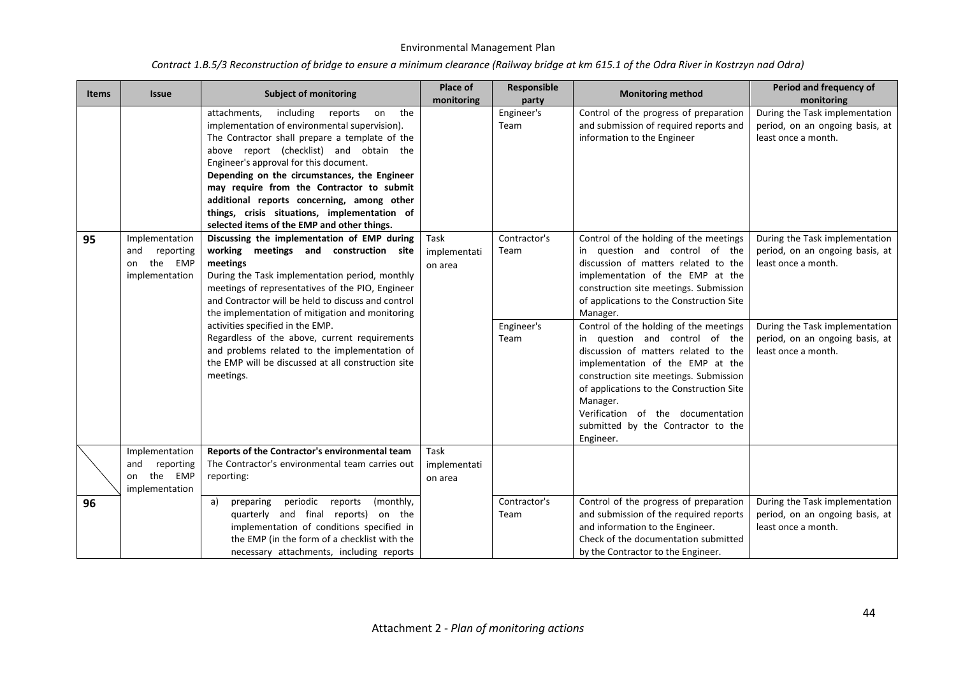| <b>Items</b> | <b>Issue</b>                                                             | <b>Subject of monitoring</b>                                                                                                                                                                                                                                                                                                                                                                                                                                                                                              | Place of<br>monitoring          | Responsible<br>party                       | <b>Monitoring method</b>                                                                                                                                                                                                                                                                                                                                                                                                                                                                                                                                                                                 | Period and frequency of<br>monitoring                                                                                                                                                |
|--------------|--------------------------------------------------------------------------|---------------------------------------------------------------------------------------------------------------------------------------------------------------------------------------------------------------------------------------------------------------------------------------------------------------------------------------------------------------------------------------------------------------------------------------------------------------------------------------------------------------------------|---------------------------------|--------------------------------------------|----------------------------------------------------------------------------------------------------------------------------------------------------------------------------------------------------------------------------------------------------------------------------------------------------------------------------------------------------------------------------------------------------------------------------------------------------------------------------------------------------------------------------------------------------------------------------------------------------------|--------------------------------------------------------------------------------------------------------------------------------------------------------------------------------------|
|              |                                                                          | attachments,<br>including reports<br>the<br>on<br>implementation of environmental supervision).<br>The Contractor shall prepare a template of the<br>above report (checklist) and obtain the<br>Engineer's approval for this document.<br>Depending on the circumstances, the Engineer<br>may require from the Contractor to submit<br>additional reports concerning, among other<br>things, crisis situations, implementation of<br>selected items of the EMP and other things.                                          |                                 | Engineer's<br>Team                         | Control of the progress of preparation<br>and submission of required reports and<br>information to the Engineer                                                                                                                                                                                                                                                                                                                                                                                                                                                                                          | During the Task implementation<br>period, on an ongoing basis, at<br>least once a month.                                                                                             |
| 95           | Implementation<br>and<br>reporting<br>the EMP<br>on<br>implementation    | Discussing the implementation of EMP during<br>working meetings and construction site<br>meetings<br>During the Task implementation period, monthly<br>meetings of representatives of the PIO, Engineer<br>and Contractor will be held to discuss and control<br>the implementation of mitigation and monitoring<br>activities specified in the EMP.<br>Regardless of the above, current requirements<br>and problems related to the implementation of<br>the EMP will be discussed at all construction site<br>meetings. | Task<br>implementati<br>on area | Contractor's<br>Team<br>Engineer's<br>Team | Control of the holding of the meetings<br>in question and control of the<br>discussion of matters related to the<br>implementation of the EMP at the<br>construction site meetings. Submission<br>of applications to the Construction Site<br>Manager.<br>Control of the holding of the meetings<br>in question and control of the<br>discussion of matters related to the<br>implementation of the EMP at the<br>construction site meetings. Submission<br>of applications to the Construction Site<br>Manager.<br>Verification of the documentation<br>submitted by the Contractor to the<br>Engineer. | During the Task implementation<br>period, on an ongoing basis, at<br>least once a month.<br>During the Task implementation<br>period, on an ongoing basis, at<br>least once a month. |
|              | Implementation<br>and<br>reporting<br>the<br>EMP<br>on<br>implementation | Reports of the Contractor's environmental team<br>The Contractor's environmental team carries out<br>reporting:                                                                                                                                                                                                                                                                                                                                                                                                           | Task<br>implementati<br>on area |                                            |                                                                                                                                                                                                                                                                                                                                                                                                                                                                                                                                                                                                          |                                                                                                                                                                                      |
| 96           |                                                                          | periodic reports<br>(monthly,<br>preparing<br>a)<br>quarterly and final reports) on the<br>implementation of conditions specified in<br>the EMP (in the form of a checklist with the<br>necessary attachments, including reports                                                                                                                                                                                                                                                                                          |                                 | Contractor's<br>Team                       | Control of the progress of preparation<br>and submission of the required reports<br>and information to the Engineer.<br>Check of the documentation submitted<br>by the Contractor to the Engineer.                                                                                                                                                                                                                                                                                                                                                                                                       | During the Task implementation<br>period, on an ongoing basis, at<br>least once a month.                                                                                             |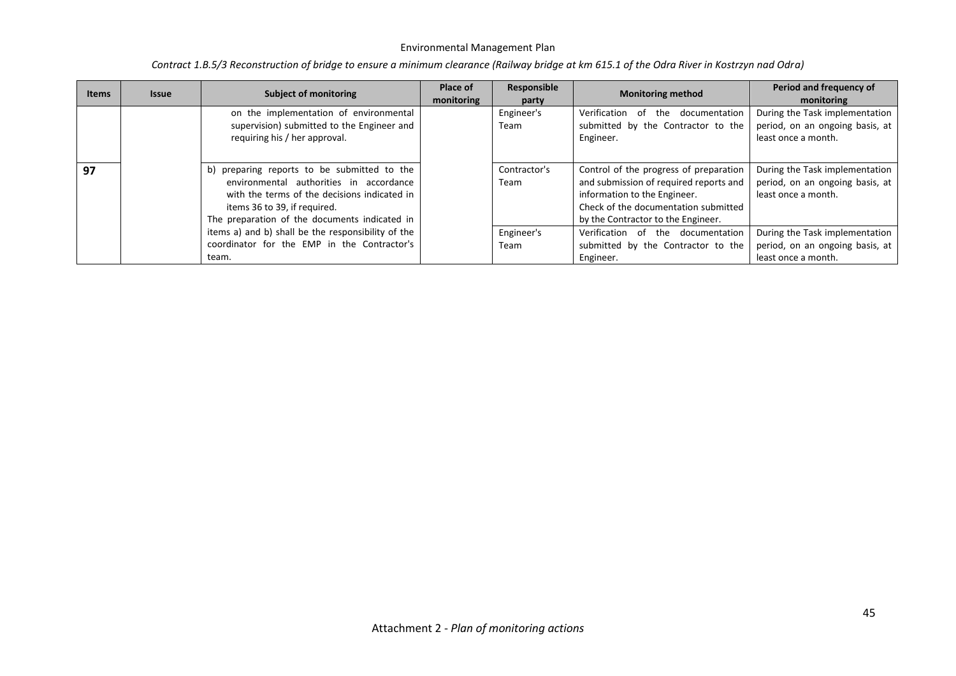| <b>Items</b> | <b>Issue</b> | <b>Subject of monitoring</b>                                                                                                                                                                                            | Place of<br>monitoring | Responsible<br>party | <b>Monitoring method</b>                                                                                                                                                                       | Period and frequency of<br>monitoring                                                    |
|--------------|--------------|-------------------------------------------------------------------------------------------------------------------------------------------------------------------------------------------------------------------------|------------------------|----------------------|------------------------------------------------------------------------------------------------------------------------------------------------------------------------------------------------|------------------------------------------------------------------------------------------|
|              |              | on the implementation of environmental<br>supervision) submitted to the Engineer and<br>requiring his / her approval.                                                                                                   |                        | Engineer's<br>Team   | Verification of the documentation<br>submitted by the Contractor to the<br>Engineer.                                                                                                           | During the Task implementation<br>period, on an ongoing basis, at<br>least once a month. |
| 97           |              | b) preparing reports to be submitted to the<br>environmental authorities in accordance<br>with the terms of the decisions indicated in<br>items 36 to 39, if required.<br>The preparation of the documents indicated in |                        | Contractor's<br>Team | Control of the progress of preparation<br>and submission of required reports and<br>information to the Engineer.<br>Check of the documentation submitted<br>by the Contractor to the Engineer. | During the Task implementation<br>period, on an ongoing basis, at<br>least once a month. |
|              |              | items a) and b) shall be the responsibility of the<br>coordinator for the EMP in the Contractor's<br>team.                                                                                                              |                        | Engineer's<br>Team   | Verification of the documentation<br>submitted by the Contractor to the<br>Engineer.                                                                                                           | During the Task implementation<br>period, on an ongoing basis, at<br>least once a month. |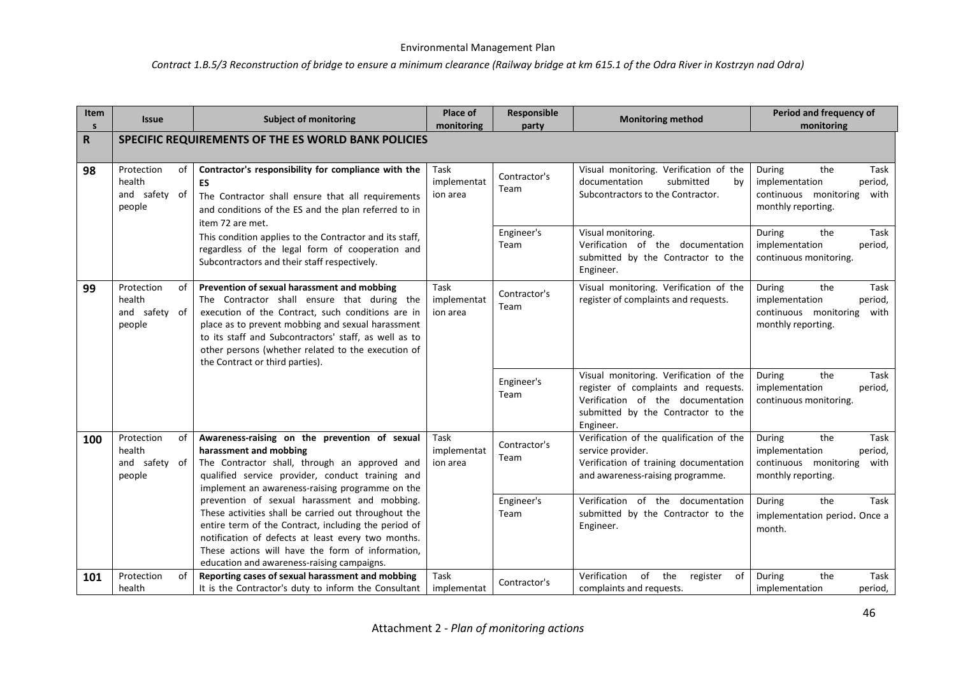| <b>Item</b><br>$\mathsf{s}$ | <b>Issue</b>                                          | <b>Subject of monitoring</b>                                                                                                                                                                                                                                                                                                                           | Place of<br>monitoring          | Responsible<br>party | <b>Monitoring method</b>                                                                                                                                               | Period and frequency of<br>monitoring                                                                     |  |
|-----------------------------|-------------------------------------------------------|--------------------------------------------------------------------------------------------------------------------------------------------------------------------------------------------------------------------------------------------------------------------------------------------------------------------------------------------------------|---------------------------------|----------------------|------------------------------------------------------------------------------------------------------------------------------------------------------------------------|-----------------------------------------------------------------------------------------------------------|--|
| R                           |                                                       | SPECIFIC REQUIREMENTS OF THE ES WORLD BANK POLICIES                                                                                                                                                                                                                                                                                                    |                                 |                      |                                                                                                                                                                        |                                                                                                           |  |
| 98                          | Protection<br>οf<br>health<br>and safety of<br>people | Contractor's responsibility for compliance with the<br>ES<br>The Contractor shall ensure that all requirements<br>and conditions of the ES and the plan referred to in<br>item 72 are met.                                                                                                                                                             | Task<br>implementat<br>ion area | Contractor's<br>Team | Visual monitoring. Verification of the<br>documentation<br>submitted<br>by<br>Subcontractors to the Contractor.                                                        | During<br>Task<br>the<br>implementation<br>period,<br>continuous monitoring<br>with<br>monthly reporting. |  |
|                             |                                                       | This condition applies to the Contractor and its staff,<br>regardless of the legal form of cooperation and<br>Subcontractors and their staff respectively.                                                                                                                                                                                             |                                 | Engineer's<br>Team   | Visual monitoring.<br>Verification of the documentation<br>submitted by the Contractor to the<br>Engineer.                                                             | During<br>the<br>Task<br>implementation<br>period,<br>continuous monitoring.                              |  |
| 99                          | Protection<br>of<br>health<br>and safety of<br>people | Prevention of sexual harassment and mobbing<br>The Contractor shall ensure that during the<br>execution of the Contract, such conditions are in<br>place as to prevent mobbing and sexual harassment<br>to its staff and Subcontractors' staff, as well as to<br>other persons (whether related to the execution of<br>the Contract or third parties). | Task<br>implementat<br>ion area | Contractor's<br>Team | Visual monitoring. Verification of the<br>register of complaints and requests.                                                                                         | During<br>the<br>Task<br>implementation<br>period,<br>continuous monitoring<br>with<br>monthly reporting. |  |
|                             |                                                       |                                                                                                                                                                                                                                                                                                                                                        |                                 | Engineer's<br>Team   | Visual monitoring. Verification of the<br>register of complaints and requests.<br>Verification of the documentation<br>submitted by the Contractor to the<br>Engineer. | the<br>During<br>Task<br>implementation<br>period,<br>continuous monitoring.                              |  |
| 100                         | Protection<br>οf<br>health<br>and safety of<br>people | Awareness-raising on the prevention of sexual<br>harassment and mobbing<br>The Contractor shall, through an approved and<br>qualified service provider, conduct training and<br>implement an awareness-raising programme on the                                                                                                                        | Task<br>implementat<br>ion area | Contractor's<br>Team | Verification of the qualification of the<br>service provider.<br>Verification of training documentation<br>and awareness-raising programme.                            | During<br>the<br>Task<br>implementation<br>period,<br>continuous monitoring<br>with<br>monthly reporting. |  |
|                             |                                                       | prevention of sexual harassment and mobbing.<br>These activities shall be carried out throughout the<br>entire term of the Contract, including the period of<br>notification of defects at least every two months.<br>These actions will have the form of information,<br>education and awareness-raising campaigns.                                   |                                 | Engineer's<br>Team   | Verification of the documentation<br>submitted by the Contractor to the<br>Engineer.                                                                                   | the<br>Task<br>During<br>implementation period. Once a<br>month.                                          |  |
| 101                         | Protection<br>of<br>health                            | Reporting cases of sexual harassment and mobbing<br>It is the Contractor's duty to inform the Consultant                                                                                                                                                                                                                                               | Task<br>implementat             | Contractor's         | the<br>Verification<br>of<br>register<br>of<br>complaints and requests.                                                                                                | During<br>Task<br>the<br>implementation<br>period,                                                        |  |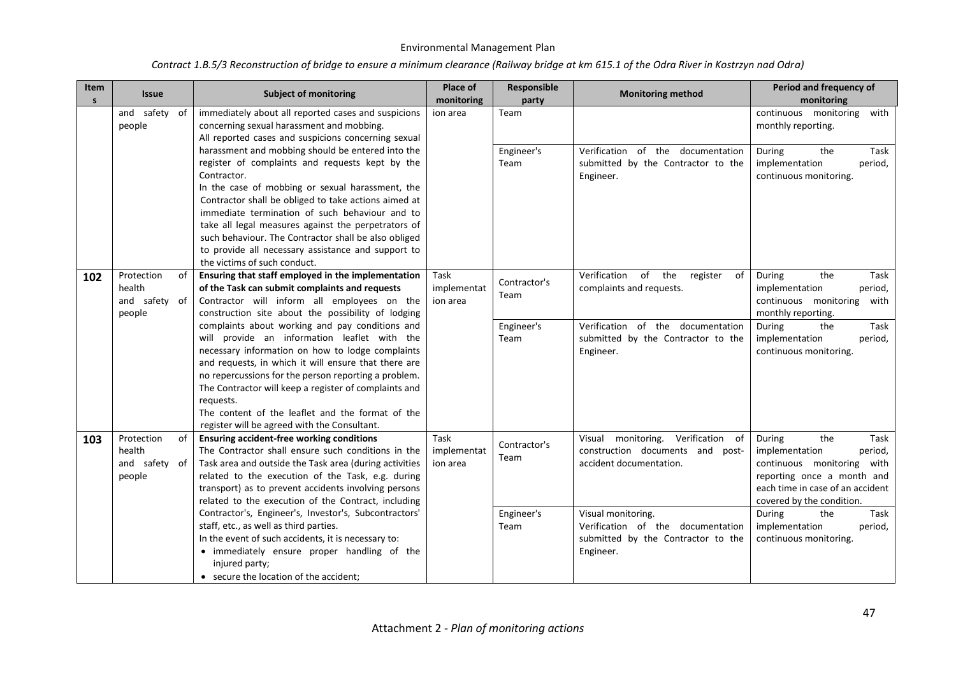| <b>Item</b><br>$\mathsf{s}$ | <b>Issue</b>                                          | <b>Subject of monitoring</b>                                                                                                                                                                                                                                                                                                                                                                                                                                                           | Place of<br>monitoring          | Responsible<br>party | <b>Monitoring method</b>                                                                                   | Period and frequency of<br>monitoring                                                                                                                                              |
|-----------------------------|-------------------------------------------------------|----------------------------------------------------------------------------------------------------------------------------------------------------------------------------------------------------------------------------------------------------------------------------------------------------------------------------------------------------------------------------------------------------------------------------------------------------------------------------------------|---------------------------------|----------------------|------------------------------------------------------------------------------------------------------------|------------------------------------------------------------------------------------------------------------------------------------------------------------------------------------|
|                             | and safety of<br>people                               | immediately about all reported cases and suspicions<br>concerning sexual harassment and mobbing.<br>All reported cases and suspicions concerning sexual                                                                                                                                                                                                                                                                                                                                | ion area                        | Team                 |                                                                                                            | continuous monitoring<br>with<br>monthly reporting.                                                                                                                                |
|                             |                                                       | harassment and mobbing should be entered into the<br>register of complaints and requests kept by the<br>Contractor.<br>In the case of mobbing or sexual harassment, the<br>Contractor shall be obliged to take actions aimed at<br>immediate termination of such behaviour and to<br>take all legal measures against the perpetrators of<br>such behaviour. The Contractor shall be also obliged<br>to provide all necessary assistance and support to<br>the victims of such conduct. |                                 | Engineer's<br>Team   | of the documentation<br>Verification<br>submitted by the Contractor to the<br>Engineer.                    | Task<br>During<br>the<br>implementation<br>period,<br>continuous monitoring.                                                                                                       |
| 102                         | Protection<br>of<br>health<br>and safety of<br>people | Ensuring that staff employed in the implementation<br>of the Task can submit complaints and requests<br>Contractor will inform all employees on the<br>construction site about the possibility of lodging                                                                                                                                                                                                                                                                              | Task<br>implementat<br>ion area | Contractor's<br>Team | Verification<br>of the<br>register<br>of<br>complaints and requests.                                       | During<br>the<br>Task<br>implementation<br>period,<br>continuous monitoring<br>with<br>monthly reporting.                                                                          |
|                             |                                                       | complaints about working and pay conditions and<br>will provide an information leaflet with the<br>necessary information on how to lodge complaints<br>and requests, in which it will ensure that there are<br>no repercussions for the person reporting a problem.<br>The Contractor will keep a register of complaints and<br>requests.<br>The content of the leaflet and the format of the<br>register will be agreed with the Consultant.                                          |                                 | Engineer's<br>Team   | Verification<br>of the documentation<br>submitted by the Contractor to the<br>Engineer.                    | the<br>Task<br>During<br>implementation<br>period,<br>continuous monitoring.                                                                                                       |
| 103                         | Protection<br>of<br>health<br>and safety of<br>people | Ensuring accident-free working conditions<br>The Contractor shall ensure such conditions in the<br>Task area and outside the Task area (during activities<br>related to the execution of the Task, e.g. during<br>transport) as to prevent accidents involving persons<br>related to the execution of the Contract, including                                                                                                                                                          | Task<br>implementat<br>ion area | Contractor's<br>Team | monitoring.<br>Verification of<br>Visual<br>construction documents and post-<br>accident documentation.    | During<br>the<br>Task<br>implementation<br>period,<br>continuous monitoring<br>with<br>reporting once a month and<br>each time in case of an accident<br>covered by the condition. |
|                             |                                                       | Contractor's, Engineer's, Investor's, Subcontractors'<br>staff, etc., as well as third parties.<br>In the event of such accidents, it is necessary to:<br>• immediately ensure proper handling of the<br>injured party;<br>• secure the location of the accident;                                                                                                                                                                                                                      |                                 | Engineer's<br>Team   | Visual monitoring.<br>Verification of the documentation<br>submitted by the Contractor to the<br>Engineer. | During<br>the<br>Task<br>implementation<br>period,<br>continuous monitoring.                                                                                                       |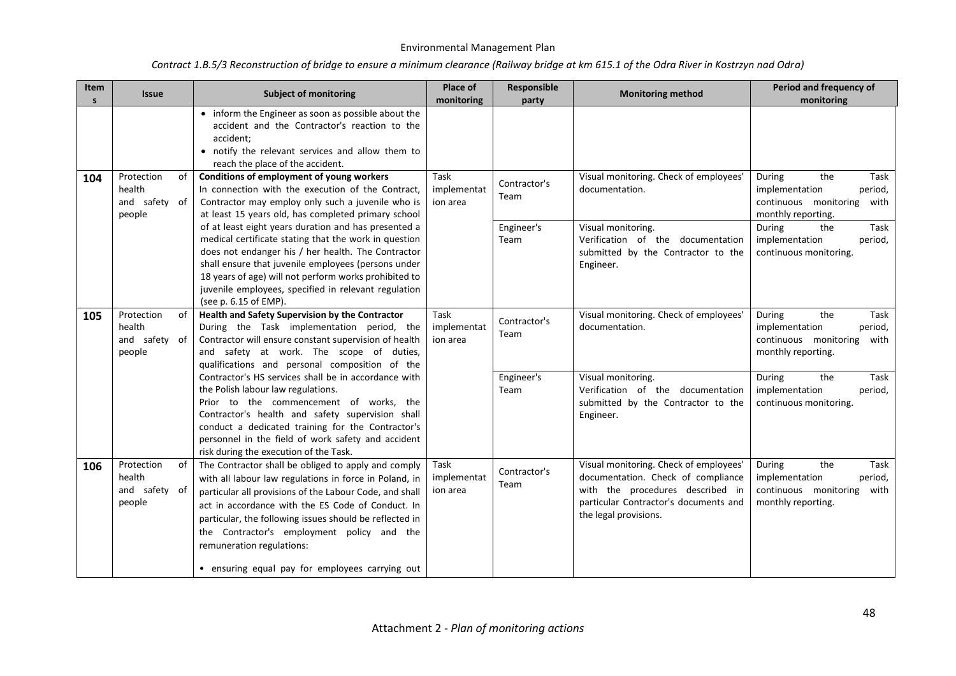| <b>Item</b><br>s | <b>Issue</b>                                                                                                                                                                                                                                                                                                                                   | <b>Subject of monitoring</b>                                                                                                                                                                                                                                                                                                                                         | Place of<br>monitoring          | Responsible<br>party                                                                                       | <b>Monitoring method</b>                                                                                                                                                           | Period and frequency of<br>monitoring                                                                     |
|------------------|------------------------------------------------------------------------------------------------------------------------------------------------------------------------------------------------------------------------------------------------------------------------------------------------------------------------------------------------|----------------------------------------------------------------------------------------------------------------------------------------------------------------------------------------------------------------------------------------------------------------------------------------------------------------------------------------------------------------------|---------------------------------|------------------------------------------------------------------------------------------------------------|------------------------------------------------------------------------------------------------------------------------------------------------------------------------------------|-----------------------------------------------------------------------------------------------------------|
|                  |                                                                                                                                                                                                                                                                                                                                                | • inform the Engineer as soon as possible about the<br>accident and the Contractor's reaction to the<br>accident:<br>• notify the relevant services and allow them to<br>reach the place of the accident.                                                                                                                                                            |                                 |                                                                                                            |                                                                                                                                                                                    |                                                                                                           |
| 104              | Protection<br>οf<br>health<br>and safety<br>of<br>people                                                                                                                                                                                                                                                                                       | Conditions of employment of young workers<br>In connection with the execution of the Contract,<br>Contractor may employ only such a juvenile who is<br>at least 15 years old, has completed primary school                                                                                                                                                           | Task<br>implementat<br>ion area | Contractor's<br>Team                                                                                       | Visual monitoring. Check of employees'<br>documentation.                                                                                                                           | During<br>Task<br>the<br>implementation<br>period,<br>continuous monitoring<br>with<br>monthly reporting. |
|                  |                                                                                                                                                                                                                                                                                                                                                | of at least eight years duration and has presented a<br>medical certificate stating that the work in question<br>does not endanger his / her health. The Contractor<br>shall ensure that juvenile employees (persons under<br>18 years of age) will not perform works prohibited to<br>juvenile employees, specified in relevant regulation<br>(see p. 6.15 of EMP). |                                 | Engineer's<br>Team                                                                                         | Visual monitoring.<br>Verification of the documentation<br>submitted by the Contractor to the<br>Engineer.                                                                         | During<br>the<br>Task<br>implementation<br>period,<br>continuous monitoring.                              |
| 105              | Protection<br>οf<br>health<br>and safety of<br>people                                                                                                                                                                                                                                                                                          | Health and Safety Supervision by the Contractor<br>During the Task implementation period, the<br>Contractor will ensure constant supervision of health<br>and safety at work. The scope of duties,<br>qualifications and personal composition of the                                                                                                                 | Task<br>implementat<br>ion area | Contractor's<br>Team                                                                                       | Visual monitoring. Check of employees'<br>documentation.                                                                                                                           | During<br>the<br>Task<br>implementation<br>period,<br>continuous monitoring<br>with<br>monthly reporting. |
|                  | Contractor's HS services shall be in accordance with<br>the Polish labour law regulations.<br>Prior to the commencement of works, the<br>Contractor's health and safety supervision shall<br>conduct a dedicated training for the Contractor's<br>personnel in the field of work safety and accident<br>risk during the execution of the Task. |                                                                                                                                                                                                                                                                                                                                                                      | Engineer's<br>Team              | Visual monitoring.<br>Verification of the documentation<br>submitted by the Contractor to the<br>Engineer. | During<br>the<br>Task<br>implementation<br>period,<br>continuous monitoring.                                                                                                       |                                                                                                           |
| 106              | Protection<br>of<br>health<br>and safety of<br>people                                                                                                                                                                                                                                                                                          | The Contractor shall be obliged to apply and comply<br>with all labour law regulations in force in Poland, in<br>particular all provisions of the Labour Code, and shall<br>act in accordance with the ES Code of Conduct. In<br>particular, the following issues should be reflected in<br>the Contractor's employment policy and the<br>remuneration regulations:  | Task<br>implementat<br>ion area | Contractor's<br>Team                                                                                       | Visual monitoring. Check of employees'<br>documentation. Check of compliance<br>with the procedures described in<br>particular Contractor's documents and<br>the legal provisions. | During<br>the<br>Task<br>implementation<br>period,<br>continuous monitoring<br>with<br>monthly reporting. |
|                  |                                                                                                                                                                                                                                                                                                                                                | • ensuring equal pay for employees carrying out                                                                                                                                                                                                                                                                                                                      |                                 |                                                                                                            |                                                                                                                                                                                    |                                                                                                           |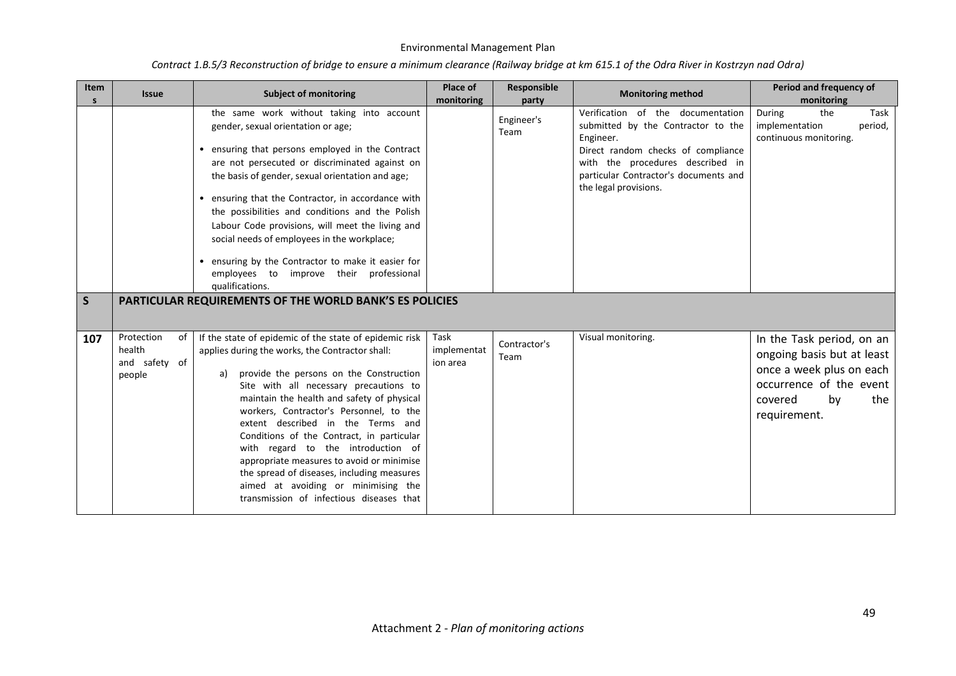| Contract 1.B.5/3 Reconstruction of bridge to ensure a minimum clearance (Railway bridge at km 615.1 of the Odra River in Kostrzyn nad Odra) |  |  |  |
|---------------------------------------------------------------------------------------------------------------------------------------------|--|--|--|
|---------------------------------------------------------------------------------------------------------------------------------------------|--|--|--|

| <b>Item</b><br>s. | <b>Issue</b>                                                                                                                                                                                                                                                                                                                                                                                                                                                                                                                                                              | <b>Subject of monitoring</b>                                                                                                                                                                                                                                                                                                                                                                                                                                                                                                                                                                        | Place of<br>monitoring          | Responsible<br>party | <b>Monitoring method</b>                                                                                                                                                                                                         | Period and frequency of<br>monitoring                                                                                                                  |
|-------------------|---------------------------------------------------------------------------------------------------------------------------------------------------------------------------------------------------------------------------------------------------------------------------------------------------------------------------------------------------------------------------------------------------------------------------------------------------------------------------------------------------------------------------------------------------------------------------|-----------------------------------------------------------------------------------------------------------------------------------------------------------------------------------------------------------------------------------------------------------------------------------------------------------------------------------------------------------------------------------------------------------------------------------------------------------------------------------------------------------------------------------------------------------------------------------------------------|---------------------------------|----------------------|----------------------------------------------------------------------------------------------------------------------------------------------------------------------------------------------------------------------------------|--------------------------------------------------------------------------------------------------------------------------------------------------------|
|                   | the same work without taking into account<br>gender, sexual orientation or age;<br>• ensuring that persons employed in the Contract<br>are not persecuted or discriminated against on<br>the basis of gender, sexual orientation and age;<br>• ensuring that the Contractor, in accordance with<br>the possibilities and conditions and the Polish<br>Labour Code provisions, will meet the living and<br>social needs of employees in the workplace;<br>• ensuring by the Contractor to make it easier for<br>employees to improve their professional<br>qualifications. |                                                                                                                                                                                                                                                                                                                                                                                                                                                                                                                                                                                                     |                                 | Engineer's<br>Team   | Verification of the documentation<br>submitted by the Contractor to the<br>Engineer.<br>Direct random checks of compliance<br>with the procedures described in<br>particular Contractor's documents and<br>the legal provisions. | the<br>Task<br>During<br>implementation<br>period,<br>continuous monitoring.                                                                           |
| S                 |                                                                                                                                                                                                                                                                                                                                                                                                                                                                                                                                                                           | <b>PARTICULAR REQUIREMENTS OF THE WORLD BANK'S ES POLICIES</b>                                                                                                                                                                                                                                                                                                                                                                                                                                                                                                                                      |                                 |                      |                                                                                                                                                                                                                                  |                                                                                                                                                        |
| 107               | Protection<br>of<br>health<br>and safety of<br>people                                                                                                                                                                                                                                                                                                                                                                                                                                                                                                                     | If the state of epidemic of the state of epidemic risk<br>applies during the works, the Contractor shall:<br>provide the persons on the Construction<br>a)<br>Site with all necessary precautions to<br>maintain the health and safety of physical<br>workers, Contractor's Personnel, to the<br>extent described in the Terms and<br>Conditions of the Contract, in particular<br>with regard to the introduction of<br>appropriate measures to avoid or minimise<br>the spread of diseases, including measures<br>aimed at avoiding or minimising the<br>transmission of infectious diseases that | Task<br>implementat<br>ion area | Contractor's<br>Team | Visual monitoring.                                                                                                                                                                                                               | In the Task period, on an<br>ongoing basis but at least<br>once a week plus on each<br>occurrence of the event<br>by<br>the<br>covered<br>requirement. |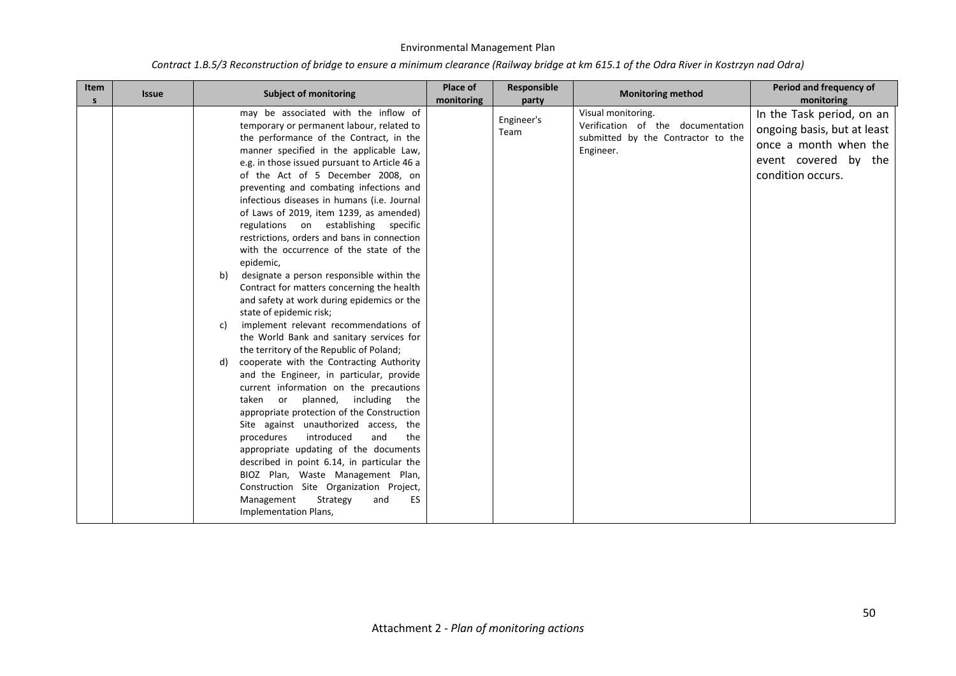| Item<br>s. | <b>Issue</b> |                | <b>Subject of monitoring</b>                                                                                                                                                                                                                                                                                                                                                                                                                                                                                                                                                                                                                                                                                                                                                                                                                                                                                                                                                                                                                                                                                                                                                                                                                                                                                                                                                                               | Place of<br>monitoring | Responsible<br>party | <b>Monitoring method</b>                                                                                   | Period and frequency of<br>monitoring                                                                                          |
|------------|--------------|----------------|------------------------------------------------------------------------------------------------------------------------------------------------------------------------------------------------------------------------------------------------------------------------------------------------------------------------------------------------------------------------------------------------------------------------------------------------------------------------------------------------------------------------------------------------------------------------------------------------------------------------------------------------------------------------------------------------------------------------------------------------------------------------------------------------------------------------------------------------------------------------------------------------------------------------------------------------------------------------------------------------------------------------------------------------------------------------------------------------------------------------------------------------------------------------------------------------------------------------------------------------------------------------------------------------------------------------------------------------------------------------------------------------------------|------------------------|----------------------|------------------------------------------------------------------------------------------------------------|--------------------------------------------------------------------------------------------------------------------------------|
|            |              | b)<br>C)<br>d) | may be associated with the inflow of<br>temporary or permanent labour, related to<br>the performance of the Contract, in the<br>manner specified in the applicable Law,<br>e.g. in those issued pursuant to Article 46 a<br>of the Act of 5 December 2008, on<br>preventing and combating infections and<br>infectious diseases in humans (i.e. Journal<br>of Laws of 2019, item 1239, as amended)<br>regulations on establishing specific<br>restrictions, orders and bans in connection<br>with the occurrence of the state of the<br>epidemic,<br>designate a person responsible within the<br>Contract for matters concerning the health<br>and safety at work during epidemics or the<br>state of epidemic risk;<br>implement relevant recommendations of<br>the World Bank and sanitary services for<br>the territory of the Republic of Poland;<br>cooperate with the Contracting Authority<br>and the Engineer, in particular, provide<br>current information on the precautions<br>taken or planned, including the<br>appropriate protection of the Construction<br>Site against unauthorized access, the<br>introduced<br>and<br>the<br>procedures<br>appropriate updating of the documents<br>described in point 6.14, in particular the<br>BIOZ Plan, Waste Management Plan,<br>Construction Site Organization Project,<br>Management<br>Strategy<br>and<br><b>ES</b><br>Implementation Plans, |                        | Engineer's<br>Team   | Visual monitoring.<br>Verification of the documentation<br>submitted by the Contractor to the<br>Engineer. | In the Task period, on an<br>ongoing basis, but at least<br>once a month when the<br>event covered by the<br>condition occurs. |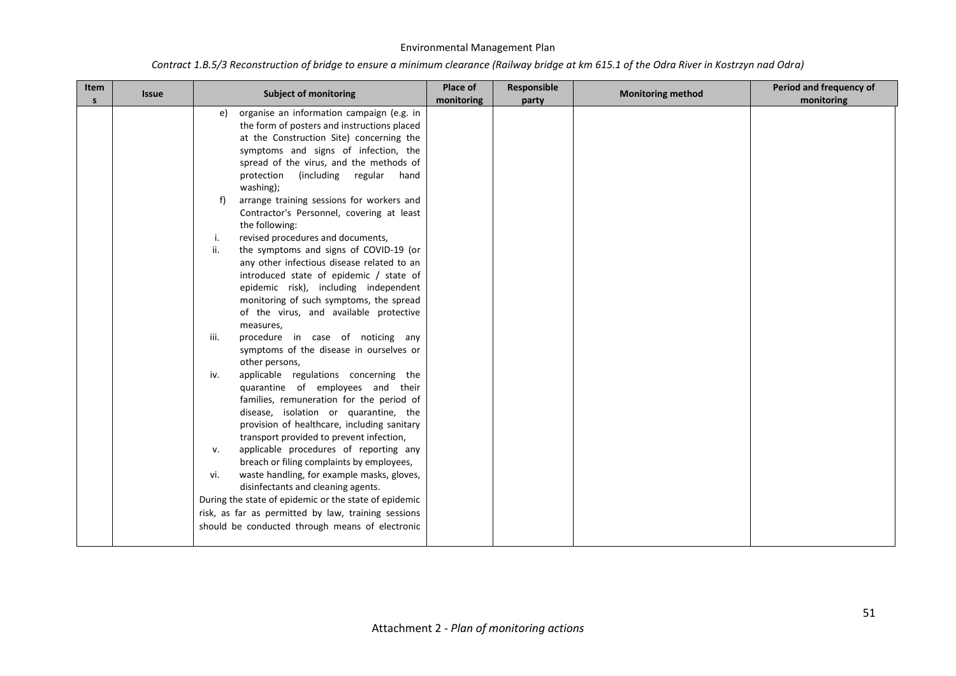| Contract 1.B.5/3 Reconstruction of bridge to ensure a minimum clearance (Railway bridge at km 615.1 of the Odra River in Kostrzyn nad Odra) |  |
|---------------------------------------------------------------------------------------------------------------------------------------------|--|
|---------------------------------------------------------------------------------------------------------------------------------------------|--|

| Item<br>s | <b>Issue</b> | <b>Subject of monitoring</b>                                                                                                                                                                                                                                                                                                                                                                                                                                                                                                                                                                                                                                                                                                                                                                                                                                                                                                                                                                                                                                                                                                                                                                                                                                                                                                                                                                                                                                                 | Place of<br>monitoring | Responsible<br>party | <b>Monitoring method</b> | Period and frequency of<br>monitoring |
|-----------|--------------|------------------------------------------------------------------------------------------------------------------------------------------------------------------------------------------------------------------------------------------------------------------------------------------------------------------------------------------------------------------------------------------------------------------------------------------------------------------------------------------------------------------------------------------------------------------------------------------------------------------------------------------------------------------------------------------------------------------------------------------------------------------------------------------------------------------------------------------------------------------------------------------------------------------------------------------------------------------------------------------------------------------------------------------------------------------------------------------------------------------------------------------------------------------------------------------------------------------------------------------------------------------------------------------------------------------------------------------------------------------------------------------------------------------------------------------------------------------------------|------------------------|----------------------|--------------------------|---------------------------------------|
|           |              | organise an information campaign (e.g. in<br>e)<br>the form of posters and instructions placed<br>at the Construction Site) concerning the<br>symptoms and signs of infection, the<br>spread of the virus, and the methods of<br>protection (including regular hand<br>washing);<br>arrange training sessions for workers and<br>f)<br>Contractor's Personnel, covering at least<br>the following:<br>revised procedures and documents,<br>j.<br>the symptoms and signs of COVID-19 (or<br>ii.<br>any other infectious disease related to an<br>introduced state of epidemic / state of<br>epidemic risk), including independent<br>monitoring of such symptoms, the spread<br>of the virus, and available protective<br>measures,<br>procedure in case of noticing any<br>iii.<br>symptoms of the disease in ourselves or<br>other persons,<br>applicable regulations concerning the<br>iv.<br>quarantine of employees and their<br>families, remuneration for the period of<br>disease, isolation or quarantine, the<br>provision of healthcare, including sanitary<br>transport provided to prevent infection,<br>applicable procedures of reporting any<br>v.<br>breach or filing complaints by employees,<br>waste handling, for example masks, gloves,<br>vi.<br>disinfectants and cleaning agents.<br>During the state of epidemic or the state of epidemic<br>risk, as far as permitted by law, training sessions<br>should be conducted through means of electronic |                        |                      |                          |                                       |
|           |              |                                                                                                                                                                                                                                                                                                                                                                                                                                                                                                                                                                                                                                                                                                                                                                                                                                                                                                                                                                                                                                                                                                                                                                                                                                                                                                                                                                                                                                                                              |                        |                      |                          |                                       |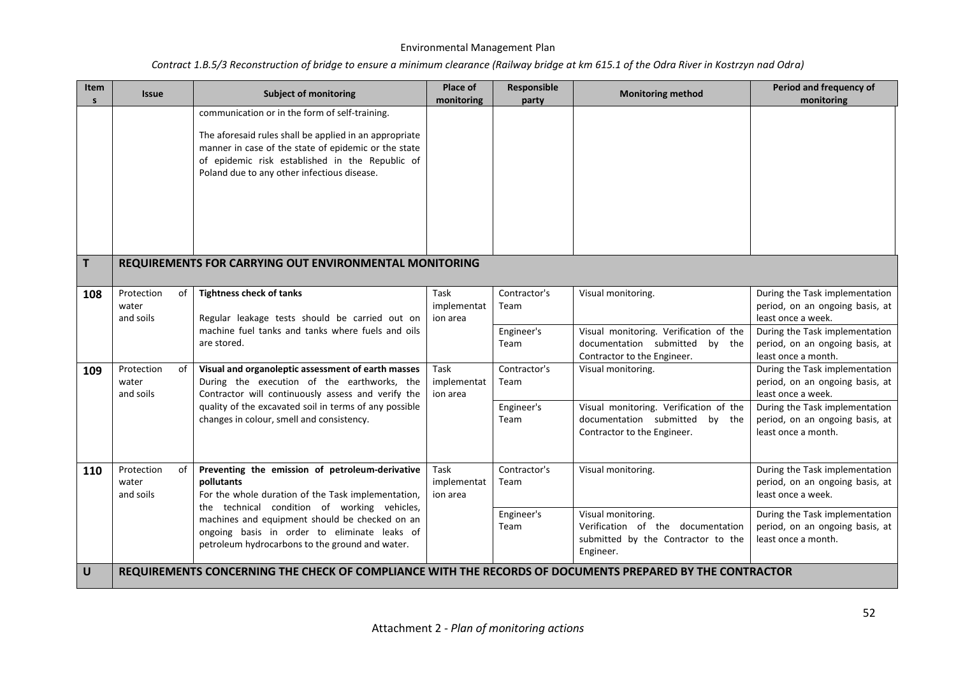| <b>Item</b><br>$\mathsf{s}$ | <b>Issue</b>                                                                                                                                                                                      | <b>Subject of monitoring</b>                                                                                                                                                                                                                                       | Place of<br>monitoring          | Responsible<br>party                                                                                       | <b>Monitoring method</b>                                                                                   | Period and frequency of<br>monitoring                                                    |
|-----------------------------|---------------------------------------------------------------------------------------------------------------------------------------------------------------------------------------------------|--------------------------------------------------------------------------------------------------------------------------------------------------------------------------------------------------------------------------------------------------------------------|---------------------------------|------------------------------------------------------------------------------------------------------------|------------------------------------------------------------------------------------------------------------|------------------------------------------------------------------------------------------|
|                             |                                                                                                                                                                                                   | communication or in the form of self-training.<br>The aforesaid rules shall be applied in an appropriate<br>manner in case of the state of epidemic or the state<br>of epidemic risk established in the Republic of<br>Poland due to any other infectious disease. |                                 |                                                                                                            |                                                                                                            |                                                                                          |
| $\mathsf{T}$                | REQUIREMENTS FOR CARRYING OUT ENVIRONMENTAL MONITORING                                                                                                                                            |                                                                                                                                                                                                                                                                    |                                 |                                                                                                            |                                                                                                            |                                                                                          |
| 108                         | Protection<br>of<br>water<br>and soils                                                                                                                                                            | <b>Tightness check of tanks</b><br>Regular leakage tests should be carried out on                                                                                                                                                                                  | Task<br>implementat<br>ion area | Contractor's<br>Team                                                                                       | Visual monitoring.                                                                                         | During the Task implementation<br>period, on an ongoing basis, at<br>least once a week.  |
|                             |                                                                                                                                                                                                   | machine fuel tanks and tanks where fuels and oils<br>are stored.                                                                                                                                                                                                   |                                 | Engineer's<br>Team                                                                                         | Visual monitoring. Verification of the<br>documentation submitted<br>by the<br>Contractor to the Engineer. | During the Task implementation<br>period, on an ongoing basis, at<br>least once a month. |
| 109                         | Protection<br>of<br>water<br>and soils                                                                                                                                                            | Visual and organoleptic assessment of earth masses<br>During the execution of the earthworks, the<br>Contractor will continuously assess and verify the                                                                                                            | Task<br>implementat<br>ion area | Contractor's<br>Team                                                                                       | Visual monitoring.                                                                                         | During the Task implementation<br>period, on an ongoing basis, at<br>least once a week.  |
|                             | quality of the excavated soil in terms of any possible<br>changes in colour, smell and consistency.                                                                                               |                                                                                                                                                                                                                                                                    | Engineer's<br>Team              | Visual monitoring. Verification of the<br>documentation submitted<br>by the<br>Contractor to the Engineer. | During the Task implementation<br>period, on an ongoing basis, at<br>least once a month.                   |                                                                                          |
| 110                         | Protection<br>0f<br>water<br>and soils                                                                                                                                                            | Preventing the emission of petroleum-derivative<br>pollutants<br>For the whole duration of the Task implementation,                                                                                                                                                | Task<br>implementat<br>ion area | Contractor's<br>Team                                                                                       | Visual monitoring.                                                                                         | During the Task implementation<br>period, on an ongoing basis, at<br>least once a week.  |
|                             | the technical condition of working vehicles,<br>machines and equipment should be checked on an<br>ongoing basis in order to eliminate leaks of<br>petroleum hydrocarbons to the ground and water. |                                                                                                                                                                                                                                                                    | Engineer's<br>Team              | Visual monitoring.<br>Verification of the documentation<br>submitted by the Contractor to the<br>Engineer. | During the Task implementation<br>period, on an ongoing basis, at<br>least once a month.                   |                                                                                          |
| U                           | REQUIREMENTS CONCERNING THE CHECK OF COMPLIANCE WITH THE RECORDS OF DOCUMENTS PREPARED BY THE CONTRACTOR                                                                                          |                                                                                                                                                                                                                                                                    |                                 |                                                                                                            |                                                                                                            |                                                                                          |